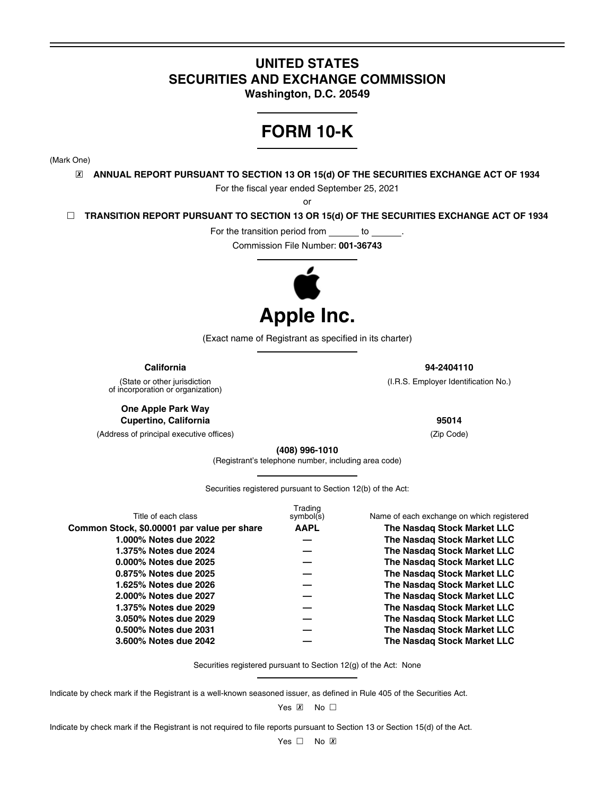# **UNITED STATES SECURITIES AND EXCHANGE COMMISSION**

**Washington, D.C. 20549**

# **FORM 10-K**

(Mark One)

☒ **ANNUAL REPORT PURSUANT TO SECTION 13 OR 15(d) OF THE SECURITIES EXCHANGE ACT OF 1934**

For the fiscal year ended September 25, 2021

or

☐ **TRANSITION REPORT PURSUANT TO SECTION 13 OR 15(d) OF THE SECURITIES EXCHANGE ACT OF 1934**

For the transition period from \_\_\_\_\_\_ to

Commission File Number: **001-36743**



(Exact name of Registrant as specified in its charter)

**California 94-2404110**

(State or other jurisdiction of incorporation or organization)

**One Apple Park Way Cupertino, California 95014**

(Address of principal executive offices) (Zip Code)

(I.R.S. Employer Identification No.)

**(408) 996-1010**

(Registrant's telephone number, including area code)

Securities registered pursuant to Section 12(b) of the Act:

| Title of each class                         | Trading<br>symbol(s) | Name of each exchange on which registered |
|---------------------------------------------|----------------------|-------------------------------------------|
| Common Stock, \$0.00001 par value per share | <b>AAPL</b>          | The Nasdag Stock Market LLC               |
| 1.000% Notes due 2022                       |                      | The Nasdag Stock Market LLC               |
| 1.375% Notes due 2024                       |                      | The Nasdag Stock Market LLC               |
| 0.000% Notes due 2025                       |                      | The Nasdag Stock Market LLC               |
| 0.875% Notes due 2025                       |                      | The Nasdag Stock Market LLC               |
| 1.625% Notes due 2026                       |                      | The Nasdag Stock Market LLC               |
| 2.000% Notes due 2027                       |                      | The Nasdag Stock Market LLC               |
| 1.375% Notes due 2029                       |                      | The Nasdag Stock Market LLC               |
| 3.050% Notes due 2029                       |                      | The Nasdag Stock Market LLC               |
| 0.500% Notes due 2031                       |                      | The Nasdag Stock Market LLC               |
| 3.600% Notes due 2042                       |                      | The Nasdag Stock Market LLC               |

Securities registered pursuant to Section 12(g) of the Act: None

Indicate by check mark if the Registrant is a well-known seasoned issuer, as defined in Rule 405 of the Securities Act.

Yes  $X$  No  $\Box$ 

Indicate by check mark if the Registrant is not required to file reports pursuant to Section 13 or Section 15(d) of the Act.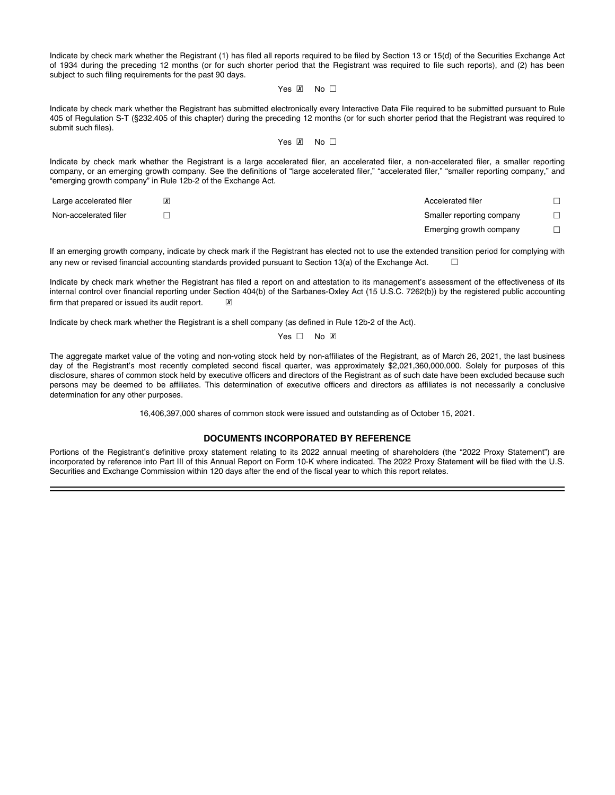Indicate by check mark whether the Registrant (1) has filed all reports required to be filed by Section 13 or 15(d) of the Securities Exchange Act of 1934 during the preceding 12 months (or for such shorter period that the Registrant was required to file such reports), and (2) has been subject to such filing requirements for the past 90 days.

Yes  $X$  No  $\Box$ 

Indicate by check mark whether the Registrant has submitted electronically every Interactive Data File required to be submitted pursuant to Rule 405 of Regulation S-T (§232.405 of this chapter) during the preceding 12 months (or for such shorter period that the Registrant was required to submit such files).

Yes  $X$  No  $\Box$ 

Indicate by check mark whether the Registrant is a large accelerated filer, an accelerated filer, a non-accelerated filer, a smaller reporting company, or an emerging growth company. See the definitions of "large accelerated filer," "accelerated filer," "smaller reporting company," and "emerging growth company" in Rule 12b-2 of the Exchange Act.

| Large accelerated filer | $\boldsymbol{\chi}$ | Accelerated filer         |  |
|-------------------------|---------------------|---------------------------|--|
| Non-accelerated filer   |                     | Smaller reporting company |  |
|                         |                     | Emerging growth company   |  |

If an emerging growth company, indicate by check mark if the Registrant has elected not to use the extended transition period for complying with any new or revised financial accounting standards provided pursuant to Section 13(a) of the Exchange Act.  $\Box$ 

Indicate by check mark whether the Registrant has filed a report on and attestation to its management's assessment of the effectiveness of its internal control over financial reporting under Section 404(b) of the Sarbanes-Oxley Act (15 U.S.C. 7262(b)) by the registered public accounting firm that prepared or issued its audit report.  $\boxed{\mathbb{X}}$ 

Indicate by check mark whether the Registrant is a shell company (as defined in Rule 12b-2 of the Act).

#### $Yes \Box No \Box$

The aggregate market value of the voting and non-voting stock held by non-affiliates of the Registrant, as of March 26, 2021, the last business day of the Registrant's most recently completed second fiscal quarter, was approximately \$2,021,360,000,000. Solely for purposes of this disclosure, shares of common stock held by executive officers and directors of the Registrant as of such date have been excluded because such persons may be deemed to be affiliates. This determination of executive officers and directors as affiliates is not necessarily a conclusive determination for any other purposes.

16,406,397,000 shares of common stock were issued and outstanding as of October 15, 2021.

#### **DOCUMENTS INCORPORATED BY REFERENCE**

Portions of the Registrant's definitive proxy statement relating to its 2022 annual meeting of shareholders (the "2022 Proxy Statement") are incorporated by reference into Part III of this Annual Report on Form 10-K where indicated. The 2022 Proxy Statement will be filed with the U.S. Securities and Exchange Commission within 120 days after the end of the fiscal year to which this report relates.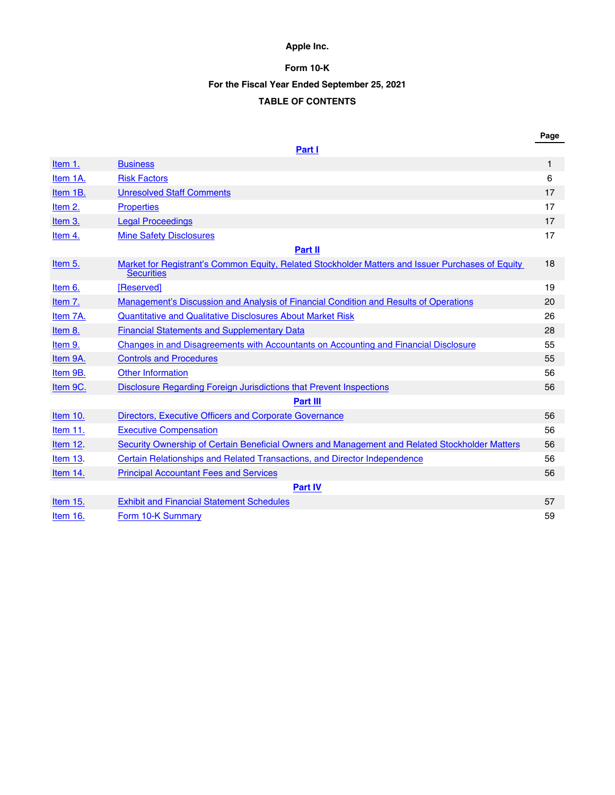## **Form 10-K**

## **For the Fiscal Year Ended September 25, 2021**

## **TABLE OF CONTENTS**

**Page**

|                 | Part I                                                                                                                 |              |
|-----------------|------------------------------------------------------------------------------------------------------------------------|--------------|
| Item 1.         | <b>Business</b>                                                                                                        | $\mathbf{1}$ |
| Item 1A.        | <b>Risk Factors</b>                                                                                                    | 6            |
| Item 1B.        | <b>Unresolved Staff Comments</b>                                                                                       | 17           |
| Item 2.         | <b>Properties</b>                                                                                                      | 17           |
| Item 3.         | <b>Legal Proceedings</b>                                                                                               | 17           |
| Item 4.         | <b>Mine Safety Disclosures</b>                                                                                         | 17           |
|                 | <b>Part II</b>                                                                                                         |              |
| Item 5.         | Market for Registrant's Common Equity, Related Stockholder Matters and Issuer Purchases of Equity<br><b>Securities</b> | 18           |
| Item 6.         | [Reserved]                                                                                                             | 19           |
| Item 7.         | Management's Discussion and Analysis of Financial Condition and Results of Operations                                  | 20           |
| Item 7A.        | <b>Quantitative and Qualitative Disclosures About Market Risk</b>                                                      | 26           |
| Item 8.         | <b>Financial Statements and Supplementary Data</b>                                                                     | 28           |
| Item 9.         | Changes in and Disagreements with Accountants on Accounting and Financial Disclosure                                   | 55           |
| Item 9A.        | <b>Controls and Procedures</b>                                                                                         | 55           |
| Item 9B.        | <b>Other Information</b>                                                                                               | 56           |
| Item 9C.        | Disclosure Regarding Foreign Jurisdictions that Prevent Inspections                                                    | 56           |
|                 | <b>Part III</b>                                                                                                        |              |
| <b>Item 10.</b> | Directors, Executive Officers and Corporate Governance                                                                 | 56           |
| Item $11.$      | <b>Executive Compensation</b>                                                                                          | 56           |
| Item 12.        | Security Ownership of Certain Beneficial Owners and Management and Related Stockholder Matters                         | 56           |
| Item 13.        | Certain Relationships and Related Transactions, and Director Independence                                              | 56           |
| Item $14.$      | <b>Principal Accountant Fees and Services</b>                                                                          | 56           |
|                 | <b>Part IV</b>                                                                                                         |              |
| Item $15.$      | <b>Exhibit and Financial Statement Schedules</b>                                                                       | 57           |
| Item $16.$      | Form 10-K Summary                                                                                                      | 59           |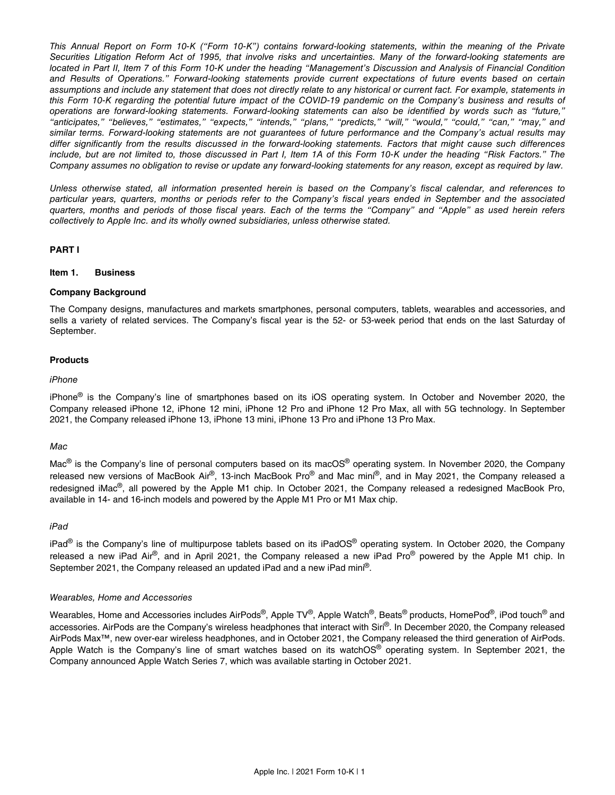<span id="page-3-0"></span>This Annual Report on Form 10-K ("Form 10-K") contains forward-looking statements, within the meaning of the Private Securities Litigation Reform Act of 1995, that involve risks and uncertainties. Many of the forward-looking statements are located in Part II, Item 7 of this Form 10-K under the heading "Management's Discussion and Analysis of Financial Condition and Results of Operations." Forward-looking statements provide current expectations of future events based on certain assumptions and include any statement that does not directly relate to any historical or current fact. For example, statements in this Form 10-K regarding the potential future impact of the COVID-19 pandemic on the Company's business and results of operations are forward-looking statements. Forward-looking statements can also be identified by words such as "future," "anticipates," "believes," "estimates," "expects," "intends," "plans," "predicts," "will," "would," "could," "can," "may," and similar terms. Forward-looking statements are not guarantees of future performance and the Company's actual results may differ significantly from the results discussed in the forward-looking statements. Factors that might cause such differences include, but are not limited to, those discussed in Part I, Item 1A of this Form 10-K under the heading "Risk Factors." The Company assumes no obligation to revise or update any forward-looking statements for any reason, except as required by law.

Unless otherwise stated, all information presented herein is based on the Company's fiscal calendar, and references to particular years, quarters, months or periods refer to the Company's fiscal years ended in September and the associated quarters, months and periods of those fiscal years. Each of the terms the "Company" and "Apple" as used herein refers collectively to Apple Inc. and its wholly owned subsidiaries, unless otherwise stated.

## **PART I**

#### **Item 1. Business**

## **Company Background**

The Company designs, manufactures and markets smartphones, personal computers, tablets, wearables and accessories, and sells a variety of related services. The Company's fiscal year is the 52- or 53-week period that ends on the last Saturday of September.

## **Products**

#### iPhone

iPhone<sup>®</sup> is the Company's line of smartphones based on its iOS operating system. In October and November 2020, the Company released iPhone 12, iPhone 12 mini, iPhone 12 Pro and iPhone 12 Pro Max, all with 5G technology. In September 2021, the Company released iPhone 13, iPhone 13 mini, iPhone 13 Pro and iPhone 13 Pro Max.

## Mac

Mac<sup>®</sup> is the Company's line of personal computers based on its macOS<sup>®</sup> operating system. In November 2020, the Company released new versions of MacBook Air®, 13-inch MacBook Pro® and Mac mini®, and in May 2021, the Company released a redesigned iMac®, all powered by the Apple M1 chip. In October 2021, the Company released a redesigned MacBook Pro, available in 14- and 16-inch models and powered by the Apple M1 Pro or M1 Max chip.

## iPad

 $iPad<sup>®</sup>$  is the Company's line of multipurpose tablets based on its iPadOS<sup>®</sup> operating system. In October 2020, the Company released a new iPad Air®, and in April 2021, the Company released a new iPad Pro® powered by the Apple M1 chip. In September 2021, the Company released an updated iPad and a new iPad mini<sup>®</sup>.

## Wearables, Home and Accessories

Wearables, Home and Accessories includes AirPods<sup>®</sup>, Apple TV<sup>®</sup>, Apple Watch®, Beats® products, HomePod®, iPod touch® and accessories. AirPods are the Company's wireless headphones that interact with Siri®. In December 2020, the Company released AirPods Max™, new over-ear wireless headphones, and in October 2021, the Company released the third generation of AirPods. Apple Watch is the Company's line of smart watches based on its watchOS<sup>®</sup> operating system. In September 2021, the Company announced Apple Watch Series 7, which was available starting in October 2021.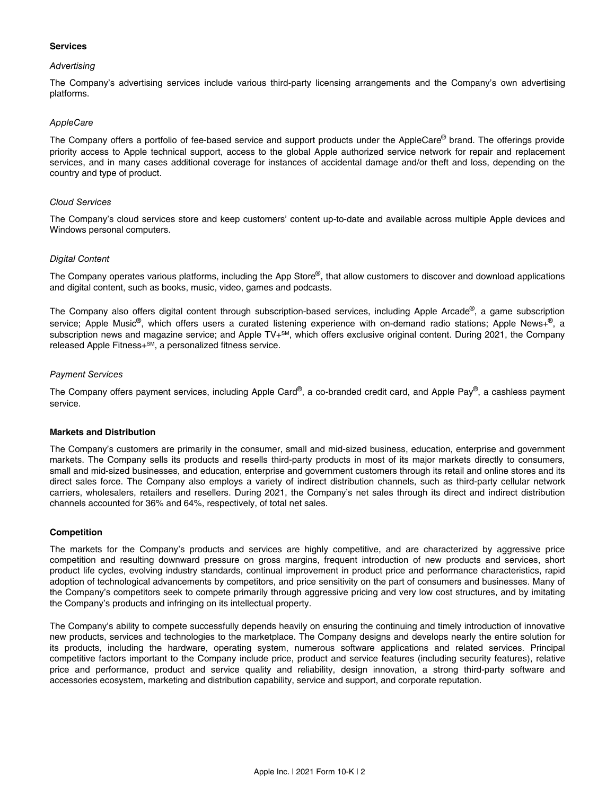#### **Services**

#### **Advertising**

The Company's advertising services include various third-party licensing arrangements and the Company's own advertising platforms.

#### **AppleCare**

The Company offers a portfolio of fee-based service and support products under the AppleCare® brand. The offerings provide priority access to Apple technical support, access to the global Apple authorized service network for repair and replacement services, and in many cases additional coverage for instances of accidental damage and/or theft and loss, depending on the country and type of product.

#### Cloud Services

The Company's cloud services store and keep customers' content up-to-date and available across multiple Apple devices and Windows personal computers.

#### Digital Content

The Company operates various platforms, including the App Store<sup>®</sup>, that allow customers to discover and download applications and digital content, such as books, music, video, games and podcasts.

The Company also offers digital content through subscription-based services, including Apple Arcade®, a game subscription service; Apple Music<sup>®</sup>, which offers users a curated listening experience with on-demand radio stations; Apple News+<sup>®</sup>, a subscription news and magazine service; and Apple TV+SM, which offers exclusive original content. During 2021, the Company released Apple Fitness+SM, a personalized fitness service.

#### Payment Services

The Company offers payment services, including Apple Card®, a co-branded credit card, and Apple Pay®, a cashless payment service.

#### **Markets and Distribution**

The Company's customers are primarily in the consumer, small and mid-sized business, education, enterprise and government markets. The Company sells its products and resells third-party products in most of its major markets directly to consumers, small and mid-sized businesses, and education, enterprise and government customers through its retail and online stores and its direct sales force. The Company also employs a variety of indirect distribution channels, such as third-party cellular network carriers, wholesalers, retailers and resellers. During 2021, the Company's net sales through its direct and indirect distribution channels accounted for 36% and 64%, respectively, of total net sales.

#### **Competition**

The markets for the Company's products and services are highly competitive, and are characterized by aggressive price competition and resulting downward pressure on gross margins, frequent introduction of new products and services, short product life cycles, evolving industry standards, continual improvement in product price and performance characteristics, rapid adoption of technological advancements by competitors, and price sensitivity on the part of consumers and businesses. Many of the Company's competitors seek to compete primarily through aggressive pricing and very low cost structures, and by imitating the Company's products and infringing on its intellectual property.

The Company's ability to compete successfully depends heavily on ensuring the continuing and timely introduction of innovative new products, services and technologies to the marketplace. The Company designs and develops nearly the entire solution for its products, including the hardware, operating system, numerous software applications and related services. Principal competitive factors important to the Company include price, product and service features (including security features), relative price and performance, product and service quality and reliability, design innovation, a strong third-party software and accessories ecosystem, marketing and distribution capability, service and support, and corporate reputation.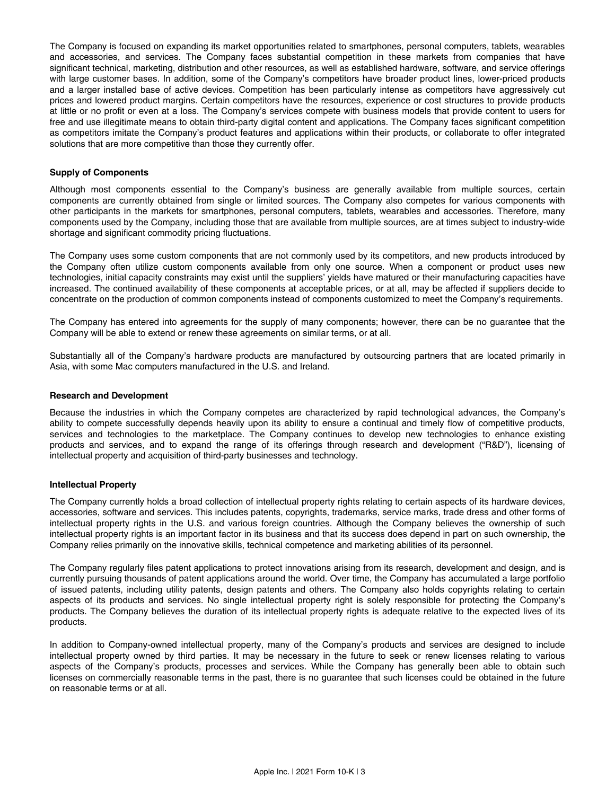The Company is focused on expanding its market opportunities related to smartphones, personal computers, tablets, wearables and accessories, and services. The Company faces substantial competition in these markets from companies that have significant technical, marketing, distribution and other resources, as well as established hardware, software, and service offerings with large customer bases. In addition, some of the Company's competitors have broader product lines, lower-priced products and a larger installed base of active devices. Competition has been particularly intense as competitors have aggressively cut prices and lowered product margins. Certain competitors have the resources, experience or cost structures to provide products at little or no profit or even at a loss. The Company's services compete with business models that provide content to users for free and use illegitimate means to obtain third-party digital content and applications. The Company faces significant competition as competitors imitate the Company's product features and applications within their products, or collaborate to offer integrated solutions that are more competitive than those they currently offer.

#### **Supply of Components**

Although most components essential to the Company's business are generally available from multiple sources, certain components are currently obtained from single or limited sources. The Company also competes for various components with other participants in the markets for smartphones, personal computers, tablets, wearables and accessories. Therefore, many components used by the Company, including those that are available from multiple sources, are at times subject to industry-wide shortage and significant commodity pricing fluctuations.

The Company uses some custom components that are not commonly used by its competitors, and new products introduced by the Company often utilize custom components available from only one source. When a component or product uses new technologies, initial capacity constraints may exist until the suppliers' yields have matured or their manufacturing capacities have increased. The continued availability of these components at acceptable prices, or at all, may be affected if suppliers decide to concentrate on the production of common components instead of components customized to meet the Company's requirements.

The Company has entered into agreements for the supply of many components; however, there can be no guarantee that the Company will be able to extend or renew these agreements on similar terms, or at all.

Substantially all of the Company's hardware products are manufactured by outsourcing partners that are located primarily in Asia, with some Mac computers manufactured in the U.S. and Ireland.

#### **Research and Development**

Because the industries in which the Company competes are characterized by rapid technological advances, the Company's ability to compete successfully depends heavily upon its ability to ensure a continual and timely flow of competitive products, services and technologies to the marketplace. The Company continues to develop new technologies to enhance existing products and services, and to expand the range of its offerings through research and development ("R&D"), licensing of intellectual property and acquisition of third-party businesses and technology.

#### **Intellectual Property**

The Company currently holds a broad collection of intellectual property rights relating to certain aspects of its hardware devices, accessories, software and services. This includes patents, copyrights, trademarks, service marks, trade dress and other forms of intellectual property rights in the U.S. and various foreign countries. Although the Company believes the ownership of such intellectual property rights is an important factor in its business and that its success does depend in part on such ownership, the Company relies primarily on the innovative skills, technical competence and marketing abilities of its personnel.

The Company regularly files patent applications to protect innovations arising from its research, development and design, and is currently pursuing thousands of patent applications around the world. Over time, the Company has accumulated a large portfolio of issued patents, including utility patents, design patents and others. The Company also holds copyrights relating to certain aspects of its products and services. No single intellectual property right is solely responsible for protecting the Company's products. The Company believes the duration of its intellectual property rights is adequate relative to the expected lives of its products.

In addition to Company-owned intellectual property, many of the Company's products and services are designed to include intellectual property owned by third parties. It may be necessary in the future to seek or renew licenses relating to various aspects of the Company's products, processes and services. While the Company has generally been able to obtain such licenses on commercially reasonable terms in the past, there is no guarantee that such licenses could be obtained in the future on reasonable terms or at all.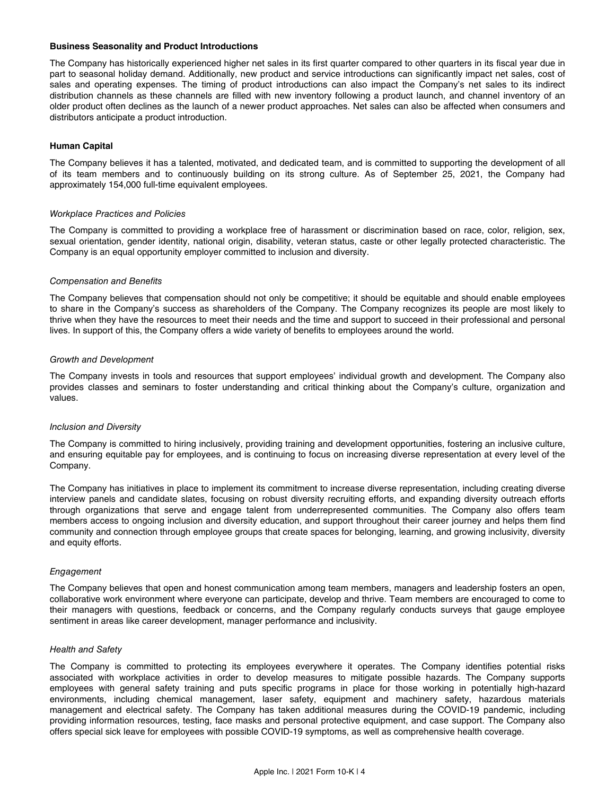#### **Business Seasonality and Product Introductions**

The Company has historically experienced higher net sales in its first quarter compared to other quarters in its fiscal year due in part to seasonal holiday demand. Additionally, new product and service introductions can significantly impact net sales, cost of sales and operating expenses. The timing of product introductions can also impact the Company's net sales to its indirect distribution channels as these channels are filled with new inventory following a product launch, and channel inventory of an older product often declines as the launch of a newer product approaches. Net sales can also be affected when consumers and distributors anticipate a product introduction.

#### **Human Capital**

The Company believes it has a talented, motivated, and dedicated team, and is committed to supporting the development of all of its team members and to continuously building on its strong culture. As of September 25, 2021, the Company had approximately 154,000 full-time equivalent employees.

#### Workplace Practices and Policies

The Company is committed to providing a workplace free of harassment or discrimination based on race, color, religion, sex, sexual orientation, gender identity, national origin, disability, veteran status, caste or other legally protected characteristic. The Company is an equal opportunity employer committed to inclusion and diversity.

#### Compensation and Benefits

The Company believes that compensation should not only be competitive; it should be equitable and should enable employees to share in the Company's success as shareholders of the Company. The Company recognizes its people are most likely to thrive when they have the resources to meet their needs and the time and support to succeed in their professional and personal lives. In support of this, the Company offers a wide variety of benefits to employees around the world.

#### Growth and Development

The Company invests in tools and resources that support employees' individual growth and development. The Company also provides classes and seminars to foster understanding and critical thinking about the Company's culture, organization and values.

#### Inclusion and Diversity

The Company is committed to hiring inclusively, providing training and development opportunities, fostering an inclusive culture, and ensuring equitable pay for employees, and is continuing to focus on increasing diverse representation at every level of the Company.

The Company has initiatives in place to implement its commitment to increase diverse representation, including creating diverse interview panels and candidate slates, focusing on robust diversity recruiting efforts, and expanding diversity outreach efforts through organizations that serve and engage talent from underrepresented communities. The Company also offers team members access to ongoing inclusion and diversity education, and support throughout their career journey and helps them find community and connection through employee groups that create spaces for belonging, learning, and growing inclusivity, diversity and equity efforts.

#### Engagement

The Company believes that open and honest communication among team members, managers and leadership fosters an open, collaborative work environment where everyone can participate, develop and thrive. Team members are encouraged to come to their managers with questions, feedback or concerns, and the Company regularly conducts surveys that gauge employee sentiment in areas like career development, manager performance and inclusivity.

#### Health and Safety

The Company is committed to protecting its employees everywhere it operates. The Company identifies potential risks associated with workplace activities in order to develop measures to mitigate possible hazards. The Company supports employees with general safety training and puts specific programs in place for those working in potentially high-hazard environments, including chemical management, laser safety, equipment and machinery safety, hazardous materials management and electrical safety. The Company has taken additional measures during the COVID-19 pandemic, including providing information resources, testing, face masks and personal protective equipment, and case support. The Company also offers special sick leave for employees with possible COVID-19 symptoms, as well as comprehensive health coverage.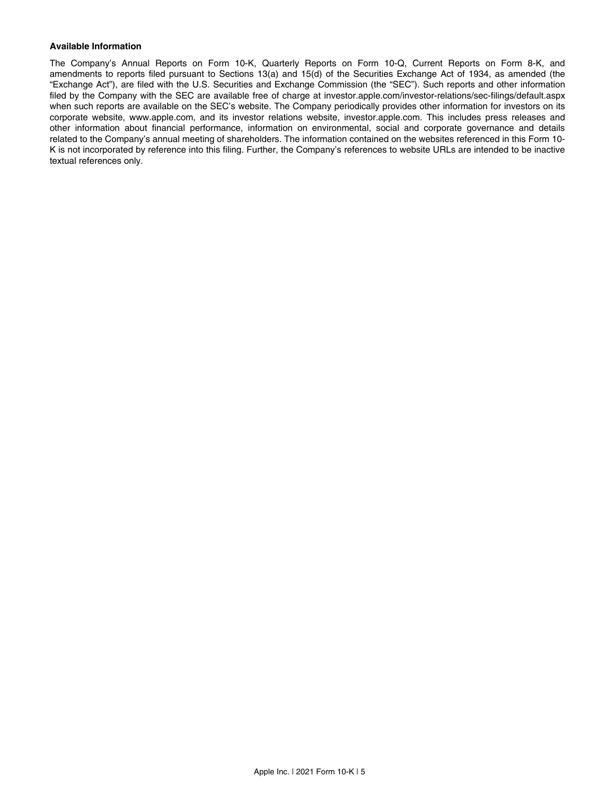#### **Available Information**

The Company's Annual Reports on Form 10-K, Quarterly Reports on Form 10-Q, Current Reports on Form 8-K, and amendments to reports filed pursuant to Sections 13(a) and 15(d) of the Securities Exchange Act of 1934, as amended (the "Exchange Act"), are filed with the U.S. Securities and Exchange Commission (the "SEC"). Such reports and other information filed by the Company with the SEC are available free of charge at investor.apple.com/investor-relations/sec-filings/default.aspx when such reports are available on the SEC's website. The Company periodically provides other information for investors on its corporate website, www.apple.com, and its investor relations website, investor.apple.com. This includes press releases and other information about financial performance, information on environmental, social and corporate governance and details related to the Company's annual meeting of shareholders. The information contained on the websites referenced in this Form 10- K is not incorporated by reference into this filing. Further, the Company's references to website URLs are intended to be inactive textual references only.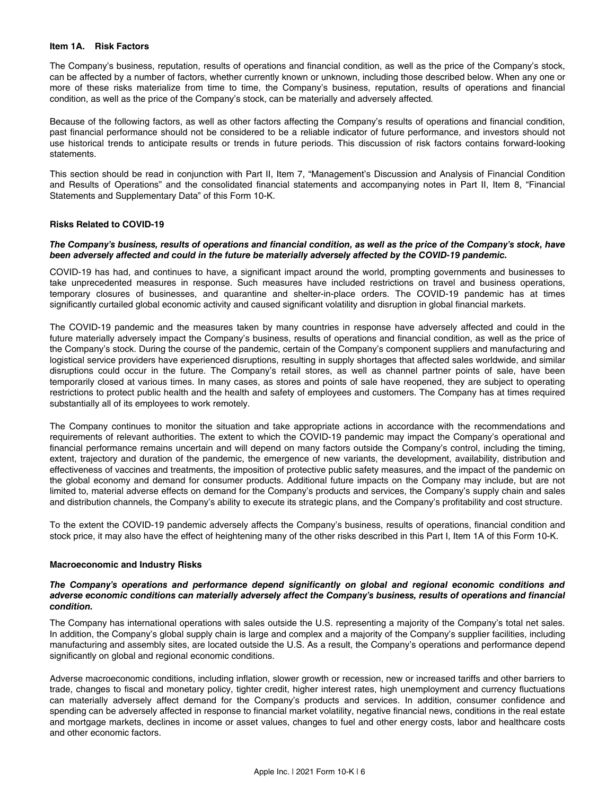#### <span id="page-8-0"></span>**Item 1A. Risk Factors**

The Company's business, reputation, results of operations and financial condition, as well as the price of the Company's stock, can be affected by a number of factors, whether currently known or unknown, including those described below. When any one or more of these risks materialize from time to time, the Company's business, reputation, results of operations and financial condition, as well as the price of the Company's stock, can be materially and adversely affected.

Because of the following factors, as well as other factors affecting the Company's results of operations and financial condition, past financial performance should not be considered to be a reliable indicator of future performance, and investors should not use historical trends to anticipate results or trends in future periods. This discussion of risk factors contains forward-looking statements.

This section should be read in conjunction with Part II, Item 7, "Management's Discussion and Analysis of Financial Condition and Results of Operations" and the consolidated financial statements and accompanying notes in Part II, Item 8, "Financial Statements and Supplementary Data" of this Form 10-K.

## **Risks Related to COVID-19**

#### **The Company's business, results of operations and financial condition, as well as the price of the Company's stock, have been adversely affected and could in the future be materially adversely affected by the COVID-19 pandemic.**

COVID-19 has had, and continues to have, a significant impact around the world, prompting governments and businesses to take unprecedented measures in response. Such measures have included restrictions on travel and business operations, temporary closures of businesses, and quarantine and shelter-in-place orders. The COVID-19 pandemic has at times significantly curtailed global economic activity and caused significant volatility and disruption in global financial markets.

The COVID-19 pandemic and the measures taken by many countries in response have adversely affected and could in the future materially adversely impact the Company's business, results of operations and financial condition, as well as the price of the Company's stock. During the course of the pandemic, certain of the Company's component suppliers and manufacturing and logistical service providers have experienced disruptions, resulting in supply shortages that affected sales worldwide, and similar disruptions could occur in the future. The Company's retail stores, as well as channel partner points of sale, have been temporarily closed at various times. In many cases, as stores and points of sale have reopened, they are subject to operating restrictions to protect public health and the health and safety of employees and customers. The Company has at times required substantially all of its employees to work remotely.

The Company continues to monitor the situation and take appropriate actions in accordance with the recommendations and requirements of relevant authorities. The extent to which the COVID-19 pandemic may impact the Company's operational and financial performance remains uncertain and will depend on many factors outside the Company's control, including the timing, extent, trajectory and duration of the pandemic, the emergence of new variants, the development, availability, distribution and effectiveness of vaccines and treatments, the imposition of protective public safety measures, and the impact of the pandemic on the global economy and demand for consumer products. Additional future impacts on the Company may include, but are not limited to, material adverse effects on demand for the Company's products and services, the Company's supply chain and sales and distribution channels, the Company's ability to execute its strategic plans, and the Company's profitability and cost structure.

To the extent the COVID-19 pandemic adversely affects the Company's business, results of operations, financial condition and stock price, it may also have the effect of heightening many of the other risks described in this Part I, Item 1A of this Form 10-K.

#### **Macroeconomic and Industry Risks**

#### **The Company's operations and performance depend significantly on global and regional economic conditions and adverse economic conditions can materially adversely affect the Company's business, results of operations and financial condition.**

The Company has international operations with sales outside the U.S. representing a majority of the Company's total net sales. In addition, the Company's global supply chain is large and complex and a majority of the Company's supplier facilities, including manufacturing and assembly sites, are located outside the U.S. As a result, the Company's operations and performance depend significantly on global and regional economic conditions.

Adverse macroeconomic conditions, including inflation, slower growth or recession, new or increased tariffs and other barriers to trade, changes to fiscal and monetary policy, tighter credit, higher interest rates, high unemployment and currency fluctuations can materially adversely affect demand for the Company's products and services. In addition, consumer confidence and spending can be adversely affected in response to financial market volatility, negative financial news, conditions in the real estate and mortgage markets, declines in income or asset values, changes to fuel and other energy costs, labor and healthcare costs and other economic factors.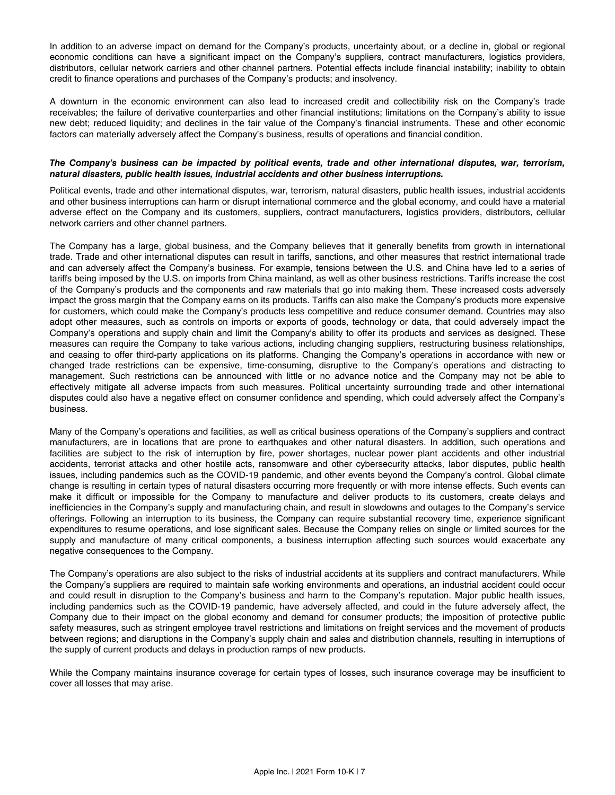In addition to an adverse impact on demand for the Company's products, uncertainty about, or a decline in, global or regional economic conditions can have a significant impact on the Company's suppliers, contract manufacturers, logistics providers, distributors, cellular network carriers and other channel partners. Potential effects include financial instability; inability to obtain credit to finance operations and purchases of the Company's products; and insolvency.

A downturn in the economic environment can also lead to increased credit and collectibility risk on the Company's trade receivables; the failure of derivative counterparties and other financial institutions; limitations on the Company's ability to issue new debt; reduced liquidity; and declines in the fair value of the Company's financial instruments. These and other economic factors can materially adversely affect the Company's business, results of operations and financial condition.

#### **The Company's business can be impacted by political events, trade and other international disputes, war, terrorism, natural disasters, public health issues, industrial accidents and other business interruptions.**

Political events, trade and other international disputes, war, terrorism, natural disasters, public health issues, industrial accidents and other business interruptions can harm or disrupt international commerce and the global economy, and could have a material adverse effect on the Company and its customers, suppliers, contract manufacturers, logistics providers, distributors, cellular network carriers and other channel partners.

The Company has a large, global business, and the Company believes that it generally benefits from growth in international trade. Trade and other international disputes can result in tariffs, sanctions, and other measures that restrict international trade and can adversely affect the Company's business. For example, tensions between the U.S. and China have led to a series of tariffs being imposed by the U.S. on imports from China mainland, as well as other business restrictions. Tariffs increase the cost of the Company's products and the components and raw materials that go into making them. These increased costs adversely impact the gross margin that the Company earns on its products. Tariffs can also make the Company's products more expensive for customers, which could make the Company's products less competitive and reduce consumer demand. Countries may also adopt other measures, such as controls on imports or exports of goods, technology or data, that could adversely impact the Company's operations and supply chain and limit the Company's ability to offer its products and services as designed. These measures can require the Company to take various actions, including changing suppliers, restructuring business relationships, and ceasing to offer third-party applications on its platforms. Changing the Company's operations in accordance with new or changed trade restrictions can be expensive, time-consuming, disruptive to the Company's operations and distracting to management. Such restrictions can be announced with little or no advance notice and the Company may not be able to effectively mitigate all adverse impacts from such measures. Political uncertainty surrounding trade and other international disputes could also have a negative effect on consumer confidence and spending, which could adversely affect the Company's business.

Many of the Company's operations and facilities, as well as critical business operations of the Company's suppliers and contract manufacturers, are in locations that are prone to earthquakes and other natural disasters. In addition, such operations and facilities are subject to the risk of interruption by fire, power shortages, nuclear power plant accidents and other industrial accidents, terrorist attacks and other hostile acts, ransomware and other cybersecurity attacks, labor disputes, public health issues, including pandemics such as the COVID-19 pandemic, and other events beyond the Company's control. Global climate change is resulting in certain types of natural disasters occurring more frequently or with more intense effects. Such events can make it difficult or impossible for the Company to manufacture and deliver products to its customers, create delays and inefficiencies in the Company's supply and manufacturing chain, and result in slowdowns and outages to the Company's service offerings. Following an interruption to its business, the Company can require substantial recovery time, experience significant expenditures to resume operations, and lose significant sales. Because the Company relies on single or limited sources for the supply and manufacture of many critical components, a business interruption affecting such sources would exacerbate any negative consequences to the Company.

The Company's operations are also subject to the risks of industrial accidents at its suppliers and contract manufacturers. While the Company's suppliers are required to maintain safe working environments and operations, an industrial accident could occur and could result in disruption to the Company's business and harm to the Company's reputation. Major public health issues, including pandemics such as the COVID-19 pandemic, have adversely affected, and could in the future adversely affect, the Company due to their impact on the global economy and demand for consumer products; the imposition of protective public safety measures, such as stringent employee travel restrictions and limitations on freight services and the movement of products between regions; and disruptions in the Company's supply chain and sales and distribution channels, resulting in interruptions of the supply of current products and delays in production ramps of new products.

While the Company maintains insurance coverage for certain types of losses, such insurance coverage may be insufficient to cover all losses that may arise.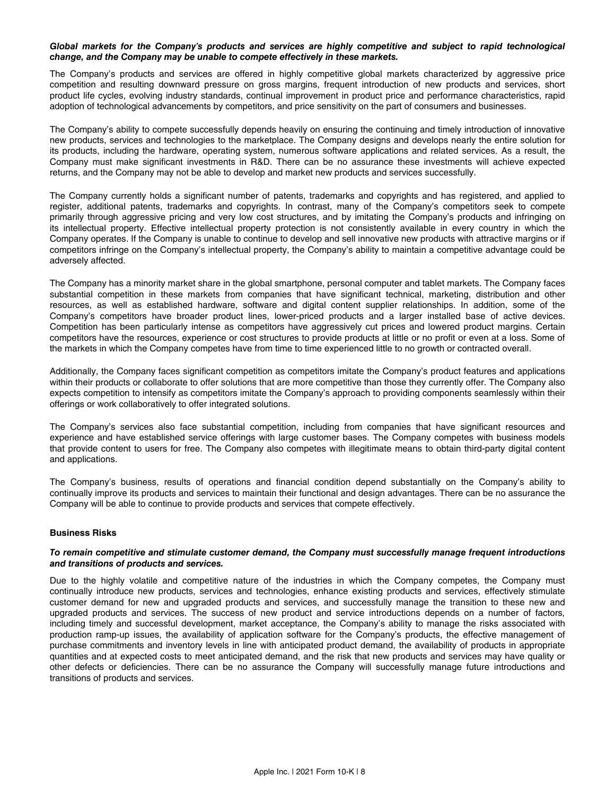#### **Global markets for the Company's products and services are highly competitive and subject to rapid technological change, and the Company may be unable to compete effectively in these markets.**

The Company's products and services are offered in highly competitive global markets characterized by aggressive price competition and resulting downward pressure on gross margins, frequent introduction of new products and services, short product life cycles, evolving industry standards, continual improvement in product price and performance characteristics, rapid adoption of technological advancements by competitors, and price sensitivity on the part of consumers and businesses.

The Company's ability to compete successfully depends heavily on ensuring the continuing and timely introduction of innovative new products, services and technologies to the marketplace. The Company designs and develops nearly the entire solution for its products, including the hardware, operating system, numerous software applications and related services. As a result, the Company must make significant investments in R&D. There can be no assurance these investments will achieve expected returns, and the Company may not be able to develop and market new products and services successfully.

The Company currently holds a significant number of patents, trademarks and copyrights and has registered, and applied to register, additional patents, trademarks and copyrights. In contrast, many of the Company's competitors seek to compete primarily through aggressive pricing and very low cost structures, and by imitating the Company's products and infringing on its intellectual property. Effective intellectual property protection is not consistently available in every country in which the Company operates. If the Company is unable to continue to develop and sell innovative new products with attractive margins or if competitors infringe on the Company's intellectual property, the Company's ability to maintain a competitive advantage could be adversely affected.

The Company has a minority market share in the global smartphone, personal computer and tablet markets. The Company faces substantial competition in these markets from companies that have significant technical, marketing, distribution and other resources, as well as established hardware, software and digital content supplier relationships. In addition, some of the Company's competitors have broader product lines, lower-priced products and a larger installed base of active devices. Competition has been particularly intense as competitors have aggressively cut prices and lowered product margins. Certain competitors have the resources, experience or cost structures to provide products at little or no profit or even at a loss. Some of the markets in which the Company competes have from time to time experienced little to no growth or contracted overall.

Additionally, the Company faces significant competition as competitors imitate the Company's product features and applications within their products or collaborate to offer solutions that are more competitive than those they currently offer. The Company also expects competition to intensify as competitors imitate the Company's approach to providing components seamlessly within their offerings or work collaboratively to offer integrated solutions.

The Company's services also face substantial competition, including from companies that have significant resources and experience and have established service offerings with large customer bases. The Company competes with business models that provide content to users for free. The Company also competes with illegitimate means to obtain third-party digital content and applications.

The Company's business, results of operations and financial condition depend substantially on the Company's ability to continually improve its products and services to maintain their functional and design advantages. There can be no assurance the Company will be able to continue to provide products and services that compete effectively.

## **Business Risks**

## **To remain competitive and stimulate customer demand, the Company must successfully manage frequent introductions and transitions of products and services.**

Due to the highly volatile and competitive nature of the industries in which the Company competes, the Company must continually introduce new products, services and technologies, enhance existing products and services, effectively stimulate customer demand for new and upgraded products and services, and successfully manage the transition to these new and upgraded products and services. The success of new product and service introductions depends on a number of factors, including timely and successful development, market acceptance, the Company's ability to manage the risks associated with production ramp-up issues, the availability of application software for the Company's products, the effective management of purchase commitments and inventory levels in line with anticipated product demand, the availability of products in appropriate quantities and at expected costs to meet anticipated demand, and the risk that new products and services may have quality or other defects or deficiencies. There can be no assurance the Company will successfully manage future introductions and transitions of products and services.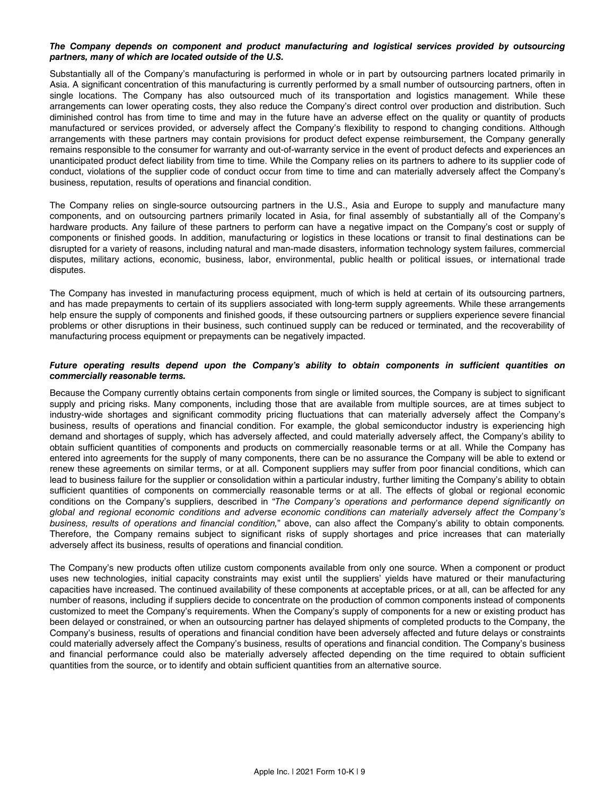## **The Company depends on component and product manufacturing and logistical services provided by outsourcing partners, many of which are located outside of the U.S.**

Substantially all of the Company's manufacturing is performed in whole or in part by outsourcing partners located primarily in Asia. A significant concentration of this manufacturing is currently performed by a small number of outsourcing partners, often in single locations. The Company has also outsourced much of its transportation and logistics management. While these arrangements can lower operating costs, they also reduce the Company's direct control over production and distribution. Such diminished control has from time to time and may in the future have an adverse effect on the quality or quantity of products manufactured or services provided, or adversely affect the Company's flexibility to respond to changing conditions. Although arrangements with these partners may contain provisions for product defect expense reimbursement, the Company generally remains responsible to the consumer for warranty and out-of-warranty service in the event of product defects and experiences an unanticipated product defect liability from time to time. While the Company relies on its partners to adhere to its supplier code of conduct, violations of the supplier code of conduct occur from time to time and can materially adversely affect the Company's business, reputation, results of operations and financial condition.

The Company relies on single-source outsourcing partners in the U.S., Asia and Europe to supply and manufacture many components, and on outsourcing partners primarily located in Asia, for final assembly of substantially all of the Company's hardware products. Any failure of these partners to perform can have a negative impact on the Company's cost or supply of components or finished goods. In addition, manufacturing or logistics in these locations or transit to final destinations can be disrupted for a variety of reasons, including natural and man-made disasters, information technology system failures, commercial disputes, military actions, economic, business, labor, environmental, public health or political issues, or international trade disputes.

The Company has invested in manufacturing process equipment, much of which is held at certain of its outsourcing partners, and has made prepayments to certain of its suppliers associated with long-term supply agreements. While these arrangements help ensure the supply of components and finished goods, if these outsourcing partners or suppliers experience severe financial problems or other disruptions in their business, such continued supply can be reduced or terminated, and the recoverability of manufacturing process equipment or prepayments can be negatively impacted.

#### **Future operating results depend upon the Company's ability to obtain components in sufficient quantities on commercially reasonable terms.**

Because the Company currently obtains certain components from single or limited sources, the Company is subject to significant supply and pricing risks. Many components, including those that are available from multiple sources, are at times subject to industry-wide shortages and significant commodity pricing fluctuations that can materially adversely affect the Company's business, results of operations and financial condition. For example, the global semiconductor industry is experiencing high demand and shortages of supply, which has adversely affected, and could materially adversely affect, the Company's ability to obtain sufficient quantities of components and products on commercially reasonable terms or at all. While the Company has entered into agreements for the supply of many components, there can be no assurance the Company will be able to extend or renew these agreements on similar terms, or at all. Component suppliers may suffer from poor financial conditions, which can lead to business failure for the supplier or consolidation within a particular industry, further limiting the Company's ability to obtain sufficient quantities of components on commercially reasonable terms or at all. The effects of global or regional economic conditions on the Company's suppliers, described in "The Company's operations and performance depend significantly on global and regional economic conditions and adverse economic conditions can materially adversely affect the Company's business, results of operations and financial condition," above, can also affect the Company's ability to obtain components. Therefore, the Company remains subject to significant risks of supply shortages and price increases that can materially adversely affect its business, results of operations and financial condition.

The Company's new products often utilize custom components available from only one source. When a component or product uses new technologies, initial capacity constraints may exist until the suppliers' yields have matured or their manufacturing capacities have increased. The continued availability of these components at acceptable prices, or at all, can be affected for any number of reasons, including if suppliers decide to concentrate on the production of common components instead of components customized to meet the Company's requirements. When the Company's supply of components for a new or existing product has been delayed or constrained, or when an outsourcing partner has delayed shipments of completed products to the Company, the Company's business, results of operations and financial condition have been adversely affected and future delays or constraints could materially adversely affect the Company's business, results of operations and financial condition. The Company's business and financial performance could also be materially adversely affected depending on the time required to obtain sufficient quantities from the source, or to identify and obtain sufficient quantities from an alternative source.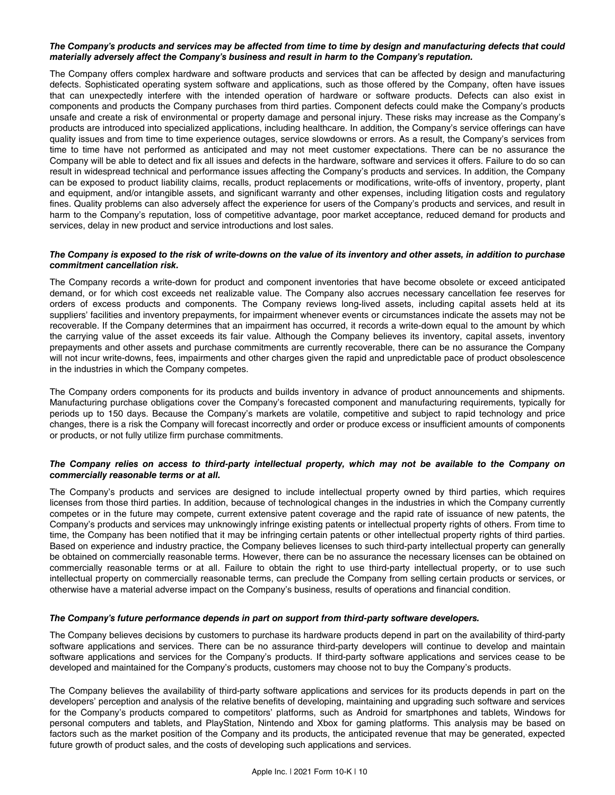## **The Company's products and services may be affected from time to time by design and manufacturing defects that could materially adversely affect the Company's business and result in harm to the Company's reputation.**

The Company offers complex hardware and software products and services that can be affected by design and manufacturing defects. Sophisticated operating system software and applications, such as those offered by the Company, often have issues that can unexpectedly interfere with the intended operation of hardware or software products. Defects can also exist in components and products the Company purchases from third parties. Component defects could make the Company's products unsafe and create a risk of environmental or property damage and personal injury. These risks may increase as the Company's products are introduced into specialized applications, including healthcare. In addition, the Company's service offerings can have quality issues and from time to time experience outages, service slowdowns or errors. As a result, the Company's services from time to time have not performed as anticipated and may not meet customer expectations. There can be no assurance the Company will be able to detect and fix all issues and defects in the hardware, software and services it offers. Failure to do so can result in widespread technical and performance issues affecting the Company's products and services. In addition, the Company can be exposed to product liability claims, recalls, product replacements or modifications, write-offs of inventory, property, plant and equipment, and/or intangible assets, and significant warranty and other expenses, including litigation costs and regulatory fines. Quality problems can also adversely affect the experience for users of the Company's products and services, and result in harm to the Company's reputation, loss of competitive advantage, poor market acceptance, reduced demand for products and services, delay in new product and service introductions and lost sales.

#### **The Company is exposed to the risk of write-downs on the value of its inventory and other assets, in addition to purchase commitment cancellation risk.**

The Company records a write-down for product and component inventories that have become obsolete or exceed anticipated demand, or for which cost exceeds net realizable value. The Company also accrues necessary cancellation fee reserves for orders of excess products and components. The Company reviews long-lived assets, including capital assets held at its suppliers' facilities and inventory prepayments, for impairment whenever events or circumstances indicate the assets may not be recoverable. If the Company determines that an impairment has occurred, it records a write-down equal to the amount by which the carrying value of the asset exceeds its fair value. Although the Company believes its inventory, capital assets, inventory prepayments and other assets and purchase commitments are currently recoverable, there can be no assurance the Company will not incur write-downs, fees, impairments and other charges given the rapid and unpredictable pace of product obsolescence in the industries in which the Company competes.

The Company orders components for its products and builds inventory in advance of product announcements and shipments. Manufacturing purchase obligations cover the Company's forecasted component and manufacturing requirements, typically for periods up to 150 days. Because the Company's markets are volatile, competitive and subject to rapid technology and price changes, there is a risk the Company will forecast incorrectly and order or produce excess or insufficient amounts of components or products, or not fully utilize firm purchase commitments.

#### **The Company relies on access to third-party intellectual property, which may not be available to the Company on commercially reasonable terms or at all.**

The Company's products and services are designed to include intellectual property owned by third parties, which requires licenses from those third parties. In addition, because of technological changes in the industries in which the Company currently competes or in the future may compete, current extensive patent coverage and the rapid rate of issuance of new patents, the Company's products and services may unknowingly infringe existing patents or intellectual property rights of others. From time to time, the Company has been notified that it may be infringing certain patents or other intellectual property rights of third parties. Based on experience and industry practice, the Company believes licenses to such third-party intellectual property can generally be obtained on commercially reasonable terms. However, there can be no assurance the necessary licenses can be obtained on commercially reasonable terms or at all. Failure to obtain the right to use third-party intellectual property, or to use such intellectual property on commercially reasonable terms, can preclude the Company from selling certain products or services, or otherwise have a material adverse impact on the Company's business, results of operations and financial condition.

## **The Company's future performance depends in part on support from third-party software developers.**

The Company believes decisions by customers to purchase its hardware products depend in part on the availability of third-party software applications and services. There can be no assurance third-party developers will continue to develop and maintain software applications and services for the Company's products. If third-party software applications and services cease to be developed and maintained for the Company's products, customers may choose not to buy the Company's products.

The Company believes the availability of third-party software applications and services for its products depends in part on the developers' perception and analysis of the relative benefits of developing, maintaining and upgrading such software and services for the Company's products compared to competitors' platforms, such as Android for smartphones and tablets, Windows for personal computers and tablets, and PlayStation, Nintendo and Xbox for gaming platforms. This analysis may be based on factors such as the market position of the Company and its products, the anticipated revenue that may be generated, expected future growth of product sales, and the costs of developing such applications and services.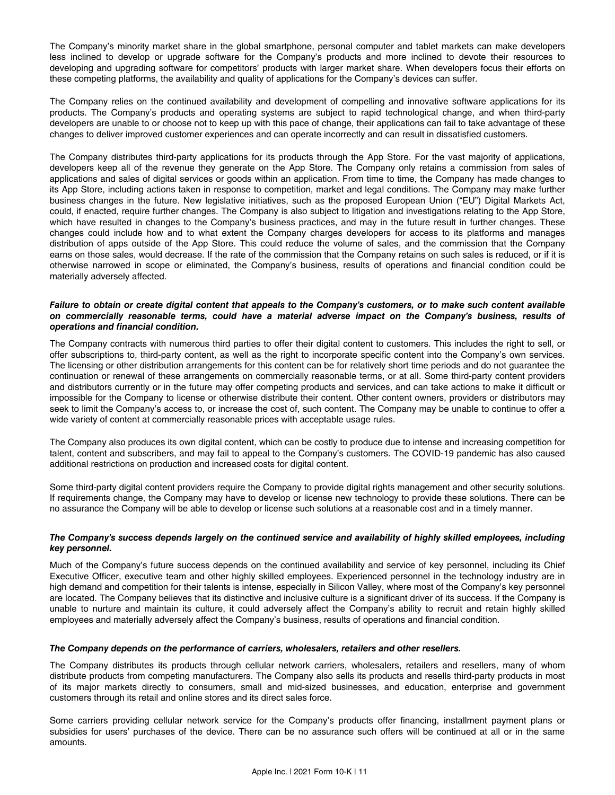The Company's minority market share in the global smartphone, personal computer and tablet markets can make developers less inclined to develop or upgrade software for the Company's products and more inclined to devote their resources to developing and upgrading software for competitors' products with larger market share. When developers focus their efforts on these competing platforms, the availability and quality of applications for the Company's devices can suffer.

The Company relies on the continued availability and development of compelling and innovative software applications for its products. The Company's products and operating systems are subject to rapid technological change, and when third-party developers are unable to or choose not to keep up with this pace of change, their applications can fail to take advantage of these changes to deliver improved customer experiences and can operate incorrectly and can result in dissatisfied customers.

The Company distributes third-party applications for its products through the App Store. For the vast majority of applications, developers keep all of the revenue they generate on the App Store. The Company only retains a commission from sales of applications and sales of digital services or goods within an application. From time to time, the Company has made changes to its App Store, including actions taken in response to competition, market and legal conditions. The Company may make further business changes in the future. New legislative initiatives, such as the proposed European Union ("EU") Digital Markets Act, could, if enacted, require further changes. The Company is also subject to litigation and investigations relating to the App Store, which have resulted in changes to the Company's business practices, and may in the future result in further changes. These changes could include how and to what extent the Company charges developers for access to its platforms and manages distribution of apps outside of the App Store. This could reduce the volume of sales, and the commission that the Company earns on those sales, would decrease. If the rate of the commission that the Company retains on such sales is reduced, or if it is otherwise narrowed in scope or eliminated, the Company's business, results of operations and financial condition could be materially adversely affected.

#### **Failure to obtain or create digital content that appeals to the Company's customers, or to make such content available on commercially reasonable terms, could have a material adverse impact on the Company's business, results of operations and financial condition.**

The Company contracts with numerous third parties to offer their digital content to customers. This includes the right to sell, or offer subscriptions to, third-party content, as well as the right to incorporate specific content into the Company's own services. The licensing or other distribution arrangements for this content can be for relatively short time periods and do not guarantee the continuation or renewal of these arrangements on commercially reasonable terms, or at all. Some third-party content providers and distributors currently or in the future may offer competing products and services, and can take actions to make it difficult or impossible for the Company to license or otherwise distribute their content. Other content owners, providers or distributors may seek to limit the Company's access to, or increase the cost of, such content. The Company may be unable to continue to offer a wide variety of content at commercially reasonable prices with acceptable usage rules.

The Company also produces its own digital content, which can be costly to produce due to intense and increasing competition for talent, content and subscribers, and may fail to appeal to the Company's customers. The COVID-19 pandemic has also caused additional restrictions on production and increased costs for digital content.

Some third-party digital content providers require the Company to provide digital rights management and other security solutions. If requirements change, the Company may have to develop or license new technology to provide these solutions. There can be no assurance the Company will be able to develop or license such solutions at a reasonable cost and in a timely manner.

## **The Company's success depends largely on the continued service and availability of highly skilled employees, including key personnel.**

Much of the Company's future success depends on the continued availability and service of key personnel, including its Chief Executive Officer, executive team and other highly skilled employees. Experienced personnel in the technology industry are in high demand and competition for their talents is intense, especially in Silicon Valley, where most of the Company's key personnel are located. The Company believes that its distinctive and inclusive culture is a significant driver of its success. If the Company is unable to nurture and maintain its culture, it could adversely affect the Company's ability to recruit and retain highly skilled employees and materially adversely affect the Company's business, results of operations and financial condition.

## **The Company depends on the performance of carriers, wholesalers, retailers and other resellers.**

The Company distributes its products through cellular network carriers, wholesalers, retailers and resellers, many of whom distribute products from competing manufacturers. The Company also sells its products and resells third-party products in most of its major markets directly to consumers, small and mid-sized businesses, and education, enterprise and government customers through its retail and online stores and its direct sales force.

Some carriers providing cellular network service for the Company's products offer financing, installment payment plans or subsidies for users' purchases of the device. There can be no assurance such offers will be continued at all or in the same amounts.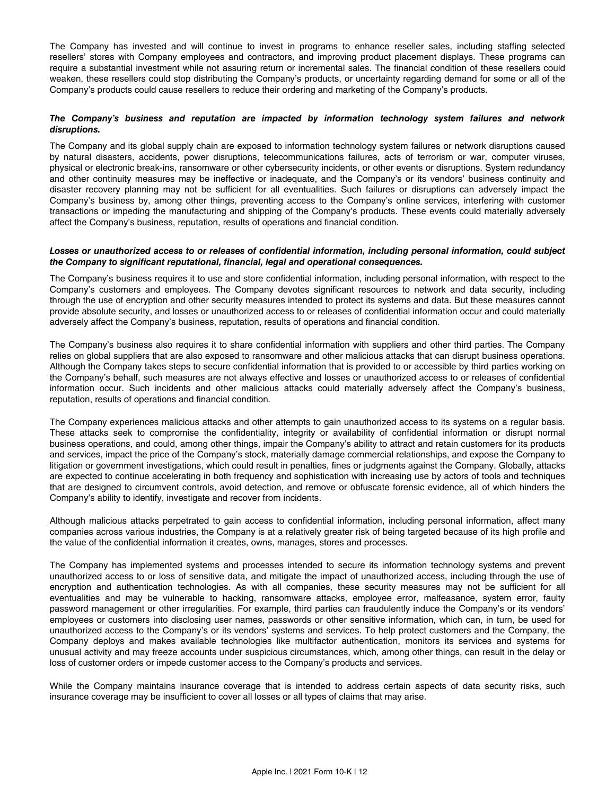The Company has invested and will continue to invest in programs to enhance reseller sales, including staffing selected resellers' stores with Company employees and contractors, and improving product placement displays. These programs can require a substantial investment while not assuring return or incremental sales. The financial condition of these resellers could weaken, these resellers could stop distributing the Company's products, or uncertainty regarding demand for some or all of the Company's products could cause resellers to reduce their ordering and marketing of the Company's products.

## **The Company's business and reputation are impacted by information technology system failures and network disruptions.**

The Company and its global supply chain are exposed to information technology system failures or network disruptions caused by natural disasters, accidents, power disruptions, telecommunications failures, acts of terrorism or war, computer viruses, physical or electronic break-ins, ransomware or other cybersecurity incidents, or other events or disruptions. System redundancy and other continuity measures may be ineffective or inadequate, and the Company's or its vendors' business continuity and disaster recovery planning may not be sufficient for all eventualities. Such failures or disruptions can adversely impact the Company's business by, among other things, preventing access to the Company's online services, interfering with customer transactions or impeding the manufacturing and shipping of the Company's products. These events could materially adversely affect the Company's business, reputation, results of operations and financial condition.

#### **Losses or unauthorized access to or releases of confidential information, including personal information, could subject the Company to significant reputational, financial, legal and operational consequences.**

The Company's business requires it to use and store confidential information, including personal information, with respect to the Company's customers and employees. The Company devotes significant resources to network and data security, including through the use of encryption and other security measures intended to protect its systems and data. But these measures cannot provide absolute security, and losses or unauthorized access to or releases of confidential information occur and could materially adversely affect the Company's business, reputation, results of operations and financial condition.

The Company's business also requires it to share confidential information with suppliers and other third parties. The Company relies on global suppliers that are also exposed to ransomware and other malicious attacks that can disrupt business operations. Although the Company takes steps to secure confidential information that is provided to or accessible by third parties working on the Company's behalf, such measures are not always effective and losses or unauthorized access to or releases of confidential information occur. Such incidents and other malicious attacks could materially adversely affect the Company's business, reputation, results of operations and financial condition.

The Company experiences malicious attacks and other attempts to gain unauthorized access to its systems on a regular basis. These attacks seek to compromise the confidentiality, integrity or availability of confidential information or disrupt normal business operations, and could, among other things, impair the Company's ability to attract and retain customers for its products and services, impact the price of the Company's stock, materially damage commercial relationships, and expose the Company to litigation or government investigations, which could result in penalties, fines or judgments against the Company. Globally, attacks are expected to continue accelerating in both frequency and sophistication with increasing use by actors of tools and techniques that are designed to circumvent controls, avoid detection, and remove or obfuscate forensic evidence, all of which hinders the Company's ability to identify, investigate and recover from incidents.

Although malicious attacks perpetrated to gain access to confidential information, including personal information, affect many companies across various industries, the Company is at a relatively greater risk of being targeted because of its high profile and the value of the confidential information it creates, owns, manages, stores and processes.

The Company has implemented systems and processes intended to secure its information technology systems and prevent unauthorized access to or loss of sensitive data, and mitigate the impact of unauthorized access, including through the use of encryption and authentication technologies. As with all companies, these security measures may not be sufficient for all eventualities and may be vulnerable to hacking, ransomware attacks, employee error, malfeasance, system error, faulty password management or other irregularities. For example, third parties can fraudulently induce the Company's or its vendors' employees or customers into disclosing user names, passwords or other sensitive information, which can, in turn, be used for unauthorized access to the Company's or its vendors' systems and services. To help protect customers and the Company, the Company deploys and makes available technologies like multifactor authentication, monitors its services and systems for unusual activity and may freeze accounts under suspicious circumstances, which, among other things, can result in the delay or loss of customer orders or impede customer access to the Company's products and services.

While the Company maintains insurance coverage that is intended to address certain aspects of data security risks, such insurance coverage may be insufficient to cover all losses or all types of claims that may arise.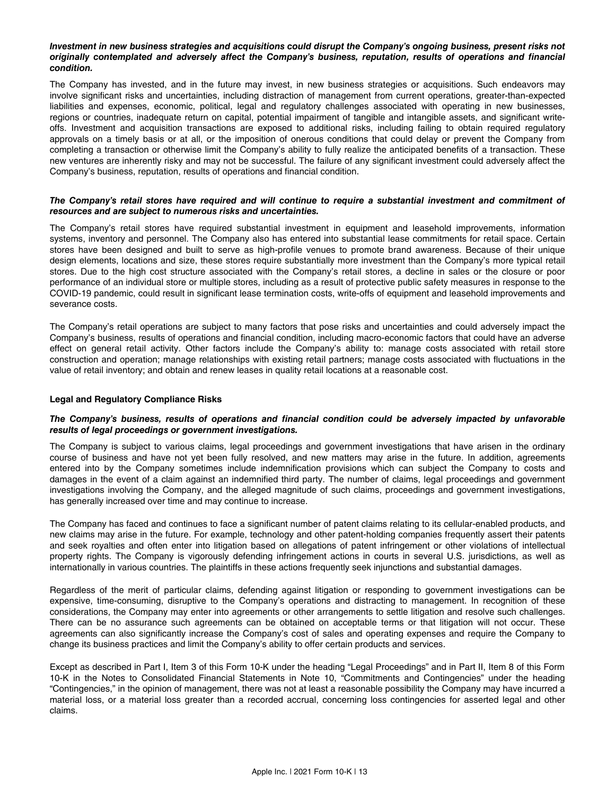#### **Investment in new business strategies and acquisitions could disrupt the Company's ongoing business, present risks not originally contemplated and adversely affect the Company's business, reputation, results of operations and financial condition.**

The Company has invested, and in the future may invest, in new business strategies or acquisitions. Such endeavors may involve significant risks and uncertainties, including distraction of management from current operations, greater-than-expected liabilities and expenses, economic, political, legal and regulatory challenges associated with operating in new businesses, regions or countries, inadequate return on capital, potential impairment of tangible and intangible assets, and significant writeoffs. Investment and acquisition transactions are exposed to additional risks, including failing to obtain required regulatory approvals on a timely basis or at all, or the imposition of onerous conditions that could delay or prevent the Company from completing a transaction or otherwise limit the Company's ability to fully realize the anticipated benefits of a transaction. These new ventures are inherently risky and may not be successful. The failure of any significant investment could adversely affect the Company's business, reputation, results of operations and financial condition.

## **The Company's retail stores have required and will continue to require a substantial investment and commitment of resources and are subject to numerous risks and uncertainties.**

The Company's retail stores have required substantial investment in equipment and leasehold improvements, information systems, inventory and personnel. The Company also has entered into substantial lease commitments for retail space. Certain stores have been designed and built to serve as high-profile venues to promote brand awareness. Because of their unique design elements, locations and size, these stores require substantially more investment than the Company's more typical retail stores. Due to the high cost structure associated with the Company's retail stores, a decline in sales or the closure or poor performance of an individual store or multiple stores, including as a result of protective public safety measures in response to the COVID-19 pandemic, could result in significant lease termination costs, write-offs of equipment and leasehold improvements and severance costs.

The Company's retail operations are subject to many factors that pose risks and uncertainties and could adversely impact the Company's business, results of operations and financial condition, including macro-economic factors that could have an adverse effect on general retail activity. Other factors include the Company's ability to: manage costs associated with retail store construction and operation; manage relationships with existing retail partners; manage costs associated with fluctuations in the value of retail inventory; and obtain and renew leases in quality retail locations at a reasonable cost.

## **Legal and Regulatory Compliance Risks**

#### **The Company's business, results of operations and financial condition could be adversely impacted by unfavorable results of legal proceedings or government investigations.**

The Company is subject to various claims, legal proceedings and government investigations that have arisen in the ordinary course of business and have not yet been fully resolved, and new matters may arise in the future. In addition, agreements entered into by the Company sometimes include indemnification provisions which can subject the Company to costs and damages in the event of a claim against an indemnified third party. The number of claims, legal proceedings and government investigations involving the Company, and the alleged magnitude of such claims, proceedings and government investigations, has generally increased over time and may continue to increase.

The Company has faced and continues to face a significant number of patent claims relating to its cellular-enabled products, and new claims may arise in the future. For example, technology and other patent-holding companies frequently assert their patents and seek royalties and often enter into litigation based on allegations of patent infringement or other violations of intellectual property rights. The Company is vigorously defending infringement actions in courts in several U.S. jurisdictions, as well as internationally in various countries. The plaintiffs in these actions frequently seek injunctions and substantial damages.

Regardless of the merit of particular claims, defending against litigation or responding to government investigations can be expensive, time-consuming, disruptive to the Company's operations and distracting to management. In recognition of these considerations, the Company may enter into agreements or other arrangements to settle litigation and resolve such challenges. There can be no assurance such agreements can be obtained on acceptable terms or that litigation will not occur. These agreements can also significantly increase the Company's cost of sales and operating expenses and require the Company to change its business practices and limit the Company's ability to offer certain products and services.

Except as described in Part I, Item 3 of this Form 10-K under the heading "Legal Proceedings" and in Part II, Item 8 of this Form 10-K in the Notes to Consolidated Financial Statements in Note 10, "Commitments and Contingencies" under the heading "Contingencies," in the opinion of management, there was not at least a reasonable possibility the Company may have incurred a material loss, or a material loss greater than a recorded accrual, concerning loss contingencies for asserted legal and other claims.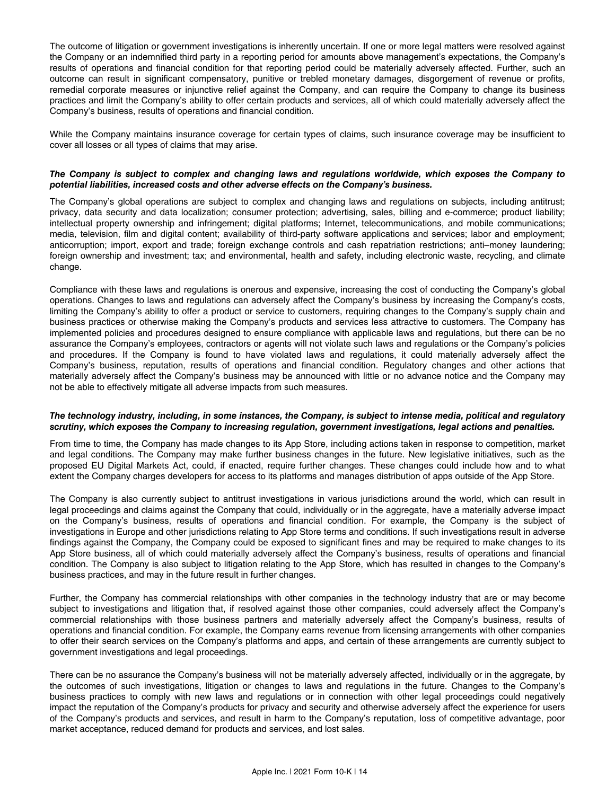The outcome of litigation or government investigations is inherently uncertain. If one or more legal matters were resolved against the Company or an indemnified third party in a reporting period for amounts above management's expectations, the Company's results of operations and financial condition for that reporting period could be materially adversely affected. Further, such an outcome can result in significant compensatory, punitive or trebled monetary damages, disgorgement of revenue or profits, remedial corporate measures or injunctive relief against the Company, and can require the Company to change its business practices and limit the Company's ability to offer certain products and services, all of which could materially adversely affect the Company's business, results of operations and financial condition.

While the Company maintains insurance coverage for certain types of claims, such insurance coverage may be insufficient to cover all losses or all types of claims that may arise.

## **The Company is subject to complex and changing laws and regulations worldwide, which exposes the Company to potential liabilities, increased costs and other adverse effects on the Company's business.**

The Company's global operations are subject to complex and changing laws and regulations on subjects, including antitrust; privacy, data security and data localization; consumer protection; advertising, sales, billing and e-commerce; product liability; intellectual property ownership and infringement; digital platforms; Internet, telecommunications, and mobile communications; media, television, film and digital content; availability of third-party software applications and services; labor and employment; anticorruption; import, export and trade; foreign exchange controls and cash repatriation restrictions; anti–money laundering; foreign ownership and investment; tax; and environmental, health and safety, including electronic waste, recycling, and climate change.

Compliance with these laws and regulations is onerous and expensive, increasing the cost of conducting the Company's global operations. Changes to laws and regulations can adversely affect the Company's business by increasing the Company's costs, limiting the Company's ability to offer a product or service to customers, requiring changes to the Company's supply chain and business practices or otherwise making the Company's products and services less attractive to customers. The Company has implemented policies and procedures designed to ensure compliance with applicable laws and regulations, but there can be no assurance the Company's employees, contractors or agents will not violate such laws and regulations or the Company's policies and procedures. If the Company is found to have violated laws and regulations, it could materially adversely affect the Company's business, reputation, results of operations and financial condition. Regulatory changes and other actions that materially adversely affect the Company's business may be announced with little or no advance notice and the Company may not be able to effectively mitigate all adverse impacts from such measures.

#### **The technology industry, including, in some instances, the Company, is subject to intense media, political and regulatory scrutiny, which exposes the Company to increasing regulation, government investigations, legal actions and penalties.**

From time to time, the Company has made changes to its App Store, including actions taken in response to competition, market and legal conditions. The Company may make further business changes in the future. New legislative initiatives, such as the proposed EU Digital Markets Act, could, if enacted, require further changes. These changes could include how and to what extent the Company charges developers for access to its platforms and manages distribution of apps outside of the App Store.

The Company is also currently subject to antitrust investigations in various jurisdictions around the world, which can result in legal proceedings and claims against the Company that could, individually or in the aggregate, have a materially adverse impact on the Company's business, results of operations and financial condition. For example, the Company is the subject of investigations in Europe and other jurisdictions relating to App Store terms and conditions. If such investigations result in adverse findings against the Company, the Company could be exposed to significant fines and may be required to make changes to its App Store business, all of which could materially adversely affect the Company's business, results of operations and financial condition. The Company is also subject to litigation relating to the App Store, which has resulted in changes to the Company's business practices, and may in the future result in further changes.

Further, the Company has commercial relationships with other companies in the technology industry that are or may become subject to investigations and litigation that, if resolved against those other companies, could adversely affect the Company's commercial relationships with those business partners and materially adversely affect the Company's business, results of operations and financial condition. For example, the Company earns revenue from licensing arrangements with other companies to offer their search services on the Company's platforms and apps, and certain of these arrangements are currently subject to government investigations and legal proceedings.

There can be no assurance the Company's business will not be materially adversely affected, individually or in the aggregate, by the outcomes of such investigations, litigation or changes to laws and regulations in the future. Changes to the Company's business practices to comply with new laws and regulations or in connection with other legal proceedings could negatively impact the reputation of the Company's products for privacy and security and otherwise adversely affect the experience for users of the Company's products and services, and result in harm to the Company's reputation, loss of competitive advantage, poor market acceptance, reduced demand for products and services, and lost sales.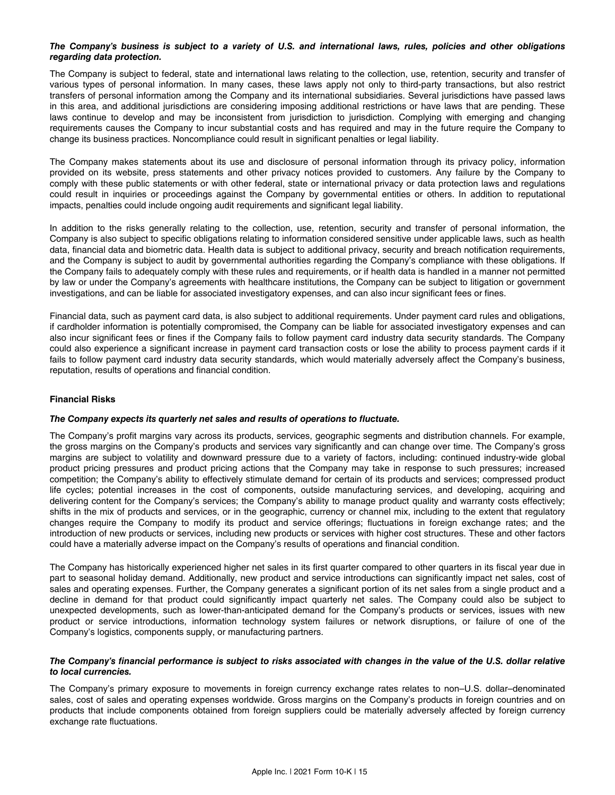## **The Company's business is subject to a variety of U.S. and international laws, rules, policies and other obligations regarding data protection.**

The Company is subject to federal, state and international laws relating to the collection, use, retention, security and transfer of various types of personal information. In many cases, these laws apply not only to third-party transactions, but also restrict transfers of personal information among the Company and its international subsidiaries. Several jurisdictions have passed laws in this area, and additional jurisdictions are considering imposing additional restrictions or have laws that are pending. These laws continue to develop and may be inconsistent from jurisdiction to jurisdiction. Complying with emerging and changing requirements causes the Company to incur substantial costs and has required and may in the future require the Company to change its business practices. Noncompliance could result in significant penalties or legal liability.

The Company makes statements about its use and disclosure of personal information through its privacy policy, information provided on its website, press statements and other privacy notices provided to customers. Any failure by the Company to comply with these public statements or with other federal, state or international privacy or data protection laws and regulations could result in inquiries or proceedings against the Company by governmental entities or others. In addition to reputational impacts, penalties could include ongoing audit requirements and significant legal liability.

In addition to the risks generally relating to the collection, use, retention, security and transfer of personal information, the Company is also subject to specific obligations relating to information considered sensitive under applicable laws, such as health data, financial data and biometric data. Health data is subject to additional privacy, security and breach notification requirements, and the Company is subject to audit by governmental authorities regarding the Company's compliance with these obligations. If the Company fails to adequately comply with these rules and requirements, or if health data is handled in a manner not permitted by law or under the Company's agreements with healthcare institutions, the Company can be subject to litigation or government investigations, and can be liable for associated investigatory expenses, and can also incur significant fees or fines.

Financial data, such as payment card data, is also subject to additional requirements. Under payment card rules and obligations, if cardholder information is potentially compromised, the Company can be liable for associated investigatory expenses and can also incur significant fees or fines if the Company fails to follow payment card industry data security standards. The Company could also experience a significant increase in payment card transaction costs or lose the ability to process payment cards if it fails to follow payment card industry data security standards, which would materially adversely affect the Company's business, reputation, results of operations and financial condition.

## **Financial Risks**

## **The Company expects its quarterly net sales and results of operations to fluctuate.**

The Company's profit margins vary across its products, services, geographic segments and distribution channels. For example, the gross margins on the Company's products and services vary significantly and can change over time. The Company's gross margins are subject to volatility and downward pressure due to a variety of factors, including: continued industry-wide global product pricing pressures and product pricing actions that the Company may take in response to such pressures; increased competition; the Company's ability to effectively stimulate demand for certain of its products and services; compressed product life cycles; potential increases in the cost of components, outside manufacturing services, and developing, acquiring and delivering content for the Company's services; the Company's ability to manage product quality and warranty costs effectively; shifts in the mix of products and services, or in the geographic, currency or channel mix, including to the extent that regulatory changes require the Company to modify its product and service offerings; fluctuations in foreign exchange rates; and the introduction of new products or services, including new products or services with higher cost structures. These and other factors could have a materially adverse impact on the Company's results of operations and financial condition.

The Company has historically experienced higher net sales in its first quarter compared to other quarters in its fiscal year due in part to seasonal holiday demand. Additionally, new product and service introductions can significantly impact net sales, cost of sales and operating expenses. Further, the Company generates a significant portion of its net sales from a single product and a decline in demand for that product could significantly impact quarterly net sales. The Company could also be subject to unexpected developments, such as lower-than-anticipated demand for the Company's products or services, issues with new product or service introductions, information technology system failures or network disruptions, or failure of one of the Company's logistics, components supply, or manufacturing partners.

## **The Company's financial performance is subject to risks associated with changes in the value of the U.S. dollar relative to local currencies.**

The Company's primary exposure to movements in foreign currency exchange rates relates to non–U.S. dollar–denominated sales, cost of sales and operating expenses worldwide. Gross margins on the Company's products in foreign countries and on products that include components obtained from foreign suppliers could be materially adversely affected by foreign currency exchange rate fluctuations.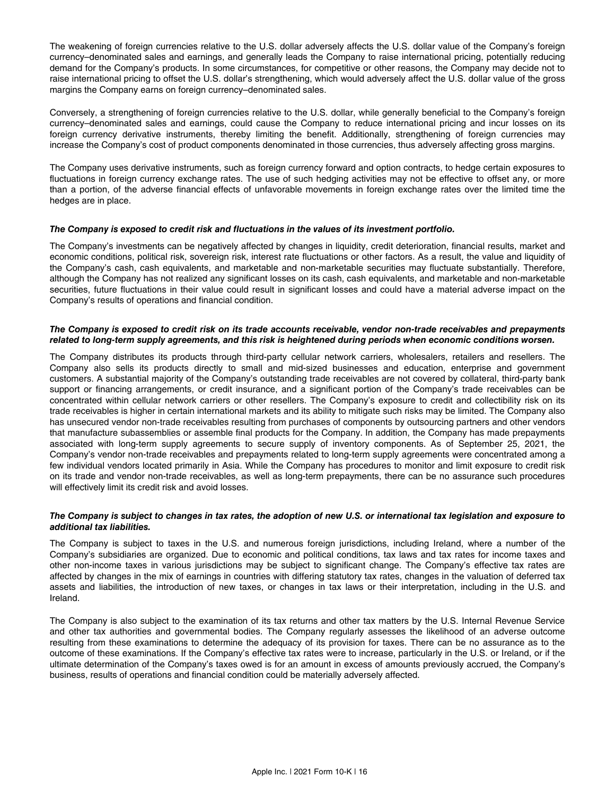The weakening of foreign currencies relative to the U.S. dollar adversely affects the U.S. dollar value of the Company's foreign currency–denominated sales and earnings, and generally leads the Company to raise international pricing, potentially reducing demand for the Company's products. In some circumstances, for competitive or other reasons, the Company may decide not to raise international pricing to offset the U.S. dollar's strengthening, which would adversely affect the U.S. dollar value of the gross margins the Company earns on foreign currency–denominated sales.

Conversely, a strengthening of foreign currencies relative to the U.S. dollar, while generally beneficial to the Company's foreign currency–denominated sales and earnings, could cause the Company to reduce international pricing and incur losses on its foreign currency derivative instruments, thereby limiting the benefit. Additionally, strengthening of foreign currencies may increase the Company's cost of product components denominated in those currencies, thus adversely affecting gross margins.

The Company uses derivative instruments, such as foreign currency forward and option contracts, to hedge certain exposures to fluctuations in foreign currency exchange rates. The use of such hedging activities may not be effective to offset any, or more than a portion, of the adverse financial effects of unfavorable movements in foreign exchange rates over the limited time the hedges are in place.

## **The Company is exposed to credit risk and fluctuations in the values of its investment portfolio.**

The Company's investments can be negatively affected by changes in liquidity, credit deterioration, financial results, market and economic conditions, political risk, sovereign risk, interest rate fluctuations or other factors. As a result, the value and liquidity of the Company's cash, cash equivalents, and marketable and non-marketable securities may fluctuate substantially. Therefore, although the Company has not realized any significant losses on its cash, cash equivalents, and marketable and non-marketable securities, future fluctuations in their value could result in significant losses and could have a material adverse impact on the Company's results of operations and financial condition.

#### **The Company is exposed to credit risk on its trade accounts receivable, vendor non-trade receivables and prepayments related to long-term supply agreements, and this risk is heightened during periods when economic conditions worsen.**

The Company distributes its products through third-party cellular network carriers, wholesalers, retailers and resellers. The Company also sells its products directly to small and mid-sized businesses and education, enterprise and government customers. A substantial majority of the Company's outstanding trade receivables are not covered by collateral, third-party bank support or financing arrangements, or credit insurance, and a significant portion of the Company's trade receivables can be concentrated within cellular network carriers or other resellers. The Company's exposure to credit and collectibility risk on its trade receivables is higher in certain international markets and its ability to mitigate such risks may be limited. The Company also has unsecured vendor non-trade receivables resulting from purchases of components by outsourcing partners and other vendors that manufacture subassemblies or assemble final products for the Company. In addition, the Company has made prepayments associated with long-term supply agreements to secure supply of inventory components. As of September 25, 2021, the Company's vendor non-trade receivables and prepayments related to long-term supply agreements were concentrated among a few individual vendors located primarily in Asia. While the Company has procedures to monitor and limit exposure to credit risk on its trade and vendor non-trade receivables, as well as long-term prepayments, there can be no assurance such procedures will effectively limit its credit risk and avoid losses.

#### **The Company is subject to changes in tax rates, the adoption of new U.S. or international tax legislation and exposure to additional tax liabilities.**

The Company is subject to taxes in the U.S. and numerous foreign jurisdictions, including Ireland, where a number of the Company's subsidiaries are organized. Due to economic and political conditions, tax laws and tax rates for income taxes and other non-income taxes in various jurisdictions may be subject to significant change. The Company's effective tax rates are affected by changes in the mix of earnings in countries with differing statutory tax rates, changes in the valuation of deferred tax assets and liabilities, the introduction of new taxes, or changes in tax laws or their interpretation, including in the U.S. and Ireland.

The Company is also subject to the examination of its tax returns and other tax matters by the U.S. Internal Revenue Service and other tax authorities and governmental bodies. The Company regularly assesses the likelihood of an adverse outcome resulting from these examinations to determine the adequacy of its provision for taxes. There can be no assurance as to the outcome of these examinations. If the Company's effective tax rates were to increase, particularly in the U.S. or Ireland, or if the ultimate determination of the Company's taxes owed is for an amount in excess of amounts previously accrued, the Company's business, results of operations and financial condition could be materially adversely affected.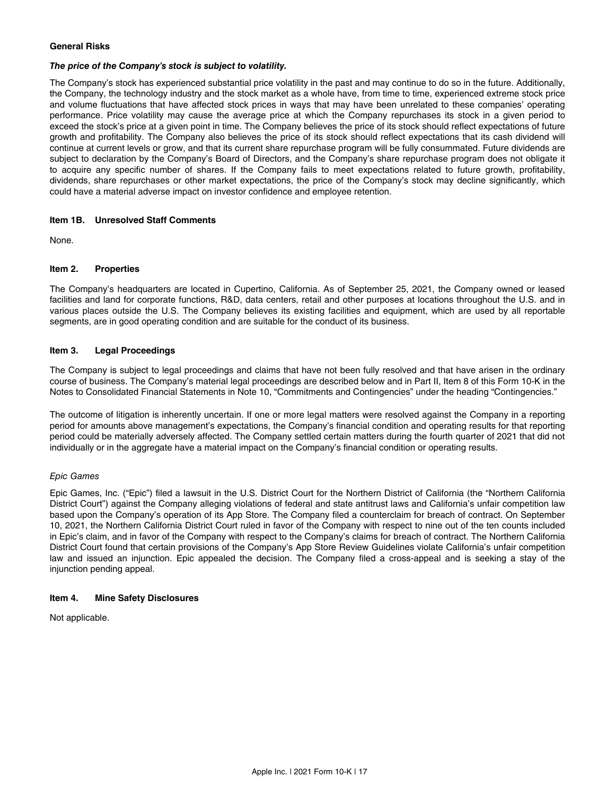## <span id="page-19-0"></span>**General Risks**

#### **The price of the Company's stock is subject to volatility.**

The Company's stock has experienced substantial price volatility in the past and may continue to do so in the future. Additionally, the Company, the technology industry and the stock market as a whole have, from time to time, experienced extreme stock price and volume fluctuations that have affected stock prices in ways that may have been unrelated to these companies' operating performance. Price volatility may cause the average price at which the Company repurchases its stock in a given period to exceed the stock's price at a given point in time. The Company believes the price of its stock should reflect expectations of future growth and profitability. The Company also believes the price of its stock should reflect expectations that its cash dividend will continue at current levels or grow, and that its current share repurchase program will be fully consummated. Future dividends are subject to declaration by the Company's Board of Directors, and the Company's share repurchase program does not obligate it to acquire any specific number of shares. If the Company fails to meet expectations related to future growth, profitability, dividends, share repurchases or other market expectations, the price of the Company's stock may decline significantly, which could have a material adverse impact on investor confidence and employee retention.

## **Item 1B. Unresolved Staff Comments**

None.

#### **Item 2. Properties**

The Company's headquarters are located in Cupertino, California. As of September 25, 2021, the Company owned or leased facilities and land for corporate functions, R&D, data centers, retail and other purposes at locations throughout the U.S. and in various places outside the U.S. The Company believes its existing facilities and equipment, which are used by all reportable segments, are in good operating condition and are suitable for the conduct of its business.

## **Item 3. Legal Proceedings**

The Company is subject to legal proceedings and claims that have not been fully resolved and that have arisen in the ordinary course of business. The Company's material legal proceedings are described below and in Part II, Item 8 of this Form 10-K in the Notes to Consolidated Financial Statements in Note 10, "Commitments and Contingencies" under the heading "Contingencies."

The outcome of litigation is inherently uncertain. If one or more legal matters were resolved against the Company in a reporting period for amounts above management's expectations, the Company's financial condition and operating results for that reporting period could be materially adversely affected. The Company settled certain matters during the fourth quarter of 2021 that did not individually or in the aggregate have a material impact on the Company's financial condition or operating results.

## Epic Games

Epic Games, Inc. ("Epic") filed a lawsuit in the U.S. District Court for the Northern District of California (the "Northern California District Court") against the Company alleging violations of federal and state antitrust laws and California's unfair competition law based upon the Company's operation of its App Store. The Company filed a counterclaim for breach of contract. On September 10, 2021, the Northern California District Court ruled in favor of the Company with respect to nine out of the ten counts included in Epic's claim, and in favor of the Company with respect to the Company's claims for breach of contract. The Northern California District Court found that certain provisions of the Company's App Store Review Guidelines violate California's unfair competition law and issued an injunction. Epic appealed the decision. The Company filed a cross-appeal and is seeking a stay of the injunction pending appeal.

#### **Item 4. Mine Safety Disclosures**

Not applicable.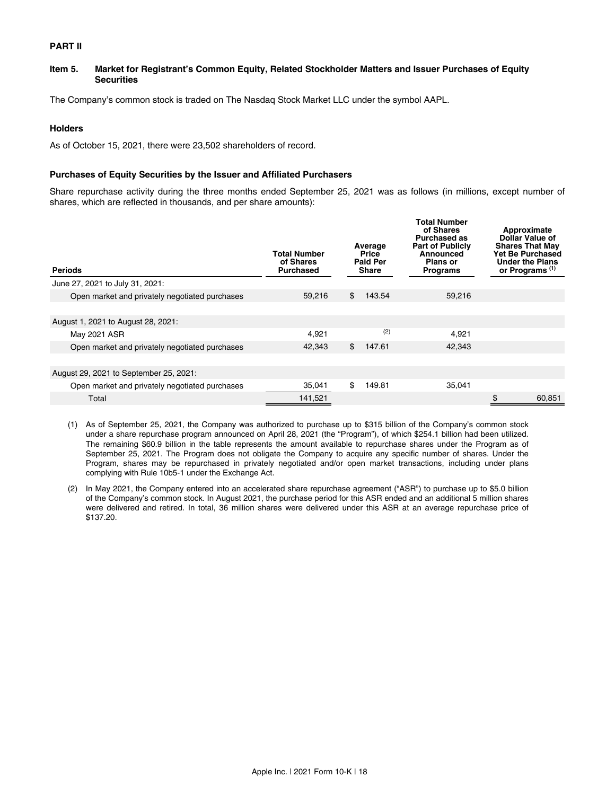## <span id="page-20-0"></span>**PART II**

## **Item 5. Market for Registrant's Common Equity, Related Stockholder Matters and Issuer Purchases of Equity Securities**

The Company's common stock is traded on The Nasdaq Stock Market LLC under the symbol AAPL.

## **Holders**

As of October 15, 2021, there were 23,502 shareholders of record.

## **Purchases of Equity Securities by the Issuer and Affiliated Purchasers**

Share repurchase activity during the three months ended September 25, 2021 was as follows (in millions, except number of shares, which are reflected in thousands, and per share amounts):

| <b>Periods</b>                                 | <b>Total Number</b><br>of Shares<br><b>Purchased</b> | Average<br><b>Price</b><br><b>Paid Per</b><br><b>Share</b> | <b>Total Number</b><br>of Shares<br><b>Purchased as</b><br><b>Part of Publicly</b><br>Announced<br>Plans or<br><b>Programs</b> | Approximate<br><b>Dollar Value of</b><br><b>Shares That May</b><br><b>Yet Be Purchased</b><br><b>Under the Plans</b><br>or Programs <sup>(1)</sup> |
|------------------------------------------------|------------------------------------------------------|------------------------------------------------------------|--------------------------------------------------------------------------------------------------------------------------------|----------------------------------------------------------------------------------------------------------------------------------------------------|
| June 27, 2021 to July 31, 2021:                |                                                      |                                                            |                                                                                                                                |                                                                                                                                                    |
| Open market and privately negotiated purchases | 59,216                                               | \$<br>143.54                                               | 59,216                                                                                                                         |                                                                                                                                                    |
|                                                |                                                      |                                                            |                                                                                                                                |                                                                                                                                                    |
| August 1, 2021 to August 28, 2021:             |                                                      |                                                            |                                                                                                                                |                                                                                                                                                    |
| May 2021 ASR                                   | 4.921                                                | (2)                                                        | 4,921                                                                                                                          |                                                                                                                                                    |
| Open market and privately negotiated purchases | 42,343                                               | \$<br>147.61                                               | 42,343                                                                                                                         |                                                                                                                                                    |
|                                                |                                                      |                                                            |                                                                                                                                |                                                                                                                                                    |
| August 29, 2021 to September 25, 2021:         |                                                      |                                                            |                                                                                                                                |                                                                                                                                                    |
| Open market and privately negotiated purchases | 35,041                                               | \$<br>149.81                                               | 35,041                                                                                                                         |                                                                                                                                                    |
| Total                                          | 141,521                                              |                                                            |                                                                                                                                | \$<br>60,851                                                                                                                                       |

(1) As of September 25, 2021, the Company was authorized to purchase up to \$315 billion of the Company's common stock under a share repurchase program announced on April 28, 2021 (the "Program"), of which \$254.1 billion had been utilized. The remaining \$60.9 billion in the table represents the amount available to repurchase shares under the Program as of September 25, 2021. The Program does not obligate the Company to acquire any specific number of shares. Under the Program, shares may be repurchased in privately negotiated and/or open market transactions, including under plans complying with Rule 10b5-1 under the Exchange Act.

(2) In May 2021, the Company entered into an accelerated share repurchase agreement ("ASR") to purchase up to \$5.0 billion of the Company's common stock. In August 2021, the purchase period for this ASR ended and an additional 5 million shares were delivered and retired. In total, 36 million shares were delivered under this ASR at an average repurchase price of \$137.20.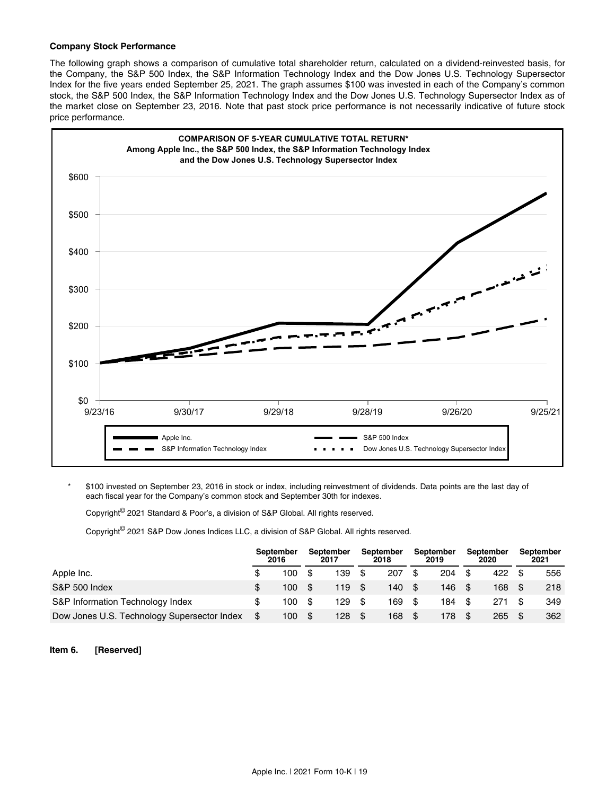## <span id="page-21-0"></span>**Company Stock Performance**

The following graph shows a comparison of cumulative total shareholder return, calculated on a dividend-reinvested basis, for the Company, the S&P 500 Index, the S&P Information Technology Index and the Dow Jones U.S. Technology Supersector Index for the five years ended September 25, 2021. The graph assumes \$100 was invested in each of the Company's common stock, the S&P 500 Index, the S&P Information Technology Index and the Dow Jones U.S. Technology Supersector Index as of the market close on September 23, 2016. Note that past stock price performance is not necessarily indicative of future stock price performance.



\* \$100 invested on September 23, 2016 in stock or index, including reinvestment of dividends. Data points are the last day of each fiscal year for the Company's common stock and September 30th for indexes.

Copyright© 2021 Standard & Poor's, a division of S&P Global. All rights reserved.

Copyright© 2021 S&P Dow Jones Indices LLC, a division of S&P Global. All rights reserved.

|                                             |      | September<br>2016 | <b>September</b><br>2017 |    | September<br>2018 | September<br>2019 |      | <b>September</b><br>2020 | September<br>2021 |
|---------------------------------------------|------|-------------------|--------------------------|----|-------------------|-------------------|------|--------------------------|-------------------|
| Apple Inc.                                  |      | 100               | 139                      |    | 207               | 204               | - \$ | 422                      | 556               |
| <b>S&amp;P 500 Index</b>                    |      | 100               | 119                      |    | 140               | 146               |      | 168                      | 218               |
| S&P Information Technology Index            | S    | 100               | 129                      |    | 169               | 184               |      | 271                      | 349               |
| Dow Jones U.S. Technology Supersector Index | ∣ \$ | 100               | 128                      | -S | 168               | 178               |      | 265                      | 362               |

#### **Item 6. [Reserved]**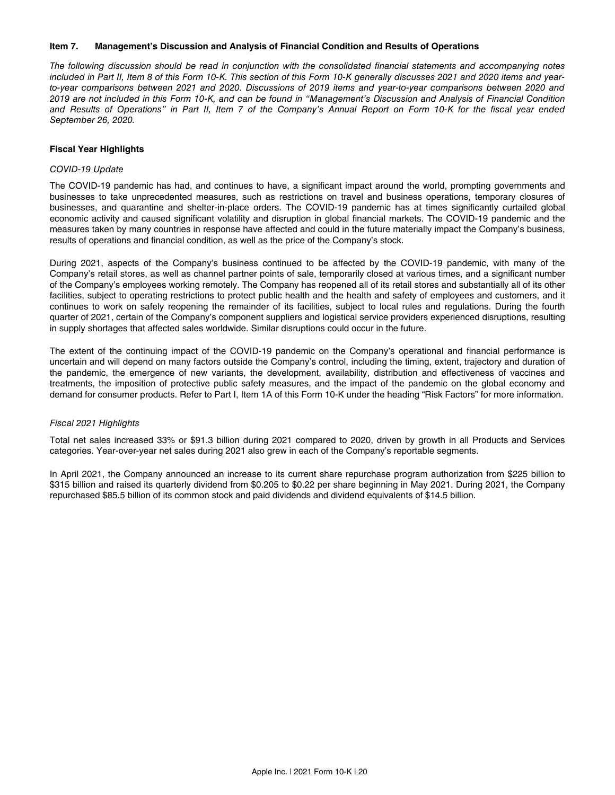#### <span id="page-22-0"></span>**Item 7. Management's Discussion and Analysis of Financial Condition and Results of Operations**

The following discussion should be read in conjunction with the consolidated financial statements and accompanying notes included in Part II, Item 8 of this Form 10-K. This section of this Form 10-K generally discusses 2021 and 2020 items and yearto-year comparisons between 2021 and 2020. Discussions of 2019 items and year-to-year comparisons between 2020 and 2019 are not included in this Form 10-K, and can be found in "Management's Discussion and Analysis of Financial Condition and Results of Operations" in Part II, Item 7 of the Company's Annual Report on Form 10-K for the fiscal year ended September 26, 2020.

#### **Fiscal Year Highlights**

#### COVID-19 Update

The COVID-19 pandemic has had, and continues to have, a significant impact around the world, prompting governments and businesses to take unprecedented measures, such as restrictions on travel and business operations, temporary closures of businesses, and quarantine and shelter-in-place orders. The COVID-19 pandemic has at times significantly curtailed global economic activity and caused significant volatility and disruption in global financial markets. The COVID-19 pandemic and the measures taken by many countries in response have affected and could in the future materially impact the Company's business, results of operations and financial condition, as well as the price of the Company's stock.

During 2021, aspects of the Company's business continued to be affected by the COVID-19 pandemic, with many of the Company's retail stores, as well as channel partner points of sale, temporarily closed at various times, and a significant number of the Company's employees working remotely. The Company has reopened all of its retail stores and substantially all of its other facilities, subject to operating restrictions to protect public health and the health and safety of employees and customers, and it continues to work on safely reopening the remainder of its facilities, subject to local rules and regulations. During the fourth quarter of 2021, certain of the Company's component suppliers and logistical service providers experienced disruptions, resulting in supply shortages that affected sales worldwide. Similar disruptions could occur in the future.

The extent of the continuing impact of the COVID-19 pandemic on the Company's operational and financial performance is uncertain and will depend on many factors outside the Company's control, including the timing, extent, trajectory and duration of the pandemic, the emergence of new variants, the development, availability, distribution and effectiveness of vaccines and treatments, the imposition of protective public safety measures, and the impact of the pandemic on the global economy and demand for consumer products. Refer to Part I, Item 1A of this Form 10-K under the heading "Risk Factors" for more information.

## Fiscal 2021 Highlights

Total net sales increased 33% or \$91.3 billion during 2021 compared to 2020, driven by growth in all Products and Services categories. Year-over-year net sales during 2021 also grew in each of the Company's reportable segments.

In April 2021, the Company announced an increase to its current share repurchase program authorization from \$225 billion to \$315 billion and raised its quarterly dividend from \$0.205 to \$0.22 per share beginning in May 2021. During 2021, the Company repurchased \$85.5 billion of its common stock and paid dividends and dividend equivalents of \$14.5 billion.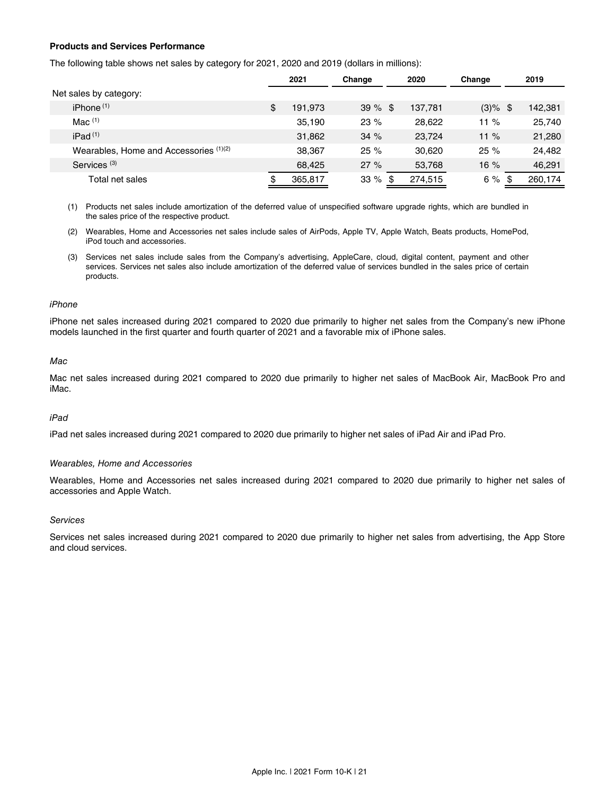## **Products and Services Performance**

The following table shows net sales by category for 2021, 2020 and 2019 (dollars in millions):

|                                        | 2021          | Change    |     | 2020    | Change     |     | 2019    |
|----------------------------------------|---------------|-----------|-----|---------|------------|-----|---------|
| Net sales by category:                 |               |           |     |         |            |     |         |
| $i$ Phone $(1)$                        | \$<br>191,973 | $39\%$ \$ |     | 137.781 | $(3)$ % \$ |     | 142,381 |
| Mac $(1)$                              | 35.190        | 23%       |     | 28.622  | $11\%$     |     | 25,740  |
| $i$ Pad $(1)$                          | 31,862        | 34%       |     | 23.724  | $11\%$     |     | 21,280  |
| Wearables, Home and Accessories (1)(2) | 38.367        | 25%       |     | 30.620  | 25%        |     | 24,482  |
| Services <sup>(3)</sup>                | 68.425        | 27%       |     | 53,768  | 16%        |     | 46,291  |
| Total net sales                        | \$<br>365,817 | 33%       | \$. | 274.515 | 6%         | -SS | 260,174 |

(1) Products net sales include amortization of the deferred value of unspecified software upgrade rights, which are bundled in the sales price of the respective product.

- (2) Wearables, Home and Accessories net sales include sales of AirPods, Apple TV, Apple Watch, Beats products, HomePod, iPod touch and accessories.
- (3) Services net sales include sales from the Company's advertising, AppleCare, cloud, digital content, payment and other services. Services net sales also include amortization of the deferred value of services bundled in the sales price of certain products.

#### iPhone

iPhone net sales increased during 2021 compared to 2020 due primarily to higher net sales from the Company's new iPhone models launched in the first quarter and fourth quarter of 2021 and a favorable mix of iPhone sales.

#### Mac

Mac net sales increased during 2021 compared to 2020 due primarily to higher net sales of MacBook Air, MacBook Pro and iMac.

#### iPad

iPad net sales increased during 2021 compared to 2020 due primarily to higher net sales of iPad Air and iPad Pro.

#### Wearables, Home and Accessories

Wearables, Home and Accessories net sales increased during 2021 compared to 2020 due primarily to higher net sales of accessories and Apple Watch.

#### Services

Services net sales increased during 2021 compared to 2020 due primarily to higher net sales from advertising, the App Store and cloud services.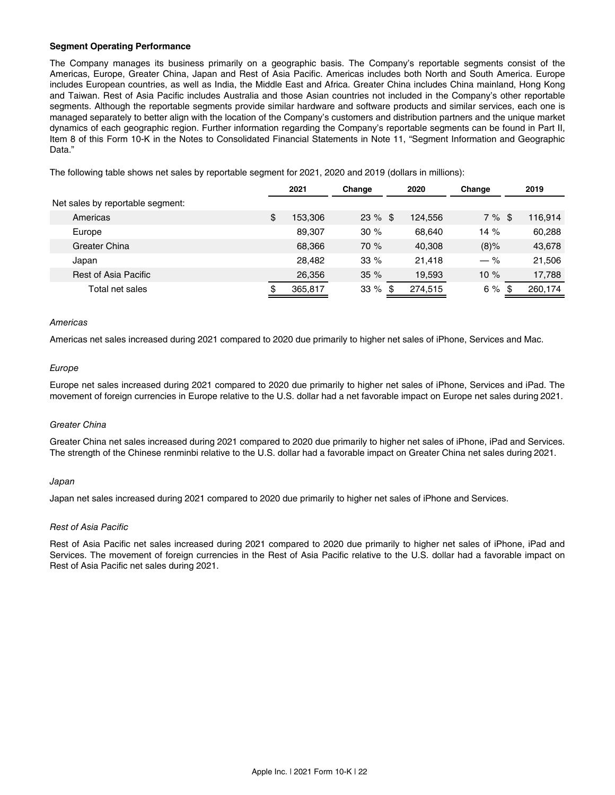#### **Segment Operating Performance**

The Company manages its business primarily on a geographic basis. The Company's reportable segments consist of the Americas, Europe, Greater China, Japan and Rest of Asia Pacific. Americas includes both North and South America. Europe includes European countries, as well as India, the Middle East and Africa. Greater China includes China mainland, Hong Kong and Taiwan. Rest of Asia Pacific includes Australia and those Asian countries not included in the Company's other reportable segments. Although the reportable segments provide similar hardware and software products and similar services, each one is managed separately to better align with the location of the Company's customers and distribution partners and the unique market dynamics of each geographic region. Further information regarding the Company's reportable segments can be found in Part II, Item 8 of this Form 10-K in the Notes to Consolidated Financial Statements in Note 11, "Segment Information and Geographic Data."

The following table shows net sales by reportable segment for 2021, 2020 and 2019 (dollars in millions):

|                                  | 2021          | Change     |    | 2020    | Change  |    | 2019    |
|----------------------------------|---------------|------------|----|---------|---------|----|---------|
| Net sales by reportable segment: |               |            |    |         |         |    |         |
| Americas                         | \$<br>153,306 | $23 \%$ \$ |    | 124.556 | $7%$ \$ |    | 116,914 |
| Europe                           | 89.307        | 30%        |    | 68.640  | 14%     |    | 60,288  |
| Greater China                    | 68,366        | 70 %       |    | 40.308  | $(8)\%$ |    | 43,678  |
| Japan                            | 28.482        | $33\%$     |    | 21.418  | $-$ %   |    | 21,506  |
| Rest of Asia Pacific             | 26,356        | 35%        |    | 19,593  | 10%     |    | 17,788  |
| Total net sales                  | \$<br>365,817 | 33%        | ß. | 274,515 | 6%      | -S | 260,174 |

#### Americas

Americas net sales increased during 2021 compared to 2020 due primarily to higher net sales of iPhone, Services and Mac.

#### Europe

Europe net sales increased during 2021 compared to 2020 due primarily to higher net sales of iPhone, Services and iPad. The movement of foreign currencies in Europe relative to the U.S. dollar had a net favorable impact on Europe net sales during 2021.

#### Greater China

Greater China net sales increased during 2021 compared to 2020 due primarily to higher net sales of iPhone, iPad and Services. The strength of the Chinese renminbi relative to the U.S. dollar had a favorable impact on Greater China net sales during 2021.

#### Japan

Japan net sales increased during 2021 compared to 2020 due primarily to higher net sales of iPhone and Services.

#### Rest of Asia Pacific

Rest of Asia Pacific net sales increased during 2021 compared to 2020 due primarily to higher net sales of iPhone, iPad and Services. The movement of foreign currencies in the Rest of Asia Pacific relative to the U.S. dollar had a favorable impact on Rest of Asia Pacific net sales during 2021.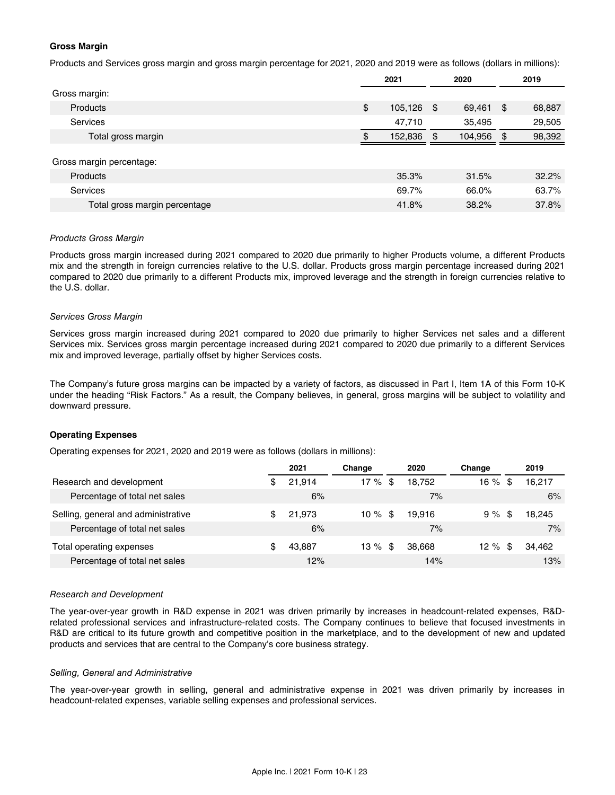## **Gross Margin**

Products and Services gross margin and gross margin percentage for 2021, 2020 and 2019 were as follows (dollars in millions):

|                               |     | 2021         | 2020          |     | 2019   |
|-------------------------------|-----|--------------|---------------|-----|--------|
| Gross margin:                 |     |              |               |     |        |
| <b>Products</b>               | \$  | $105,126$ \$ | 69,461        | -\$ | 68,887 |
| <b>Services</b>               |     | 47,710       | 35,495        |     | 29,505 |
| Total gross margin            | \$. | 152,836      | \$<br>104,956 | -\$ | 98,392 |
|                               |     |              |               |     |        |
| Gross margin percentage:      |     |              |               |     |        |
| <b>Products</b>               |     | 35.3%        | 31.5%         |     | 32.2%  |
| <b>Services</b>               |     | 69.7%        | 66.0%         |     | 63.7%  |
| Total gross margin percentage |     | 41.8%        | 38.2%         |     | 37.8%  |

#### Products Gross Margin

Products gross margin increased during 2021 compared to 2020 due primarily to higher Products volume, a different Products mix and the strength in foreign currencies relative to the U.S. dollar. Products gross margin percentage increased during 2021 compared to 2020 due primarily to a different Products mix, improved leverage and the strength in foreign currencies relative to the U.S. dollar.

#### Services Gross Margin

Services gross margin increased during 2021 compared to 2020 due primarily to higher Services net sales and a different Services mix. Services gross margin percentage increased during 2021 compared to 2020 due primarily to a different Services mix and improved leverage, partially offset by higher Services costs.

The Company's future gross margins can be impacted by a variety of factors, as discussed in Part I, Item 1A of this Form 10-K under the heading "Risk Factors." As a result, the Company believes, in general, gross margins will be subject to volatility and downward pressure.

## **Operating Expenses**

Operating expenses for 2021, 2020 and 2019 were as follows (dollars in millions):

|                                     |   | 2021   | Change     | 2020         | Change     |      | 2019   |
|-------------------------------------|---|--------|------------|--------------|------------|------|--------|
| Research and development            |   | 21.914 | 17%        | \$<br>18.752 | $16\%$ \$  |      | 16.217 |
| Percentage of total net sales       |   | 6%     |            | 7%           |            |      | 6%     |
| Selling, general and administrative | S | 21.973 | $10 \%$ \$ | 19.916       | 9%         | - \$ | 18.245 |
| Percentage of total net sales       |   | 6%     |            | 7%           |            |      | 7%     |
| Total operating expenses            |   | 43.887 | $13 \%$ \$ | 38.668       | $12 \%$ \$ |      | 34.462 |
| Percentage of total net sales       |   | 12%    |            | 14%          |            |      | 13%    |

#### Research and Development

The year-over-year growth in R&D expense in 2021 was driven primarily by increases in headcount-related expenses, R&Drelated professional services and infrastructure-related costs. The Company continues to believe that focused investments in R&D are critical to its future growth and competitive position in the marketplace, and to the development of new and updated products and services that are central to the Company's core business strategy.

#### Selling, General and Administrative

The year-over-year growth in selling, general and administrative expense in 2021 was driven primarily by increases in headcount-related expenses, variable selling expenses and professional services.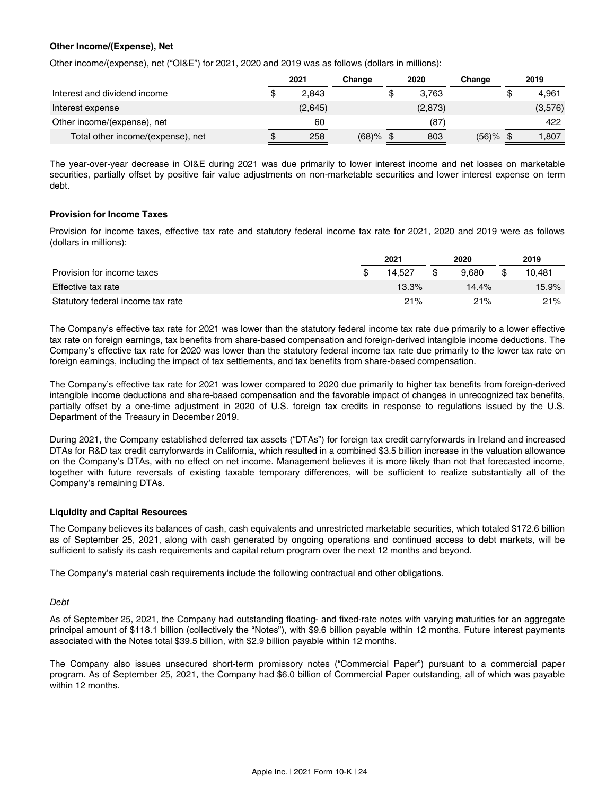## **Other Income/(Expense), Net**

Other income/(expense), net ("OI&E") for 2021, 2020 and 2019 was as follows (dollars in millions):

|                                   |    | 2021    | Change   |    | 2020    | Change |      | 2019    |
|-----------------------------------|----|---------|----------|----|---------|--------|------|---------|
| Interest and dividend income      | S  | 2.843   |          |    | 3.763   |        |      | 4.961   |
| Interest expense                  |    | (2,645) |          |    | (2,873) |        |      | (3,576) |
| Other income/(expense), net       |    | 60      |          |    | (87)    |        |      | 422     |
| Total other income/(expense), net | \$ | 258     | $(68)$ % | -S | 803     | (56)%  | - \$ | 1,807   |

The year-over-year decrease in OI&E during 2021 was due primarily to lower interest income and net losses on marketable securities, partially offset by positive fair value adjustments on non-marketable securities and lower interest expense on term debt.

#### **Provision for Income Taxes**

Provision for income taxes, effective tax rate and statutory federal income tax rate for 2021, 2020 and 2019 were as follows (dollars in millions):

|                                   | 2021 |          |  | 2020  | 2019   |
|-----------------------------------|------|----------|--|-------|--------|
| Provision for income taxes        |      | 14.527   |  | 9.680 | 10.481 |
| Effective tax rate                |      | $13.3\%$ |  | 14.4% | 15.9%  |
| Statutory federal income tax rate |      | 21%      |  | 21%   | 21%    |

The Company's effective tax rate for 2021 was lower than the statutory federal income tax rate due primarily to a lower effective tax rate on foreign earnings, tax benefits from share-based compensation and foreign-derived intangible income deductions. The Company's effective tax rate for 2020 was lower than the statutory federal income tax rate due primarily to the lower tax rate on foreign earnings, including the impact of tax settlements, and tax benefits from share-based compensation.

The Company's effective tax rate for 2021 was lower compared to 2020 due primarily to higher tax benefits from foreign-derived intangible income deductions and share-based compensation and the favorable impact of changes in unrecognized tax benefits, partially offset by a one-time adjustment in 2020 of U.S. foreign tax credits in response to regulations issued by the U.S. Department of the Treasury in December 2019.

During 2021, the Company established deferred tax assets ("DTAs") for foreign tax credit carryforwards in Ireland and increased DTAs for R&D tax credit carryforwards in California, which resulted in a combined \$3.5 billion increase in the valuation allowance on the Company's DTAs, with no effect on net income. Management believes it is more likely than not that forecasted income, together with future reversals of existing taxable temporary differences, will be sufficient to realize substantially all of the Company's remaining DTAs.

## **Liquidity and Capital Resources**

The Company believes its balances of cash, cash equivalents and unrestricted marketable securities, which totaled \$172.6 billion as of September 25, 2021, along with cash generated by ongoing operations and continued access to debt markets, will be sufficient to satisfy its cash requirements and capital return program over the next 12 months and beyond.

The Company's material cash requirements include the following contractual and other obligations.

#### Debt

As of September 25, 2021, the Company had outstanding floating- and fixed-rate notes with varying maturities for an aggregate principal amount of \$118.1 billion (collectively the "Notes"), with \$9.6 billion payable within 12 months. Future interest payments associated with the Notes total \$39.5 billion, with \$2.9 billion payable within 12 months.

The Company also issues unsecured short-term promissory notes ("Commercial Paper") pursuant to a commercial paper program. As of September 25, 2021, the Company had \$6.0 billion of Commercial Paper outstanding, all of which was payable within 12 months.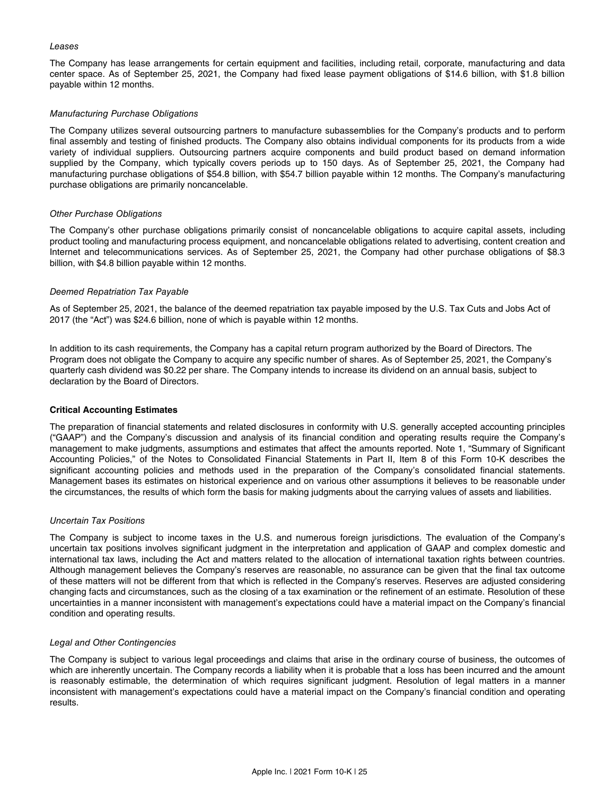#### Leases

The Company has lease arrangements for certain equipment and facilities, including retail, corporate, manufacturing and data center space. As of September 25, 2021, the Company had fixed lease payment obligations of \$14.6 billion, with \$1.8 billion payable within 12 months.

#### Manufacturing Purchase Obligations

The Company utilizes several outsourcing partners to manufacture subassemblies for the Company's products and to perform final assembly and testing of finished products. The Company also obtains individual components for its products from a wide variety of individual suppliers. Outsourcing partners acquire components and build product based on demand information supplied by the Company, which typically covers periods up to 150 days. As of September 25, 2021, the Company had manufacturing purchase obligations of \$54.8 billion, with \$54.7 billion payable within 12 months. The Company's manufacturing purchase obligations are primarily noncancelable.

#### Other Purchase Obligations

The Company's other purchase obligations primarily consist of noncancelable obligations to acquire capital assets, including product tooling and manufacturing process equipment, and noncancelable obligations related to advertising, content creation and Internet and telecommunications services. As of September 25, 2021, the Company had other purchase obligations of \$8.3 billion, with \$4.8 billion payable within 12 months.

#### Deemed Repatriation Tax Payable

As of September 25, 2021, the balance of the deemed repatriation tax payable imposed by the U.S. Tax Cuts and Jobs Act of 2017 (the "Act") was \$24.6 billion, none of which is payable within 12 months.

In addition to its cash requirements, the Company has a capital return program authorized by the Board of Directors. The Program does not obligate the Company to acquire any specific number of shares. As of September 25, 2021, the Company's quarterly cash dividend was \$0.22 per share. The Company intends to increase its dividend on an annual basis, subject to declaration by the Board of Directors.

#### **Critical Accounting Estimates**

The preparation of financial statements and related disclosures in conformity with U.S. generally accepted accounting principles ("GAAP") and the Company's discussion and analysis of its financial condition and operating results require the Company's management to make judgments, assumptions and estimates that affect the amounts reported. Note 1, "Summary of Significant Accounting Policies," of the Notes to Consolidated Financial Statements in Part II, Item 8 of this Form 10-K describes the significant accounting policies and methods used in the preparation of the Company's consolidated financial statements. Management bases its estimates on historical experience and on various other assumptions it believes to be reasonable under the circumstances, the results of which form the basis for making judgments about the carrying values of assets and liabilities.

#### Uncertain Tax Positions

The Company is subject to income taxes in the U.S. and numerous foreign jurisdictions. The evaluation of the Company's uncertain tax positions involves significant judgment in the interpretation and application of GAAP and complex domestic and international tax laws, including the Act and matters related to the allocation of international taxation rights between countries. Although management believes the Company's reserves are reasonable, no assurance can be given that the final tax outcome of these matters will not be different from that which is reflected in the Company's reserves. Reserves are adjusted considering changing facts and circumstances, such as the closing of a tax examination or the refinement of an estimate. Resolution of these uncertainties in a manner inconsistent with management's expectations could have a material impact on the Company's financial condition and operating results.

#### Legal and Other Contingencies

The Company is subject to various legal proceedings and claims that arise in the ordinary course of business, the outcomes of which are inherently uncertain. The Company records a liability when it is probable that a loss has been incurred and the amount is reasonably estimable, the determination of which requires significant judgment. Resolution of legal matters in a manner inconsistent with management's expectations could have a material impact on the Company's financial condition and operating results.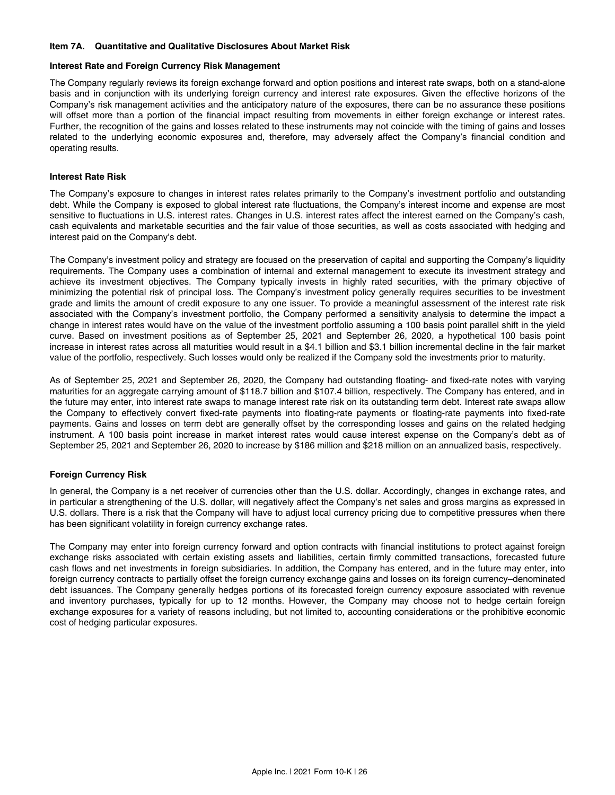#### <span id="page-28-0"></span>**Item 7A. Quantitative and Qualitative Disclosures About Market Risk**

#### **Interest Rate and Foreign Currency Risk Management**

The Company regularly reviews its foreign exchange forward and option positions and interest rate swaps, both on a stand-alone basis and in conjunction with its underlying foreign currency and interest rate exposures. Given the effective horizons of the Company's risk management activities and the anticipatory nature of the exposures, there can be no assurance these positions will offset more than a portion of the financial impact resulting from movements in either foreign exchange or interest rates. Further, the recognition of the gains and losses related to these instruments may not coincide with the timing of gains and losses related to the underlying economic exposures and, therefore, may adversely affect the Company's financial condition and operating results.

#### **Interest Rate Risk**

The Company's exposure to changes in interest rates relates primarily to the Company's investment portfolio and outstanding debt. While the Company is exposed to global interest rate fluctuations, the Company's interest income and expense are most sensitive to fluctuations in U.S. interest rates. Changes in U.S. interest rates affect the interest earned on the Company's cash, cash equivalents and marketable securities and the fair value of those securities, as well as costs associated with hedging and interest paid on the Company's debt.

The Company's investment policy and strategy are focused on the preservation of capital and supporting the Company's liquidity requirements. The Company uses a combination of internal and external management to execute its investment strategy and achieve its investment objectives. The Company typically invests in highly rated securities, with the primary objective of minimizing the potential risk of principal loss. The Company's investment policy generally requires securities to be investment grade and limits the amount of credit exposure to any one issuer. To provide a meaningful assessment of the interest rate risk associated with the Company's investment portfolio, the Company performed a sensitivity analysis to determine the impact a change in interest rates would have on the value of the investment portfolio assuming a 100 basis point parallel shift in the yield curve. Based on investment positions as of September 25, 2021 and September 26, 2020, a hypothetical 100 basis point increase in interest rates across all maturities would result in a \$4.1 billion and \$3.1 billion incremental decline in the fair market value of the portfolio, respectively. Such losses would only be realized if the Company sold the investments prior to maturity.

As of September 25, 2021 and September 26, 2020, the Company had outstanding floating- and fixed-rate notes with varying maturities for an aggregate carrying amount of \$118.7 billion and \$107.4 billion, respectively. The Company has entered, and in the future may enter, into interest rate swaps to manage interest rate risk on its outstanding term debt. Interest rate swaps allow the Company to effectively convert fixed-rate payments into floating-rate payments or floating-rate payments into fixed-rate payments. Gains and losses on term debt are generally offset by the corresponding losses and gains on the related hedging instrument. A 100 basis point increase in market interest rates would cause interest expense on the Company's debt as of September 25, 2021 and September 26, 2020 to increase by \$186 million and \$218 million on an annualized basis, respectively.

## **Foreign Currency Risk**

In general, the Company is a net receiver of currencies other than the U.S. dollar. Accordingly, changes in exchange rates, and in particular a strengthening of the U.S. dollar, will negatively affect the Company's net sales and gross margins as expressed in U.S. dollars. There is a risk that the Company will have to adjust local currency pricing due to competitive pressures when there has been significant volatility in foreign currency exchange rates.

The Company may enter into foreign currency forward and option contracts with financial institutions to protect against foreign exchange risks associated with certain existing assets and liabilities, certain firmly committed transactions, forecasted future cash flows and net investments in foreign subsidiaries. In addition, the Company has entered, and in the future may enter, into foreign currency contracts to partially offset the foreign currency exchange gains and losses on its foreign currency–denominated debt issuances. The Company generally hedges portions of its forecasted foreign currency exposure associated with revenue and inventory purchases, typically for up to 12 months. However, the Company may choose not to hedge certain foreign exchange exposures for a variety of reasons including, but not limited to, accounting considerations or the prohibitive economic cost of hedging particular exposures.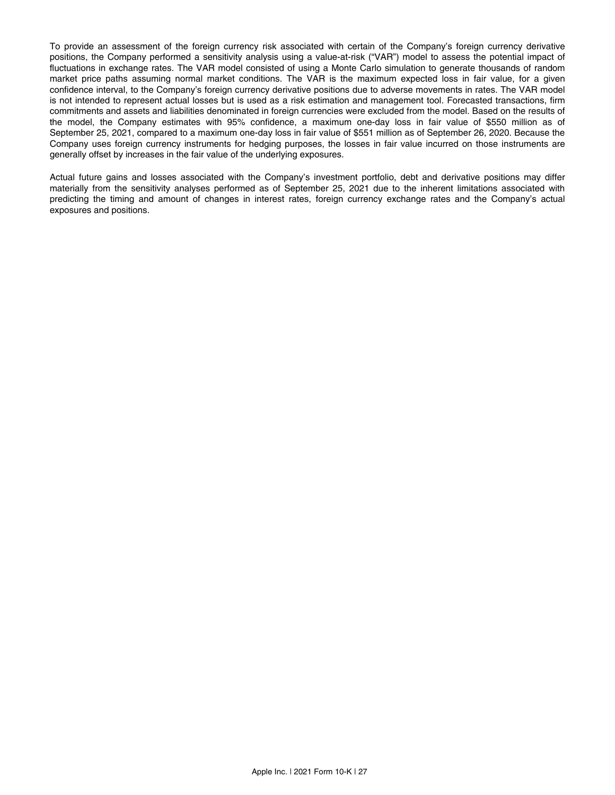To provide an assessment of the foreign currency risk associated with certain of the Company's foreign currency derivative positions, the Company performed a sensitivity analysis using a value-at-risk ("VAR") model to assess the potential impact of fluctuations in exchange rates. The VAR model consisted of using a Monte Carlo simulation to generate thousands of random market price paths assuming normal market conditions. The VAR is the maximum expected loss in fair value, for a given confidence interval, to the Company's foreign currency derivative positions due to adverse movements in rates. The VAR model is not intended to represent actual losses but is used as a risk estimation and management tool. Forecasted transactions, firm commitments and assets and liabilities denominated in foreign currencies were excluded from the model. Based on the results of the model, the Company estimates with 95% confidence, a maximum one-day loss in fair value of \$550 million as of September 25, 2021, compared to a maximum one-day loss in fair value of \$551 million as of September 26, 2020. Because the Company uses foreign currency instruments for hedging purposes, the losses in fair value incurred on those instruments are generally offset by increases in the fair value of the underlying exposures.

Actual future gains and losses associated with the Company's investment portfolio, debt and derivative positions may differ materially from the sensitivity analyses performed as of September 25, 2021 due to the inherent limitations associated with predicting the timing and amount of changes in interest rates, foreign currency exchange rates and the Company's actual exposures and positions.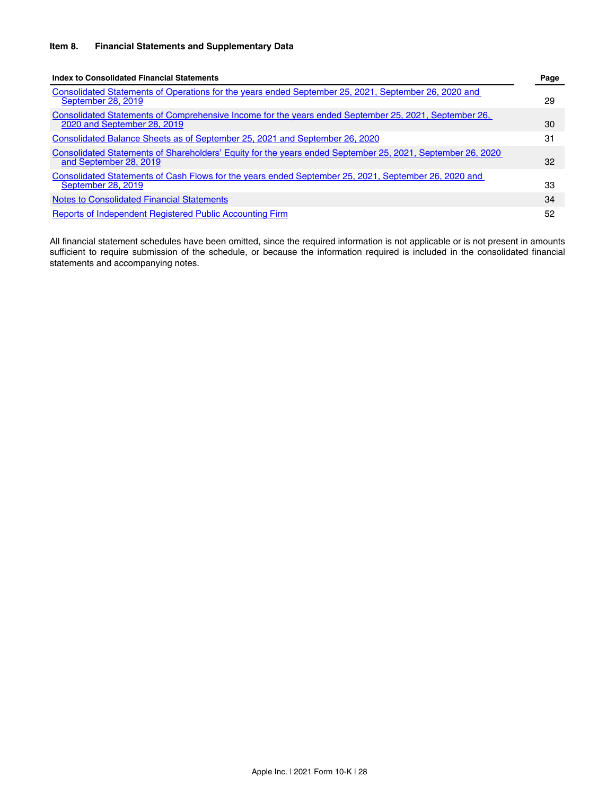<span id="page-30-0"></span>

| Index to Consolidated Financial Statements                                                                                           | Page |
|--------------------------------------------------------------------------------------------------------------------------------------|------|
| Consolidated Statements of Operations for the years ended September 25, 2021, September 26, 2020 and<br>September 28, 2019           | 29   |
| Consolidated Statements of Comprehensive Income for the years ended September 25, 2021, September 26,<br>2020 and September 28, 2019 | 30   |
| Consolidated Balance Sheets as of September 25, 2021 and September 26, 2020                                                          | 31   |
| Consolidated Statements of Shareholders' Equity for the years ended September 25, 2021, September 26, 2020<br>and September 28, 2019 | 32   |
| Consolidated Statements of Cash Flows for the years ended September 25, 2021, September 26, 2020 and<br>September 28, 2019           | 33   |
| <b>Notes to Consolidated Financial Statements</b>                                                                                    | 34   |
| Reports of Independent Registered Public Accounting Firm                                                                             | 52   |

All financial statement schedules have been omitted, since the required information is not applicable or is not present in amounts sufficient to require submission of the schedule, or because the information required is included in the consolidated financial statements and accompanying notes.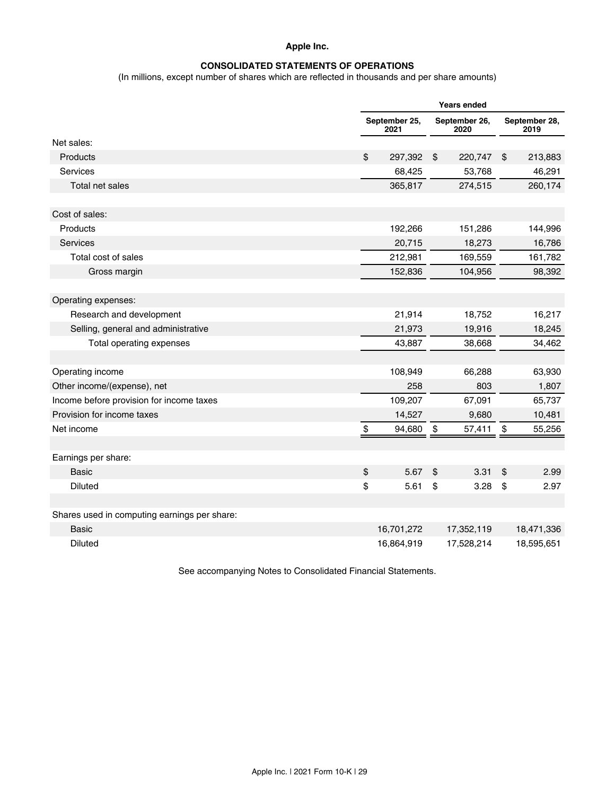## **CONSOLIDATED STATEMENTS OF OPERATIONS**

(In millions, except number of shares which are reflected in thousands and per share amounts)

<span id="page-31-0"></span>

|                                              | <b>Years ended</b>    |                         |                       |                           |                       |  |
|----------------------------------------------|-----------------------|-------------------------|-----------------------|---------------------------|-----------------------|--|
|                                              | September 25,<br>2021 |                         | September 26,<br>2020 |                           | September 28,<br>2019 |  |
| Net sales:                                   |                       |                         |                       |                           |                       |  |
| Products                                     | \$<br>297,392 \$      |                         | 220,747               | $\mathfrak{S}$            | 213,883               |  |
| Services                                     | 68,425                |                         | 53,768                |                           | 46,291                |  |
| Total net sales                              | 365,817               |                         | 274,515               |                           | 260,174               |  |
| Cost of sales:                               |                       |                         |                       |                           |                       |  |
| Products                                     | 192,266               |                         | 151,286               |                           | 144,996               |  |
| Services                                     | 20,715                |                         | 18,273                |                           | 16,786                |  |
| Total cost of sales                          | 212,981               |                         | 169,559               |                           | 161,782               |  |
| Gross margin                                 | 152,836               |                         | 104,956               |                           | 98,392                |  |
|                                              |                       |                         |                       |                           |                       |  |
| Operating expenses:                          |                       |                         |                       |                           |                       |  |
| Research and development                     | 21,914                |                         | 18,752                |                           | 16,217                |  |
| Selling, general and administrative          | 21,973                |                         | 19,916                |                           | 18,245                |  |
| Total operating expenses                     | 43,887                |                         | 38,668                |                           | 34,462                |  |
|                                              |                       |                         |                       |                           |                       |  |
| Operating income                             | 108,949               |                         | 66,288                |                           | 63,930                |  |
| Other income/(expense), net                  | 258                   |                         | 803                   |                           | 1,807                 |  |
| Income before provision for income taxes     | 109,207               |                         | 67,091                |                           | 65,737                |  |
| Provision for income taxes                   | 14,527                |                         | 9,680                 |                           | 10,481                |  |
| Net income                                   | \$<br>94,680          | \$                      | 57,411                | \$                        | 55,256                |  |
|                                              |                       |                         |                       |                           |                       |  |
| Earnings per share:                          |                       |                         |                       |                           |                       |  |
| <b>Basic</b>                                 | \$<br>5.67            | $\sqrt[6]{\frac{1}{2}}$ | 3.31                  | $\boldsymbol{\mathsf{S}}$ | 2.99                  |  |
| <b>Diluted</b>                               | \$<br>5.61            | \$                      | 3.28                  | \$                        | 2.97                  |  |
| Shares used in computing earnings per share: |                       |                         |                       |                           |                       |  |
| <b>Basic</b>                                 | 16,701,272            |                         | 17,352,119            |                           | 18,471,336            |  |
| <b>Diluted</b>                               | 16,864,919            |                         | 17,528,214            |                           | 18,595,651            |  |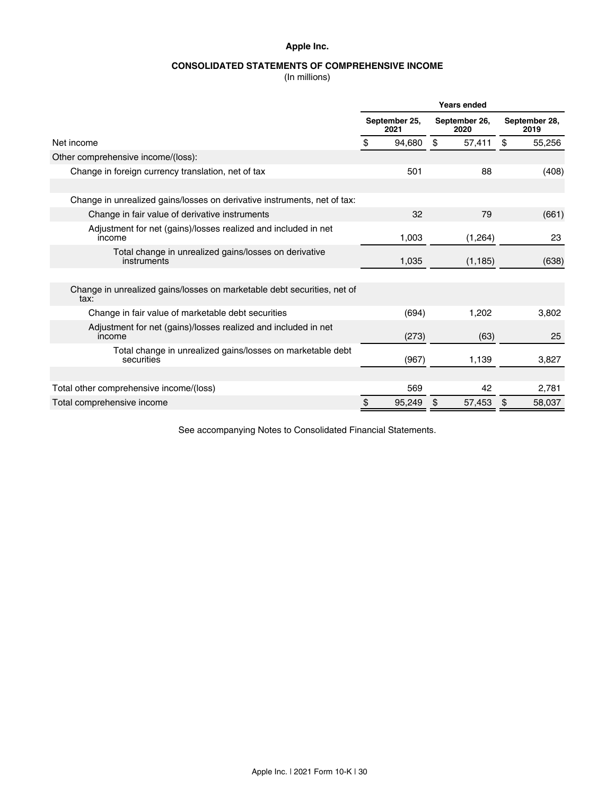## **CONSOLIDATED STATEMENTS OF COMPREHENSIVE INCOME**

(In millions)

<span id="page-32-0"></span>

|                                                                                 | <b>Years ended</b>    |        |                       |          |                       |        |
|---------------------------------------------------------------------------------|-----------------------|--------|-----------------------|----------|-----------------------|--------|
|                                                                                 | September 25,<br>2021 |        | September 26,<br>2020 |          | September 28,<br>2019 |        |
| Net income                                                                      | \$                    | 94,680 | \$                    | 57,411   | \$                    | 55,256 |
| Other comprehensive income/(loss):                                              |                       |        |                       |          |                       |        |
| Change in foreign currency translation, net of tax                              |                       | 501    |                       | 88       |                       | (408)  |
|                                                                                 |                       |        |                       |          |                       |        |
| Change in unrealized gains/losses on derivative instruments, net of tax:        |                       |        |                       |          |                       |        |
| Change in fair value of derivative instruments                                  |                       | 32     |                       | 79       |                       | (661)  |
| Adjustment for net (gains)/losses realized and included in net<br>income        |                       | 1,003  |                       | (1,264)  |                       | 23     |
| Total change in unrealized gains/losses on derivative<br>instruments            |                       | 1,035  |                       | (1, 185) |                       | (638)  |
|                                                                                 |                       |        |                       |          |                       |        |
| Change in unrealized gains/losses on marketable debt securities, net of<br>tax: |                       |        |                       |          |                       |        |
| Change in fair value of marketable debt securities                              |                       | (694)  |                       | 1,202    |                       | 3,802  |
| Adjustment for net (gains)/losses realized and included in net<br>income        |                       | (273)  |                       | (63)     |                       | 25     |
| Total change in unrealized gains/losses on marketable debt<br>securities        |                       | (967)  |                       | 1,139    |                       | 3,827  |
|                                                                                 |                       |        |                       |          |                       |        |
| Total other comprehensive income/(loss)                                         |                       | 569    |                       | 42       |                       | 2,781  |
| Total comprehensive income                                                      | \$                    | 95,249 | \$                    | 57,453   | \$                    | 58,037 |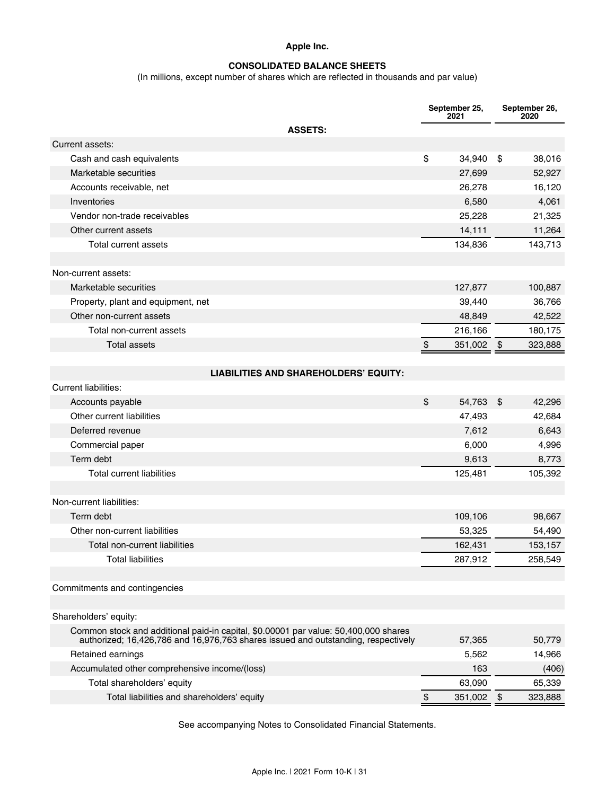## **CONSOLIDATED BALANCE SHEETS**

(In millions, except number of shares which are reflected in thousands and par value)

<span id="page-33-0"></span>

|                                                                                                                                                                          | September 25,<br>2021 | September 26,<br>2020 |                  |
|--------------------------------------------------------------------------------------------------------------------------------------------------------------------------|-----------------------|-----------------------|------------------|
| <b>ASSETS:</b>                                                                                                                                                           |                       |                       |                  |
| Current assets:                                                                                                                                                          |                       |                       |                  |
| Cash and cash equivalents                                                                                                                                                | \$<br>34,940          | \$                    | 38,016           |
| Marketable securities                                                                                                                                                    | 27,699                |                       | 52,927           |
| Accounts receivable, net                                                                                                                                                 | 26,278                |                       | 16,120           |
| Inventories                                                                                                                                                              | 6,580                 |                       | 4,061            |
| Vendor non-trade receivables                                                                                                                                             | 25,228                |                       | 21,325           |
| Other current assets                                                                                                                                                     | 14,111                |                       | 11,264           |
| <b>Total current assets</b>                                                                                                                                              | 134,836               |                       | 143,713          |
| Non-current assets:                                                                                                                                                      |                       |                       |                  |
| Marketable securities                                                                                                                                                    | 127,877               |                       | 100,887          |
| Property, plant and equipment, net                                                                                                                                       | 39,440                |                       | 36,766           |
| Other non-current assets                                                                                                                                                 | 48,849                |                       | 42,522           |
| Total non-current assets                                                                                                                                                 | 216,166               |                       | 180,175          |
| <b>Total assets</b>                                                                                                                                                      | \$<br>351,002         | \$                    | 323,888          |
|                                                                                                                                                                          |                       |                       |                  |
| <b>LIABILITIES AND SHAREHOLDERS' EQUITY:</b>                                                                                                                             |                       |                       |                  |
| <b>Current liabilities:</b>                                                                                                                                              | \$                    |                       |                  |
| Accounts payable<br>Other current liabilities                                                                                                                            | 54,763<br>47,493      | \$                    | 42,296<br>42,684 |
| Deferred revenue                                                                                                                                                         | 7,612                 |                       | 6,643            |
| Commercial paper                                                                                                                                                         | 6,000                 |                       | 4,996            |
| Term debt                                                                                                                                                                | 9,613                 |                       | 8,773            |
| <b>Total current liabilities</b>                                                                                                                                         | 125,481               |                       | 105,392          |
|                                                                                                                                                                          |                       |                       |                  |
| Non-current liabilities:                                                                                                                                                 |                       |                       |                  |
| Term debt                                                                                                                                                                | 109,106               |                       | 98,667           |
| Other non-current liabilities                                                                                                                                            | 53,325                |                       | 54,490           |
| Total non-current liabilities                                                                                                                                            | 162,431               |                       | 153,157          |
| <b>Total liabilities</b>                                                                                                                                                 | 287,912               |                       | 258,549          |
| Commitments and contingencies                                                                                                                                            |                       |                       |                  |
|                                                                                                                                                                          |                       |                       |                  |
| Shareholders' equity:                                                                                                                                                    |                       |                       |                  |
| Common stock and additional paid-in capital, \$0.00001 par value: 50,400,000 shares<br>authorized; 16,426,786 and 16,976,763 shares issued and outstanding, respectively | 57,365                |                       | 50,779           |
| Retained earnings                                                                                                                                                        | 5,562                 |                       | 14,966           |
| Accumulated other comprehensive income/(loss)                                                                                                                            | 163                   |                       | (406)            |
| Total shareholders' equity                                                                                                                                               | 63,090                |                       | 65,339           |
| Total liabilities and shareholders' equity                                                                                                                               | \$<br>351,002         | \$                    | 323,888          |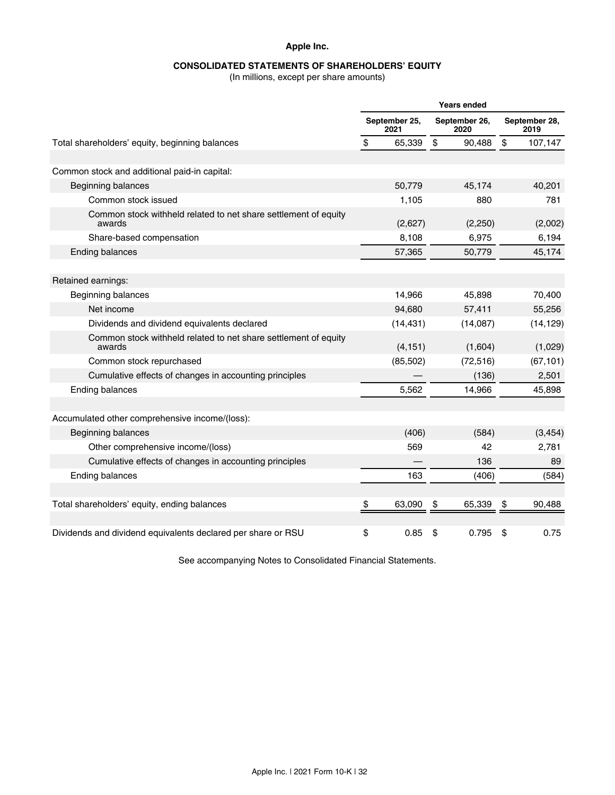## **CONSOLIDATED STATEMENTS OF SHAREHOLDERS' EQUITY**

(In millions, except per share amounts)

<span id="page-34-0"></span>

|                                                                           | Years ended           |           |                       |           |    |                       |
|---------------------------------------------------------------------------|-----------------------|-----------|-----------------------|-----------|----|-----------------------|
|                                                                           | September 25,<br>2021 |           | September 26,<br>2020 |           |    | September 28,<br>2019 |
| Total shareholders' equity, beginning balances                            | \$                    | 65,339    | \$                    | 90,488    | \$ | 107,147               |
|                                                                           |                       |           |                       |           |    |                       |
| Common stock and additional paid-in capital:                              |                       |           |                       |           |    |                       |
| Beginning balances                                                        |                       | 50,779    |                       | 45,174    |    | 40,201                |
| Common stock issued                                                       |                       | 1,105     |                       | 880       |    | 781                   |
| Common stock withheld related to net share settlement of equity<br>awards |                       | (2,627)   |                       | (2,250)   |    | (2,002)               |
| Share-based compensation                                                  |                       | 8,108     |                       | 6,975     |    | 6,194                 |
| <b>Ending balances</b>                                                    |                       | 57,365    |                       | 50,779    |    | 45,174                |
|                                                                           |                       |           |                       |           |    |                       |
| Retained earnings:                                                        |                       |           |                       |           |    |                       |
| Beginning balances                                                        |                       | 14,966    |                       | 45,898    |    | 70,400                |
| Net income                                                                |                       | 94.680    |                       | 57,411    |    | 55,256                |
| Dividends and dividend equivalents declared                               |                       | (14, 431) |                       | (14,087)  |    | (14, 129)             |
| Common stock withheld related to net share settlement of equity<br>awards |                       | (4, 151)  |                       | (1,604)   |    | (1,029)               |
| Common stock repurchased                                                  |                       | (85, 502) |                       | (72, 516) |    | (67, 101)             |
| Cumulative effects of changes in accounting principles                    |                       |           |                       | (136)     |    | 2,501                 |
| <b>Ending balances</b>                                                    |                       | 5,562     |                       | 14,966    |    | 45,898                |
|                                                                           |                       |           |                       |           |    |                       |
| Accumulated other comprehensive income/(loss):                            |                       |           |                       |           |    |                       |
| Beginning balances                                                        |                       | (406)     |                       | (584)     |    | (3, 454)              |
| Other comprehensive income/(loss)                                         |                       | 569       |                       | 42        |    | 2.781                 |
| Cumulative effects of changes in accounting principles                    |                       |           |                       | 136       |    | 89                    |
| <b>Ending balances</b>                                                    |                       | 163       |                       | (406)     |    | (584)                 |
|                                                                           |                       |           |                       |           |    |                       |
| Total shareholders' equity, ending balances                               | \$                    | 63,090    | \$                    | 65,339    | \$ | 90,488                |
|                                                                           |                       |           |                       |           |    |                       |
| Dividends and dividend equivalents declared per share or RSU              | \$                    | 0.85      | \$                    | 0.795     | \$ | 0.75                  |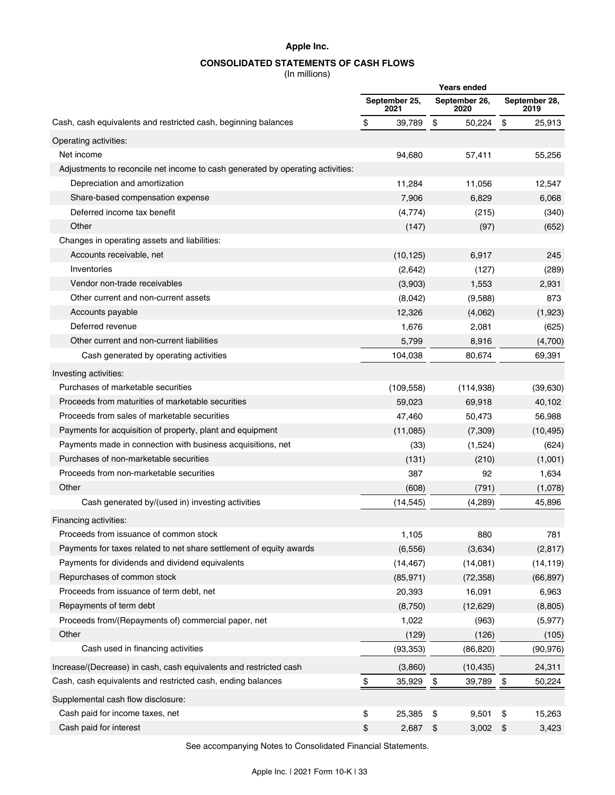## **CONSOLIDATED STATEMENTS OF CASH FLOWS**

(In millions)

<span id="page-35-0"></span>

|                                                                                | <b>Years ended</b> |                       |               |                       |            |                       |  |
|--------------------------------------------------------------------------------|--------------------|-----------------------|---------------|-----------------------|------------|-----------------------|--|
|                                                                                |                    | September 25,<br>2021 |               | September 26,<br>2020 |            | September 28,<br>2019 |  |
| Cash, cash equivalents and restricted cash, beginning balances                 | \$                 | 39,789                | \$            | 50,224                | \$         | 25,913                |  |
| Operating activities:                                                          |                    |                       |               |                       |            |                       |  |
| Net income                                                                     |                    | 94,680                |               | 57,411                |            | 55,256                |  |
| Adjustments to reconcile net income to cash generated by operating activities: |                    |                       |               |                       |            |                       |  |
| Depreciation and amortization                                                  |                    | 11.284                |               | 11,056                |            | 12,547                |  |
| Share-based compensation expense                                               |                    | 7,906                 |               | 6,829                 |            | 6,068                 |  |
| Deferred income tax benefit                                                    |                    | (4,774)               |               | (215)                 |            | (340)                 |  |
| Other                                                                          |                    | (147)                 |               | (97)                  |            | (652)                 |  |
| Changes in operating assets and liabilities:                                   |                    |                       |               |                       |            |                       |  |
| Accounts receivable, net                                                       |                    | (10, 125)             |               | 6,917                 |            | 245                   |  |
| Inventories                                                                    |                    | (2,642)               |               | (127)                 |            | (289)                 |  |
| Vendor non-trade receivables                                                   |                    | (3,903)               |               | 1,553                 |            | 2,931                 |  |
| Other current and non-current assets                                           |                    | (8,042)               |               | (9,588)               |            | 873                   |  |
| Accounts payable                                                               |                    | 12,326                |               | (4,062)               |            | (1,923)               |  |
| Deferred revenue                                                               |                    | 1,676                 |               | 2,081                 |            | (625)                 |  |
| Other current and non-current liabilities                                      |                    | 5,799                 |               | 8,916                 |            | (4,700)               |  |
| Cash generated by operating activities                                         |                    | 104,038               |               | 80,674                |            | 69,391                |  |
| Investing activities:                                                          |                    |                       |               |                       |            |                       |  |
| Purchases of marketable securities                                             |                    | (109, 558)            |               | (114, 938)            |            | (39,630)              |  |
| Proceeds from maturities of marketable securities                              |                    | 59,023                |               | 69,918                |            | 40,102                |  |
| Proceeds from sales of marketable securities                                   |                    | 47,460                |               | 50,473                |            | 56,988                |  |
| Payments for acquisition of property, plant and equipment                      |                    | (11,085)              |               | (7,309)               |            | (10, 495)             |  |
| Payments made in connection with business acquisitions, net                    |                    | (33)                  |               | (1,524)               |            | (624)                 |  |
| Purchases of non-marketable securities                                         |                    | (131)                 |               | (210)                 |            | (1,001)               |  |
| Proceeds from non-marketable securities                                        |                    | 387                   |               | 92                    |            | 1,634                 |  |
| Other                                                                          |                    | (608)                 |               | (791)                 |            | (1,078)               |  |
| Cash generated by/(used in) investing activities                               |                    | (14, 545)             |               | (4,289)               |            | 45,896                |  |
| Financing activities:                                                          |                    |                       |               |                       |            |                       |  |
| Proceeds from issuance of common stock                                         |                    | 1,105                 |               | 880                   |            | 781                   |  |
| Payments for taxes related to net share settlement of equity awards            |                    | (6, 556)              |               | (3,634)               |            | (2, 817)              |  |
| Payments for dividends and dividend equivalents                                |                    | (14, 467)             |               | (14,081)              |            | (14, 119)             |  |
| Repurchases of common stock                                                    |                    | (85, 971)             |               | (72, 358)             |            | (66, 897)             |  |
| Proceeds from issuance of term debt, net                                       |                    | 20,393                |               | 16,091                |            | 6,963                 |  |
| Repayments of term debt                                                        |                    | (8,750)               |               | (12, 629)             |            | (8,805)               |  |
| Proceeds from/(Repayments of) commercial paper, net                            |                    | 1,022                 |               | (963)                 |            | (5, 977)              |  |
| Other                                                                          |                    | (129)                 |               | (126)                 |            | (105)                 |  |
| Cash used in financing activities                                              |                    | (93, 353)             |               | (86, 820)             |            | (90, 976)             |  |
| Increase/(Decrease) in cash, cash equivalents and restricted cash              |                    | (3,860)               |               | (10, 435)             |            | 24,311                |  |
| Cash, cash equivalents and restricted cash, ending balances                    | \$                 | 35,929                | \$            | 39,789                | \$         | 50,224                |  |
| Supplemental cash flow disclosure:                                             |                    |                       |               |                       |            |                       |  |
| Cash paid for income taxes, net                                                | \$                 | 25,385                | \$            | 9,501                 | \$         | 15,263                |  |
| Cash paid for interest                                                         | \$                 | 2,687                 | $\frac{1}{2}$ | 3,002                 | $\sqrt{3}$ | 3,423                 |  |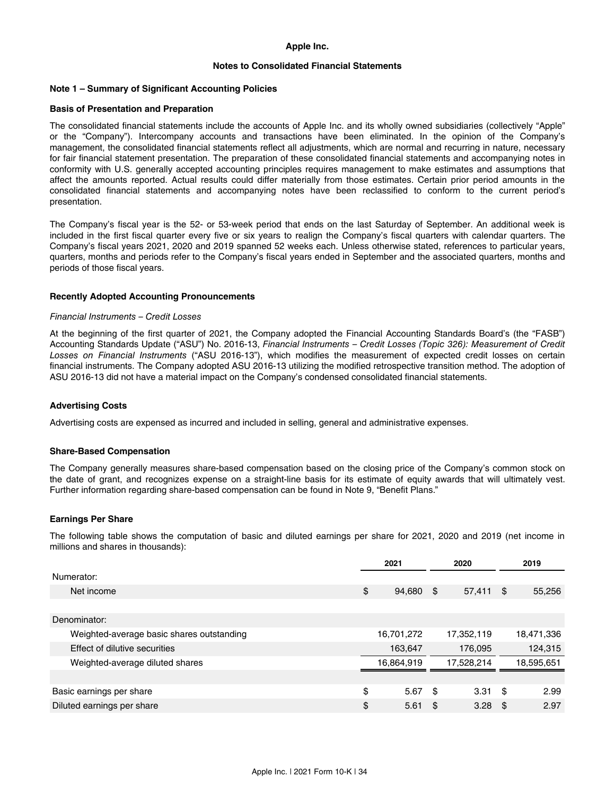## **Apple Inc.**

#### **Notes to Consolidated Financial Statements**

#### <span id="page-36-0"></span>**Note 1 – Summary of Significant Accounting Policies**

#### **Basis of Presentation and Preparation**

The consolidated financial statements include the accounts of Apple Inc. and its wholly owned subsidiaries (collectively "Apple" or the "Company"). Intercompany accounts and transactions have been eliminated. In the opinion of the Company's management, the consolidated financial statements reflect all adjustments, which are normal and recurring in nature, necessary for fair financial statement presentation. The preparation of these consolidated financial statements and accompanying notes in conformity with U.S. generally accepted accounting principles requires management to make estimates and assumptions that affect the amounts reported. Actual results could differ materially from those estimates. Certain prior period amounts in the consolidated financial statements and accompanying notes have been reclassified to conform to the current period's presentation.

The Company's fiscal year is the 52- or 53-week period that ends on the last Saturday of September. An additional week is included in the first fiscal quarter every five or six years to realign the Company's fiscal quarters with calendar quarters. The Company's fiscal years 2021, 2020 and 2019 spanned 52 weeks each. Unless otherwise stated, references to particular years, quarters, months and periods refer to the Company's fiscal years ended in September and the associated quarters, months and periods of those fiscal years.

#### **Recently Adopted Accounting Pronouncements**

#### Financial Instruments – Credit Losses

At the beginning of the first quarter of 2021, the Company adopted the Financial Accounting Standards Board's (the "FASB") Accounting Standards Update ("ASU") No. 2016-13, Financial Instruments – Credit Losses (Topic 326): Measurement of Credit Losses on Financial Instruments ("ASU 2016-13"), which modifies the measurement of expected credit losses on certain financial instruments. The Company adopted ASU 2016-13 utilizing the modified retrospective transition method. The adoption of ASU 2016-13 did not have a material impact on the Company's condensed consolidated financial statements.

#### **Advertising Costs**

Advertising costs are expensed as incurred and included in selling, general and administrative expenses.

#### **Share-Based Compensation**

The Company generally measures share-based compensation based on the closing price of the Company's common stock on the date of grant, and recognizes expense on a straight-line basis for its estimate of equity awards that will ultimately vest. Further information regarding share-based compensation can be found in Note 9, "Benefit Plans."

#### **Earnings Per Share**

The following table shows the computation of basic and diluted earnings per share for 2021, 2020 and 2019 (net income in millions and shares in thousands):

|                                           | 2021         |      | 2020       |      | 2019       |  |
|-------------------------------------------|--------------|------|------------|------|------------|--|
| Numerator:                                |              |      |            |      |            |  |
| Net income                                | \$<br>94,680 | - \$ | 57,411     | - \$ | 55,256     |  |
|                                           |              |      |            |      |            |  |
| Denominator:                              |              |      |            |      |            |  |
| Weighted-average basic shares outstanding | 16,701,272   |      | 17,352,119 |      | 18,471,336 |  |
| Effect of dilutive securities             | 163,647      |      | 176,095    |      | 124,315    |  |
| Weighted-average diluted shares           | 16,864,919   |      | 17,528,214 |      | 18,595,651 |  |
|                                           |              |      |            |      |            |  |
| Basic earnings per share                  | \$<br>5.67   | -\$  | 3.31       | - \$ | 2.99       |  |
| Diluted earnings per share                | \$<br>5.61   | -\$  | 3.28       | - \$ | 2.97       |  |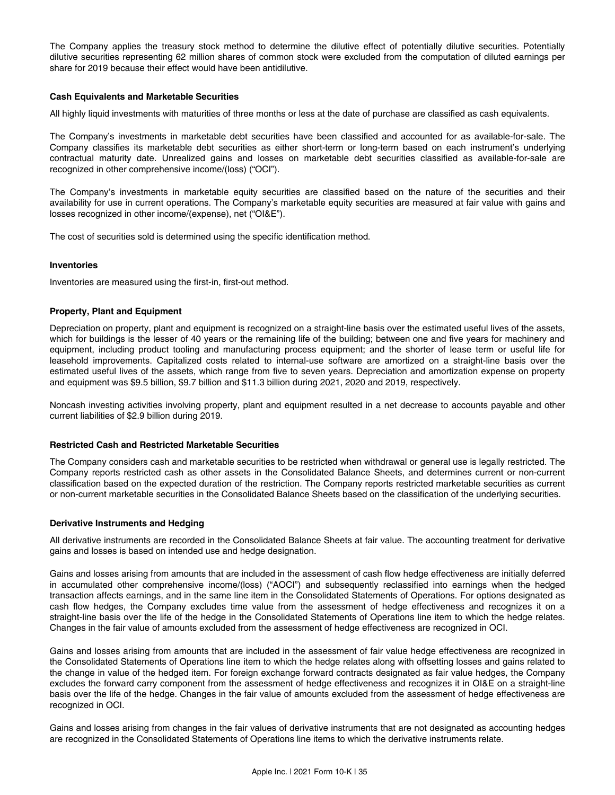The Company applies the treasury stock method to determine the dilutive effect of potentially dilutive securities. Potentially dilutive securities representing 62 million shares of common stock were excluded from the computation of diluted earnings per share for 2019 because their effect would have been antidilutive.

# **Cash Equivalents and Marketable Securities**

All highly liquid investments with maturities of three months or less at the date of purchase are classified as cash equivalents.

The Company's investments in marketable debt securities have been classified and accounted for as available-for-sale. The Company classifies its marketable debt securities as either short-term or long-term based on each instrument's underlying contractual maturity date. Unrealized gains and losses on marketable debt securities classified as available-for-sale are recognized in other comprehensive income/(loss) ("OCI").

The Company's investments in marketable equity securities are classified based on the nature of the securities and their availability for use in current operations. The Company's marketable equity securities are measured at fair value with gains and losses recognized in other income/(expense), net ("OI&E").

The cost of securities sold is determined using the specific identification method.

# **Inventories**

Inventories are measured using the first-in, first-out method.

# **Property, Plant and Equipment**

Depreciation on property, plant and equipment is recognized on a straight-line basis over the estimated useful lives of the assets, which for buildings is the lesser of 40 years or the remaining life of the building; between one and five years for machinery and equipment, including product tooling and manufacturing process equipment; and the shorter of lease term or useful life for leasehold improvements. Capitalized costs related to internal-use software are amortized on a straight-line basis over the estimated useful lives of the assets, which range from five to seven years. Depreciation and amortization expense on property and equipment was \$9.5 billion, \$9.7 billion and \$11.3 billion during 2021, 2020 and 2019, respectively.

Noncash investing activities involving property, plant and equipment resulted in a net decrease to accounts payable and other current liabilities of \$2.9 billion during 2019.

#### **Restricted Cash and Restricted Marketable Securities**

The Company considers cash and marketable securities to be restricted when withdrawal or general use is legally restricted. The Company reports restricted cash as other assets in the Consolidated Balance Sheets, and determines current or non-current classification based on the expected duration of the restriction. The Company reports restricted marketable securities as current or non-current marketable securities in the Consolidated Balance Sheets based on the classification of the underlying securities.

#### **Derivative Instruments and Hedging**

All derivative instruments are recorded in the Consolidated Balance Sheets at fair value. The accounting treatment for derivative gains and losses is based on intended use and hedge designation.

Gains and losses arising from amounts that are included in the assessment of cash flow hedge effectiveness are initially deferred in accumulated other comprehensive income/(loss) ("AOCI") and subsequently reclassified into earnings when the hedged transaction affects earnings, and in the same line item in the Consolidated Statements of Operations. For options designated as cash flow hedges, the Company excludes time value from the assessment of hedge effectiveness and recognizes it on a straight-line basis over the life of the hedge in the Consolidated Statements of Operations line item to which the hedge relates. Changes in the fair value of amounts excluded from the assessment of hedge effectiveness are recognized in OCI.

Gains and losses arising from amounts that are included in the assessment of fair value hedge effectiveness are recognized in the Consolidated Statements of Operations line item to which the hedge relates along with offsetting losses and gains related to the change in value of the hedged item. For foreign exchange forward contracts designated as fair value hedges, the Company excludes the forward carry component from the assessment of hedge effectiveness and recognizes it in OI&E on a straight-line basis over the life of the hedge. Changes in the fair value of amounts excluded from the assessment of hedge effectiveness are recognized in OCI.

Gains and losses arising from changes in the fair values of derivative instruments that are not designated as accounting hedges are recognized in the Consolidated Statements of Operations line items to which the derivative instruments relate.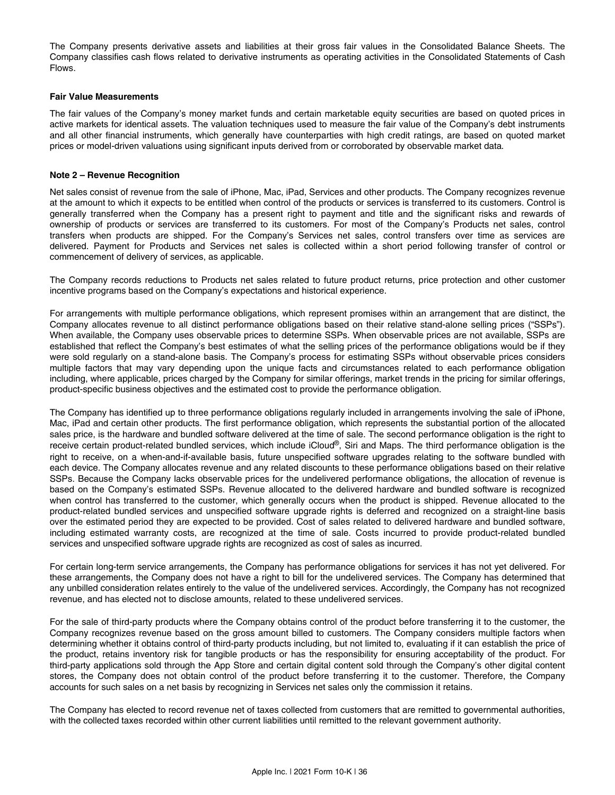The Company presents derivative assets and liabilities at their gross fair values in the Consolidated Balance Sheets. The Company classifies cash flows related to derivative instruments as operating activities in the Consolidated Statements of Cash Flows.

## **Fair Value Measurements**

The fair values of the Company's money market funds and certain marketable equity securities are based on quoted prices in active markets for identical assets. The valuation techniques used to measure the fair value of the Company's debt instruments and all other financial instruments, which generally have counterparties with high credit ratings, are based on quoted market prices or model-driven valuations using significant inputs derived from or corroborated by observable market data.

## **Note 2 – Revenue Recognition**

Net sales consist of revenue from the sale of iPhone, Mac, iPad, Services and other products. The Company recognizes revenue at the amount to which it expects to be entitled when control of the products or services is transferred to its customers. Control is generally transferred when the Company has a present right to payment and title and the significant risks and rewards of ownership of products or services are transferred to its customers. For most of the Company's Products net sales, control transfers when products are shipped. For the Company's Services net sales, control transfers over time as services are delivered. Payment for Products and Services net sales is collected within a short period following transfer of control or commencement of delivery of services, as applicable.

The Company records reductions to Products net sales related to future product returns, price protection and other customer incentive programs based on the Company's expectations and historical experience.

For arrangements with multiple performance obligations, which represent promises within an arrangement that are distinct, the Company allocates revenue to all distinct performance obligations based on their relative stand-alone selling prices ("SSPs"). When available, the Company uses observable prices to determine SSPs. When observable prices are not available, SSPs are established that reflect the Company's best estimates of what the selling prices of the performance obligations would be if they were sold regularly on a stand-alone basis. The Company's process for estimating SSPs without observable prices considers multiple factors that may vary depending upon the unique facts and circumstances related to each performance obligation including, where applicable, prices charged by the Company for similar offerings, market trends in the pricing for similar offerings, product-specific business objectives and the estimated cost to provide the performance obligation.

The Company has identified up to three performance obligations regularly included in arrangements involving the sale of iPhone, Mac, iPad and certain other products. The first performance obligation, which represents the substantial portion of the allocated sales price, is the hardware and bundled software delivered at the time of sale. The second performance obligation is the right to receive certain product-related bundled services, which include iCloud®, Siri and Maps. The third performance obligation is the right to receive, on a when-and-if-available basis, future unspecified software upgrades relating to the software bundled with each device. The Company allocates revenue and any related discounts to these performance obligations based on their relative SSPs. Because the Company lacks observable prices for the undelivered performance obligations, the allocation of revenue is based on the Company's estimated SSPs. Revenue allocated to the delivered hardware and bundled software is recognized when control has transferred to the customer, which generally occurs when the product is shipped. Revenue allocated to the product-related bundled services and unspecified software upgrade rights is deferred and recognized on a straight-line basis over the estimated period they are expected to be provided. Cost of sales related to delivered hardware and bundled software, including estimated warranty costs, are recognized at the time of sale. Costs incurred to provide product-related bundled services and unspecified software upgrade rights are recognized as cost of sales as incurred.

For certain long-term service arrangements, the Company has performance obligations for services it has not yet delivered. For these arrangements, the Company does not have a right to bill for the undelivered services. The Company has determined that any unbilled consideration relates entirely to the value of the undelivered services. Accordingly, the Company has not recognized revenue, and has elected not to disclose amounts, related to these undelivered services.

For the sale of third-party products where the Company obtains control of the product before transferring it to the customer, the Company recognizes revenue based on the gross amount billed to customers. The Company considers multiple factors when determining whether it obtains control of third-party products including, but not limited to, evaluating if it can establish the price of the product, retains inventory risk for tangible products or has the responsibility for ensuring acceptability of the product. For third-party applications sold through the App Store and certain digital content sold through the Company's other digital content stores, the Company does not obtain control of the product before transferring it to the customer. Therefore, the Company accounts for such sales on a net basis by recognizing in Services net sales only the commission it retains.

The Company has elected to record revenue net of taxes collected from customers that are remitted to governmental authorities, with the collected taxes recorded within other current liabilities until remitted to the relevant government authority.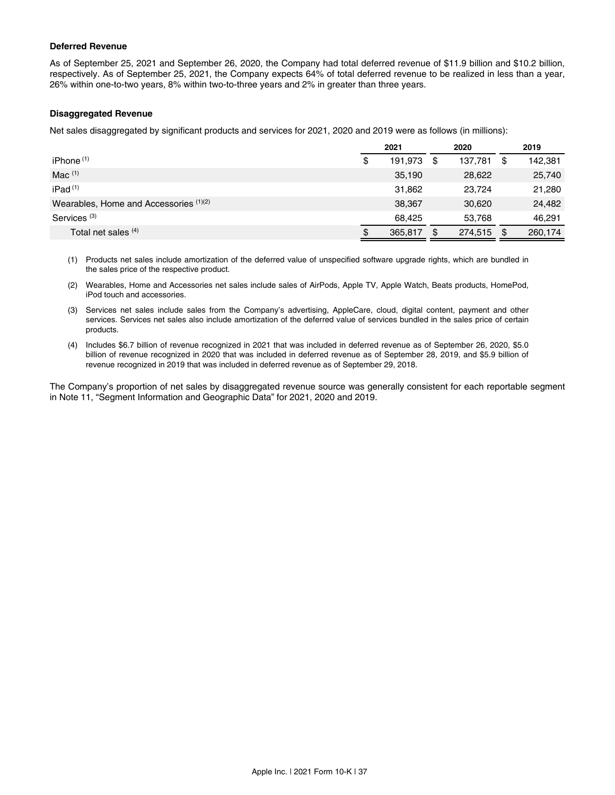# **Deferred Revenue**

As of September 25, 2021 and September 26, 2020, the Company had total deferred revenue of \$11.9 billion and \$10.2 billion, respectively. As of September 25, 2021, the Company expects 64% of total deferred revenue to be realized in less than a year, 26% within one-to-two years, 8% within two-to-three years and 2% in greater than three years.

# **Disaggregated Revenue**

Net sales disaggregated by significant products and services for 2021, 2020 and 2019 were as follows (in millions):

|                                        | 2021 |         | 2020 |         | 2019          |
|----------------------------------------|------|---------|------|---------|---------------|
| iPhone $(1)$                           | \$   | 191,973 | -\$  | 137,781 | \$<br>142,381 |
| Mac $(1)$                              |      | 35,190  |      | 28,622  | 25,740        |
| $i$ Pad $(1)$                          |      | 31,862  |      | 23.724  | 21,280        |
| Wearables, Home and Accessories (1)(2) |      | 38,367  |      | 30,620  | 24,482        |
| Services <sup>(3)</sup>                |      | 68.425  |      | 53.768  | 46,291        |
| Total net sales (4)                    | ß.   | 365.817 | \$   | 274,515 | \$<br>260,174 |

(1) Products net sales include amortization of the deferred value of unspecified software upgrade rights, which are bundled in the sales price of the respective product.

(2) Wearables, Home and Accessories net sales include sales of AirPods, Apple TV, Apple Watch, Beats products, HomePod, iPod touch and accessories.

(3) Services net sales include sales from the Company's advertising, AppleCare, cloud, digital content, payment and other services. Services net sales also include amortization of the deferred value of services bundled in the sales price of certain products.

(4) Includes \$6.7 billion of revenue recognized in 2021 that was included in deferred revenue as of September 26, 2020, \$5.0 billion of revenue recognized in 2020 that was included in deferred revenue as of September 28, 2019, and \$5.9 billion of revenue recognized in 2019 that was included in deferred revenue as of September 29, 2018.

The Company's proportion of net sales by disaggregated revenue source was generally consistent for each reportable segment in Note 11, "Segment Information and Geographic Data" for 2021, 2020 and 2019.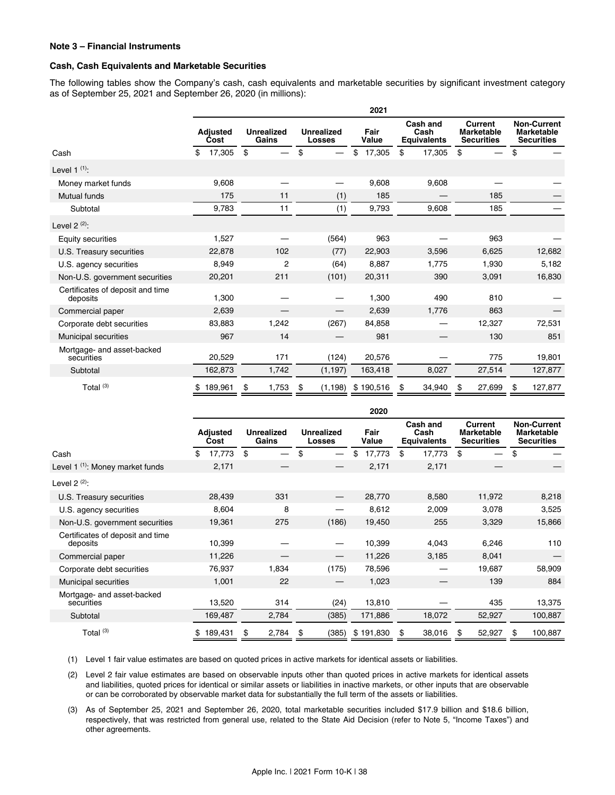## **Note 3 – Financial Instruments**

# **Cash, Cash Equivalents and Marketable Securities**

The following tables show the Company's cash, cash equivalents and marketable securities by significant investment category as of September 25, 2021 and September 26, 2020 (in millions):

|                                              |                         |                            |                                    | 2021          |                                        |        |                                                          |        |                                                              |
|----------------------------------------------|-------------------------|----------------------------|------------------------------------|---------------|----------------------------------------|--------|----------------------------------------------------------|--------|--------------------------------------------------------------|
|                                              | <b>Adjusted</b><br>Čost | <b>Unrealized</b><br>Gains | <b>Unrealized</b><br><b>Losses</b> | Fair<br>Value | Cash and<br>Cash<br><b>Equivalents</b> |        | <b>Current</b><br><b>Marketable</b><br><b>Securities</b> |        | <b>Non-Current</b><br><b>Marketable</b><br><b>Securities</b> |
| Cash                                         | 17,305<br>\$            | \$                         | \$                                 | 17,305<br>\$  | \$                                     | 17,305 | \$                                                       |        | \$                                                           |
| Level $1^{(1)}$ :                            |                         |                            |                                    |               |                                        |        |                                                          |        |                                                              |
| Money market funds                           | 9,608                   |                            |                                    | 9,608         |                                        | 9,608  |                                                          |        |                                                              |
| <b>Mutual funds</b>                          | 175                     | 11                         | (1)                                | 185           |                                        |        |                                                          | 185    |                                                              |
| Subtotal                                     | 9,783                   | 11                         | (1)                                | 9,793         |                                        | 9,608  |                                                          | 185    |                                                              |
| Level $2^{(2)}$ :                            |                         |                            |                                    |               |                                        |        |                                                          |        |                                                              |
| Equity securities                            | 1,527                   |                            | (564)                              | 963           |                                        |        |                                                          | 963    |                                                              |
| U.S. Treasury securities                     | 22,878                  | 102                        | (77)                               | 22,903        |                                        | 3,596  |                                                          | 6,625  | 12,682                                                       |
| U.S. agency securities                       | 8,949                   | $\overline{2}$             | (64)                               | 8,887         |                                        | 1,775  |                                                          | 1,930  | 5,182                                                        |
| Non-U.S. government securities               | 20,201                  | 211                        | (101)                              | 20,311        |                                        | 390    |                                                          | 3,091  | 16,830                                                       |
| Certificates of deposit and time<br>deposits | 1,300                   |                            |                                    | 1,300         |                                        | 490    |                                                          | 810    |                                                              |
| Commercial paper                             | 2,639                   |                            |                                    | 2,639         |                                        | 1,776  |                                                          | 863    |                                                              |
| Corporate debt securities                    | 83,883                  | 1,242                      | (267)                              | 84,858        |                                        |        |                                                          | 12,327 | 72,531                                                       |
| Municipal securities                         | 967                     | 14                         |                                    | 981           |                                        |        |                                                          | 130    | 851                                                          |
| Mortgage- and asset-backed<br>securities     | 20,529                  | 171                        | (124)                              | 20,576        |                                        |        |                                                          | 775    | 19,801                                                       |
| Subtotal                                     | 162,873                 | 1,742                      | (1, 197)                           | 163,418       |                                        | 8,027  |                                                          | 27,514 | 127,877                                                      |
| Total <sup>(3)</sup>                         | 189,961<br>\$           | 1,753<br>\$                | (1, 198)<br>\$                     | \$190,516     | \$                                     | 34,940 | \$                                                       | 27,699 | 127,877<br>\$                                                |

|                                              |                         |                            |                                 | 2020          |                                        |                                                          |                                                              |
|----------------------------------------------|-------------------------|----------------------------|---------------------------------|---------------|----------------------------------------|----------------------------------------------------------|--------------------------------------------------------------|
|                                              | <b>Adjusted</b><br>Cost | <b>Unrealized</b><br>Gains | <b>Unrealized</b><br>Losses     | Fair<br>Value | Cash and<br>Cash<br><b>Equivalents</b> | <b>Current</b><br><b>Marketable</b><br><b>Securities</b> | <b>Non-Current</b><br><b>Marketable</b><br><b>Securities</b> |
| Cash                                         | \$<br>17,773            | \$                         | \$                              | 17,773<br>\$  | 17,773<br>\$                           | \$                                                       | \$                                                           |
| Level 1 <sup>(1)</sup> : Money market funds  | 2,171                   |                            |                                 | 2,171         | 2,171                                  |                                                          |                                                              |
| Level $2^{(2)}$ :                            |                         |                            |                                 |               |                                        |                                                          |                                                              |
| U.S. Treasury securities                     | 28,439                  | 331                        | $\hspace{0.1mm}-\hspace{0.1mm}$ | 28,770        | 8,580                                  | 11,972                                                   | 8,218                                                        |
| U.S. agency securities                       | 8,604                   | 8                          |                                 | 8,612         | 2,009                                  | 3,078                                                    | 3,525                                                        |
| Non-U.S. government securities               | 19,361                  | 275                        | (186)                           | 19,450        | 255                                    | 3,329                                                    | 15,866                                                       |
| Certificates of deposit and time<br>deposits | 10,399                  |                            |                                 | 10,399        | 4,043                                  | 6,246                                                    | 110                                                          |
| Commercial paper                             | 11,226                  |                            |                                 | 11,226        | 3,185                                  | 8,041                                                    |                                                              |
| Corporate debt securities                    | 76,937                  | 1,834                      | (175)                           | 78,596        |                                        | 19,687                                                   | 58,909                                                       |
| <b>Municipal securities</b>                  | 1,001                   | 22                         |                                 | 1,023         |                                        | 139                                                      | 884                                                          |
| Mortgage- and asset-backed<br>securities     | 13,520                  | 314                        | (24)                            | 13,810        |                                        | 435                                                      | 13,375                                                       |
| Subtotal                                     | 169,487                 | 2,784                      | (385)                           | 171,886       | 18,072                                 | 52,927                                                   | 100,887                                                      |
| Total <sup>(3)</sup>                         | 189,431<br>S            | 2,784<br>\$                | (385)<br>\$                     | \$191,830     | 38,016<br>S                            | 52,927<br>S                                              | 100,887<br>S                                                 |

(1) Level 1 fair value estimates are based on quoted prices in active markets for identical assets or liabilities.

(2) Level 2 fair value estimates are based on observable inputs other than quoted prices in active markets for identical assets and liabilities, quoted prices for identical or similar assets or liabilities in inactive markets, or other inputs that are observable or can be corroborated by observable market data for substantially the full term of the assets or liabilities.

(3) As of September 25, 2021 and September 26, 2020, total marketable securities included \$17.9 billion and \$18.6 billion, respectively, that was restricted from general use, related to the State Aid Decision (refer to Note 5, "Income Taxes") and other agreements.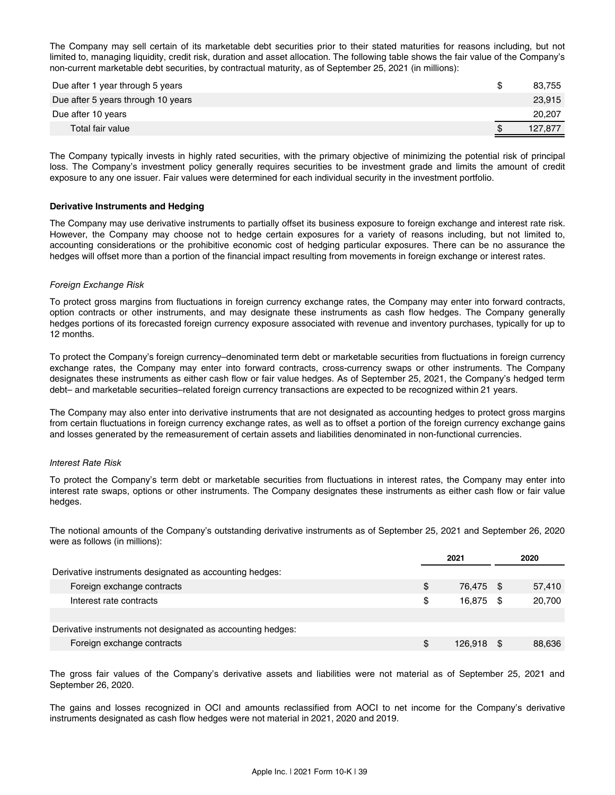The Company may sell certain of its marketable debt securities prior to their stated maturities for reasons including, but not limited to, managing liquidity, credit risk, duration and asset allocation. The following table shows the fair value of the Company's non-current marketable debt securities, by contractual maturity, as of September 25, 2021 (in millions):

| Due after 1 year through 5 years   | 83.755  |
|------------------------------------|---------|
| Due after 5 years through 10 years | 23,915  |
| Due after 10 years                 | 20,207  |
| Total fair value                   | 127.877 |

The Company typically invests in highly rated securities, with the primary objective of minimizing the potential risk of principal loss. The Company's investment policy generally requires securities to be investment grade and limits the amount of credit exposure to any one issuer. Fair values were determined for each individual security in the investment portfolio.

# **Derivative Instruments and Hedging**

The Company may use derivative instruments to partially offset its business exposure to foreign exchange and interest rate risk. However, the Company may choose not to hedge certain exposures for a variety of reasons including, but not limited to, accounting considerations or the prohibitive economic cost of hedging particular exposures. There can be no assurance the hedges will offset more than a portion of the financial impact resulting from movements in foreign exchange or interest rates.

## Foreign Exchange Risk

To protect gross margins from fluctuations in foreign currency exchange rates, the Company may enter into forward contracts, option contracts or other instruments, and may designate these instruments as cash flow hedges. The Company generally hedges portions of its forecasted foreign currency exposure associated with revenue and inventory purchases, typically for up to 12 months.

To protect the Company's foreign currency–denominated term debt or marketable securities from fluctuations in foreign currency exchange rates, the Company may enter into forward contracts, cross-currency swaps or other instruments. The Company designates these instruments as either cash flow or fair value hedges. As of September 25, 2021, the Company's hedged term debt– and marketable securities–related foreign currency transactions are expected to be recognized within 21 years.

The Company may also enter into derivative instruments that are not designated as accounting hedges to protect gross margins from certain fluctuations in foreign currency exchange rates, as well as to offset a portion of the foreign currency exchange gains and losses generated by the remeasurement of certain assets and liabilities denominated in non-functional currencies.

#### Interest Rate Risk

To protect the Company's term debt or marketable securities from fluctuations in interest rates, the Company may enter into interest rate swaps, options or other instruments. The Company designates these instruments as either cash flow or fair value hedges.

The notional amounts of the Company's outstanding derivative instruments as of September 25, 2021 and September 26, 2020 were as follows (in millions):

|                                                             |    | 2021      | 2020 |        |  |
|-------------------------------------------------------------|----|-----------|------|--------|--|
| Derivative instruments designated as accounting hedges:     |    |           |      |        |  |
| Foreign exchange contracts                                  | S  | 76.475 \$ |      | 57,410 |  |
| Interest rate contracts                                     | \$ | 16.875    | S    | 20.700 |  |
|                                                             |    |           |      |        |  |
| Derivative instruments not designated as accounting hedges: |    |           |      |        |  |
| Foreign exchange contracts                                  | \$ | 126.918   | \$.  | 88.636 |  |

The gross fair values of the Company's derivative assets and liabilities were not material as of September 25, 2021 and September 26, 2020.

The gains and losses recognized in OCI and amounts reclassified from AOCI to net income for the Company's derivative instruments designated as cash flow hedges were not material in 2021, 2020 and 2019.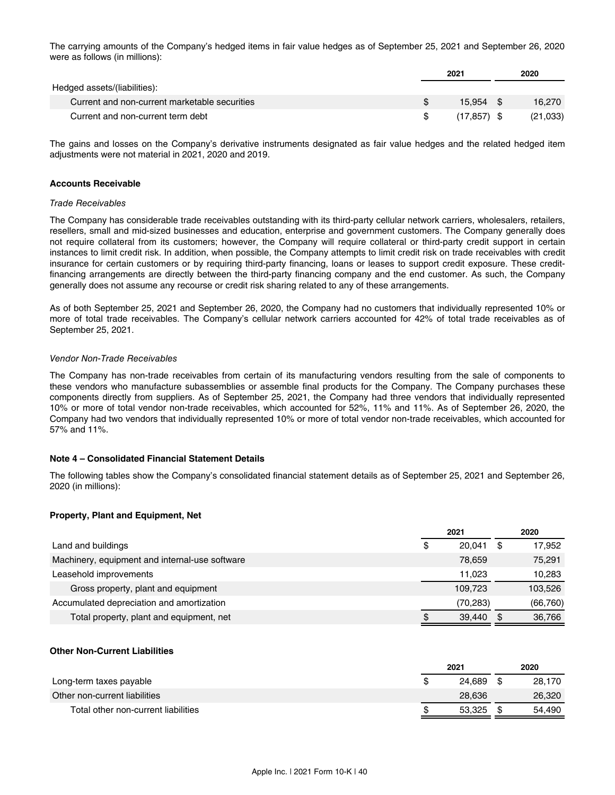The carrying amounts of the Company's hedged items in fair value hedges as of September 25, 2021 and September 26, 2020 were as follows (in millions):

|                                               |     | 2021          | 2020     |
|-----------------------------------------------|-----|---------------|----------|
| Hedged assets/(liabilities):                  |     |               |          |
| Current and non-current marketable securities | \$. | $15.954$ \$   | 16.270   |
| Current and non-current term debt             |     | $(17.857)$ \$ | (21,033) |

The gains and losses on the Company's derivative instruments designated as fair value hedges and the related hedged item adjustments were not material in 2021, 2020 and 2019.

#### **Accounts Receivable**

#### Trade Receivables

The Company has considerable trade receivables outstanding with its third-party cellular network carriers, wholesalers, retailers, resellers, small and mid-sized businesses and education, enterprise and government customers. The Company generally does not require collateral from its customers; however, the Company will require collateral or third-party credit support in certain instances to limit credit risk. In addition, when possible, the Company attempts to limit credit risk on trade receivables with credit insurance for certain customers or by requiring third-party financing, loans or leases to support credit exposure. These creditfinancing arrangements are directly between the third-party financing company and the end customer. As such, the Company generally does not assume any recourse or credit risk sharing related to any of these arrangements.

As of both September 25, 2021 and September 26, 2020, the Company had no customers that individually represented 10% or more of total trade receivables. The Company's cellular network carriers accounted for 42% of total trade receivables as of September 25, 2021.

# Vendor Non-Trade Receivables

The Company has non-trade receivables from certain of its manufacturing vendors resulting from the sale of components to these vendors who manufacture subassemblies or assemble final products for the Company. The Company purchases these components directly from suppliers. As of September 25, 2021, the Company had three vendors that individually represented 10% or more of total vendor non-trade receivables, which accounted for 52%, 11% and 11%. As of September 26, 2020, the Company had two vendors that individually represented 10% or more of total vendor non-trade receivables, which accounted for 57% and 11%.

# **Note 4 – Consolidated Financial Statement Details**

The following tables show the Company's consolidated financial statement details as of September 25, 2021 and September 26, 2020 (in millions):

# **Property, Plant and Equipment, Net**

|                                                |    | 2021      | 2020 |           |
|------------------------------------------------|----|-----------|------|-----------|
| Land and buildings                             | \$ | 20.041    |      | 17,952    |
| Machinery, equipment and internal-use software |    | 78.659    |      | 75,291    |
| Leasehold improvements                         |    | 11,023    |      | 10,283    |
| Gross property, plant and equipment            |    | 109.723   |      | 103,526   |
| Accumulated depreciation and amortization      |    | (70, 283) |      | (66, 760) |
| Total property, plant and equipment, net       | S  | 39,440    | S    | 36,766    |

# **Other Non-Current Liabilities**

|                                     | 2021 |        |  | 2020   |  |
|-------------------------------------|------|--------|--|--------|--|
| Long-term taxes payable             |      | 24.689 |  | 28.170 |  |
| Other non-current liabilities       |      | 28.636 |  | 26,320 |  |
| Total other non-current liabilities |      | 53.325 |  | 54.490 |  |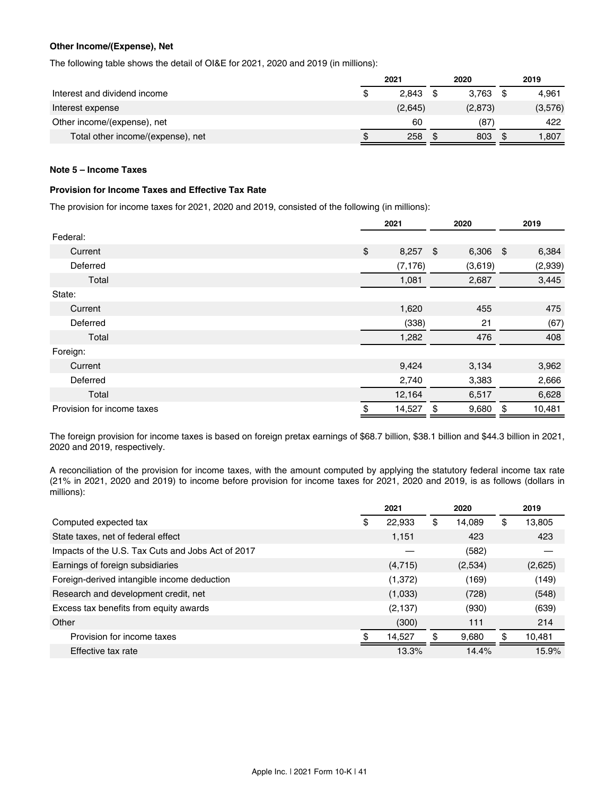# **Other Income/(Expense), Net**

The following table shows the detail of OI&E for 2021, 2020 and 2019 (in millions):

|                                   | 2021 |         |  | 2020    | 2019 |         |
|-----------------------------------|------|---------|--|---------|------|---------|
| Interest and dividend income      |      | 2.843   |  | 3.763   | - \$ | 4,961   |
| Interest expense                  |      | (2,645) |  | (2,873) |      | (3,576) |
| Other income/(expense), net       |      | 60      |  | (87)    |      | 422     |
| Total other income/(expense), net |      | 258     |  | 803     |      | 1,807   |

## **Note 5 – Income Taxes**

## **Provision for Income Taxes and Effective Tax Rate**

The provision for income taxes for 2021, 2020 and 2019, consisted of the following (in millions):

|                            | 2021 |          | 2020 |            | 2019         |
|----------------------------|------|----------|------|------------|--------------|
| Federal:                   |      |          |      |            |              |
| Current                    | \$   | 8,257    | \$   | $6,306$ \$ | 6,384        |
| Deferred                   |      | (7, 176) |      | (3,619)    | (2,939)      |
| Total                      |      | 1,081    |      | 2,687      | 3,445        |
| State:                     |      |          |      |            |              |
| Current                    |      | 1,620    |      | 455        | 475          |
| Deferred                   |      | (338)    |      | 21         | (67)         |
| Total                      |      | 1,282    |      | 476        | 408          |
| Foreign:                   |      |          |      |            |              |
| Current                    |      | 9,424    |      | 3,134      | 3,962        |
| Deferred                   |      | 2,740    |      | 3,383      | 2,666        |
| Total                      |      | 12,164   |      | 6,517      | 6,628        |
| Provision for income taxes | \$   | 14,527   | \$   | 9,680      | \$<br>10,481 |

The foreign provision for income taxes is based on foreign pretax earnings of \$68.7 billion, \$38.1 billion and \$44.3 billion in 2021, 2020 and 2019, respectively.

A reconciliation of the provision for income taxes, with the amount computed by applying the statutory federal income tax rate (21% in 2021, 2020 and 2019) to income before provision for income taxes for 2021, 2020 and 2019, is as follows (dollars in millions):

|                                                   | 2021 |          | 2020 |         | 2019         |
|---------------------------------------------------|------|----------|------|---------|--------------|
| Computed expected tax                             | \$   | 22,933   | \$   | 14.089  | \$<br>13,805 |
| State taxes, net of federal effect                |      | 1,151    |      | 423     | 423          |
| Impacts of the U.S. Tax Cuts and Jobs Act of 2017 |      |          |      | (582)   |              |
| Earnings of foreign subsidiaries                  |      | (4,715)  |      | (2,534) | (2,625)      |
| Foreign-derived intangible income deduction       |      | (1,372)  |      | (169)   | (149)        |
| Research and development credit, net              |      | (1,033)  |      | (728)   | (548)        |
| Excess tax benefits from equity awards            |      | (2, 137) |      | (930)   | (639)        |
| Other                                             |      | (300)    |      | 111     | 214          |
| Provision for income taxes                        |      | 14.527   | \$   | 9.680   | \$<br>10,481 |
| Effective tax rate                                |      | 13.3%    |      | 14.4%   | 15.9%        |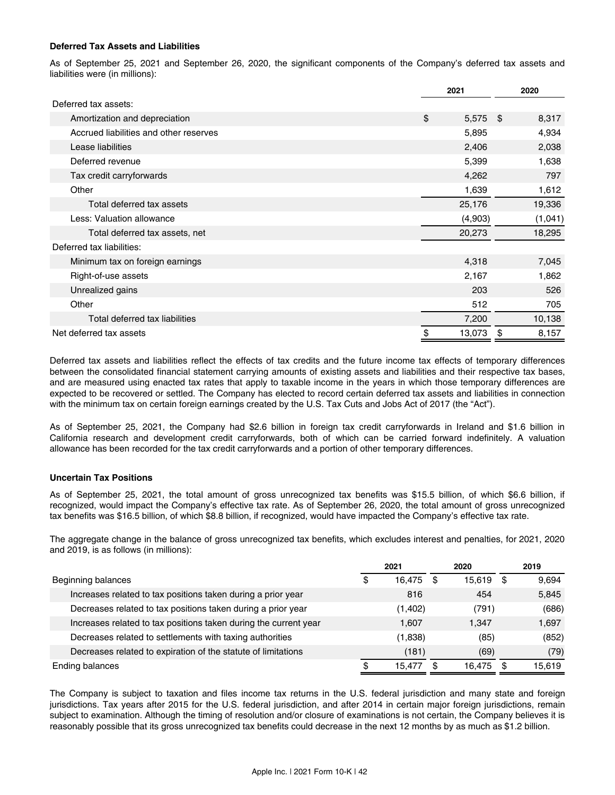# **Deferred Tax Assets and Liabilities**

As of September 25, 2021 and September 26, 2020, the significant components of the Company's deferred tax assets and liabilities were (in millions):

|                                        | 2021             | 2020        |
|----------------------------------------|------------------|-------------|
| Deferred tax assets:                   |                  |             |
| Amortization and depreciation          | \$<br>$5,575$ \$ | 8,317       |
| Accrued liabilities and other reserves | 5,895            | 4,934       |
| Lease liabilities                      | 2,406            | 2,038       |
| Deferred revenue                       | 5,399            | 1,638       |
| Tax credit carryforwards               | 4,262            | 797         |
| Other                                  | 1,639            | 1,612       |
| Total deferred tax assets              | 25,176           | 19,336      |
| Less: Valuation allowance              | (4,903)          | (1,041)     |
| Total deferred tax assets, net         | 20,273           | 18,295      |
| Deferred tax liabilities:              |                  |             |
| Minimum tax on foreign earnings        | 4,318            | 7,045       |
| Right-of-use assets                    | 2,167            | 1,862       |
| Unrealized gains                       | 203              | 526         |
| Other                                  | 512              | 705         |
| Total deferred tax liabilities         | 7,200            | 10,138      |
| Net deferred tax assets                | \$<br>13,073     | 8,157<br>\$ |

Deferred tax assets and liabilities reflect the effects of tax credits and the future income tax effects of temporary differences between the consolidated financial statement carrying amounts of existing assets and liabilities and their respective tax bases, and are measured using enacted tax rates that apply to taxable income in the years in which those temporary differences are expected to be recovered or settled. The Company has elected to record certain deferred tax assets and liabilities in connection with the minimum tax on certain foreign earnings created by the U.S. Tax Cuts and Jobs Act of 2017 (the "Act").

As of September 25, 2021, the Company had \$2.6 billion in foreign tax credit carryforwards in Ireland and \$1.6 billion in California research and development credit carryforwards, both of which can be carried forward indefinitely. A valuation allowance has been recorded for the tax credit carryforwards and a portion of other temporary differences.

# **Uncertain Tax Positions**

As of September 25, 2021, the total amount of gross unrecognized tax benefits was \$15.5 billion, of which \$6.6 billion, if recognized, would impact the Company's effective tax rate. As of September 26, 2020, the total amount of gross unrecognized tax benefits was \$16.5 billion, of which \$8.8 billion, if recognized, would have impacted the Company's effective tax rate.

The aggregate change in the balance of gross unrecognized tax benefits, which excludes interest and penalties, for 2021, 2020 and 2019, is as follows (in millions):

|                                                                  |   | 2021    | 2020   |      | 2019   |
|------------------------------------------------------------------|---|---------|--------|------|--------|
| Beginning balances                                               | S | 16.475  | 15.619 | - \$ | 9,694  |
| Increases related to tax positions taken during a prior year     |   | 816     | 454    |      | 5,845  |
| Decreases related to tax positions taken during a prior year     |   | (1,402) | (791)  |      | (686)  |
| Increases related to tax positions taken during the current year |   | 1.607   | 1.347  |      | 1,697  |
| Decreases related to settlements with taxing authorities         |   | (1,838) | (85)   |      | (852)  |
| Decreases related to expiration of the statute of limitations    |   | (181)   | (69)   |      | (79)   |
| Ending balances                                                  |   | 15.477  | 16.475 |      | 15,619 |

The Company is subject to taxation and files income tax returns in the U.S. federal jurisdiction and many state and foreign jurisdictions. Tax years after 2015 for the U.S. federal jurisdiction, and after 2014 in certain major foreign jurisdictions, remain subject to examination. Although the timing of resolution and/or closure of examinations is not certain, the Company believes it is reasonably possible that its gross unrecognized tax benefits could decrease in the next 12 months by as much as \$1.2 billion.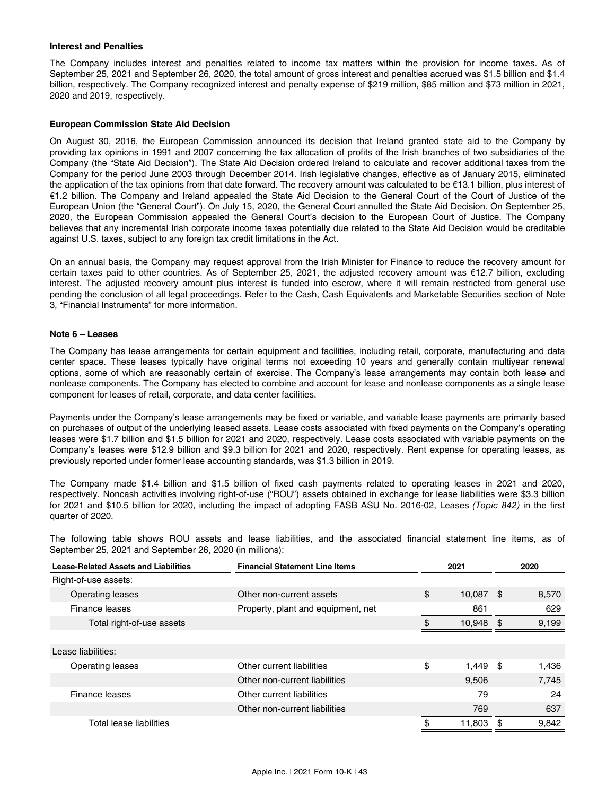## **Interest and Penalties**

The Company includes interest and penalties related to income tax matters within the provision for income taxes. As of September 25, 2021 and September 26, 2020, the total amount of gross interest and penalties accrued was \$1.5 billion and \$1.4 billion, respectively. The Company recognized interest and penalty expense of \$219 million, \$85 million and \$73 million in 2021, 2020 and 2019, respectively.

## **European Commission State Aid Decision**

On August 30, 2016, the European Commission announced its decision that Ireland granted state aid to the Company by providing tax opinions in 1991 and 2007 concerning the tax allocation of profits of the Irish branches of two subsidiaries of the Company (the "State Aid Decision"). The State Aid Decision ordered Ireland to calculate and recover additional taxes from the Company for the period June 2003 through December 2014. Irish legislative changes, effective as of January 2015, eliminated the application of the tax opinions from that date forward. The recovery amount was calculated to be €13.1 billion, plus interest of €1.2 billion. The Company and Ireland appealed the State Aid Decision to the General Court of the Court of Justice of the European Union (the "General Court"). On July 15, 2020, the General Court annulled the State Aid Decision. On September 25, 2020, the European Commission appealed the General Court's decision to the European Court of Justice. The Company believes that any incremental Irish corporate income taxes potentially due related to the State Aid Decision would be creditable against U.S. taxes, subject to any foreign tax credit limitations in the Act.

On an annual basis, the Company may request approval from the Irish Minister for Finance to reduce the recovery amount for certain taxes paid to other countries. As of September 25, 2021, the adjusted recovery amount was €12.7 billion, excluding interest. The adjusted recovery amount plus interest is funded into escrow, where it will remain restricted from general use pending the conclusion of all legal proceedings. Refer to the Cash, Cash Equivalents and Marketable Securities section of Note 3, "Financial Instruments" for more information.

#### **Note 6 – Leases**

The Company has lease arrangements for certain equipment and facilities, including retail, corporate, manufacturing and data center space. These leases typically have original terms not exceeding 10 years and generally contain multiyear renewal options, some of which are reasonably certain of exercise. The Company's lease arrangements may contain both lease and nonlease components. The Company has elected to combine and account for lease and nonlease components as a single lease component for leases of retail, corporate, and data center facilities.

Payments under the Company's lease arrangements may be fixed or variable, and variable lease payments are primarily based on purchases of output of the underlying leased assets. Lease costs associated with fixed payments on the Company's operating leases were \$1.7 billion and \$1.5 billion for 2021 and 2020, respectively. Lease costs associated with variable payments on the Company's leases were \$12.9 billion and \$9.3 billion for 2021 and 2020, respectively. Rent expense for operating leases, as previously reported under former lease accounting standards, was \$1.3 billion in 2019.

The Company made \$1.4 billion and \$1.5 billion of fixed cash payments related to operating leases in 2021 and 2020, respectively. Noncash activities involving right-of-use ("ROU") assets obtained in exchange for lease liabilities were \$3.3 billion for 2021 and \$10.5 billion for 2020, including the impact of adopting FASB ASU No. 2016-02, Leases (Topic 842) in the first quarter of 2020.

The following table shows ROU assets and lease liabilities, and the associated financial statement line items, as of September 25, 2021 and September 26, 2020 (in millions):

| <b>Lease-Related Assets and Liabilities</b> | <b>Financial Statement Line Items</b> |    | 2021       |      |       |  | 2020 |
|---------------------------------------------|---------------------------------------|----|------------|------|-------|--|------|
| Right-of-use assets:                        |                                       |    |            |      |       |  |      |
| Operating leases                            | Other non-current assets              | \$ | 10,087     | - \$ | 8,570 |  |      |
| Finance leases                              | Property, plant and equipment, net    |    | 861        |      | 629   |  |      |
| Total right-of-use assets                   |                                       |    | 10,948     | - \$ | 9,199 |  |      |
|                                             |                                       |    |            |      |       |  |      |
| Lease liabilities:                          |                                       |    |            |      |       |  |      |
| Operating leases                            | Other current liabilities             | \$ | $1,449$ \$ |      | 1.436 |  |      |
|                                             | Other non-current liabilities         |    | 9,506      |      | 7,745 |  |      |
| Finance leases                              | Other current liabilities             |    | 79         |      | 24    |  |      |
|                                             | Other non-current liabilities         |    | 769        |      | 637   |  |      |
| Total lease liabilities                     |                                       |    | 11,803     | S    | 9,842 |  |      |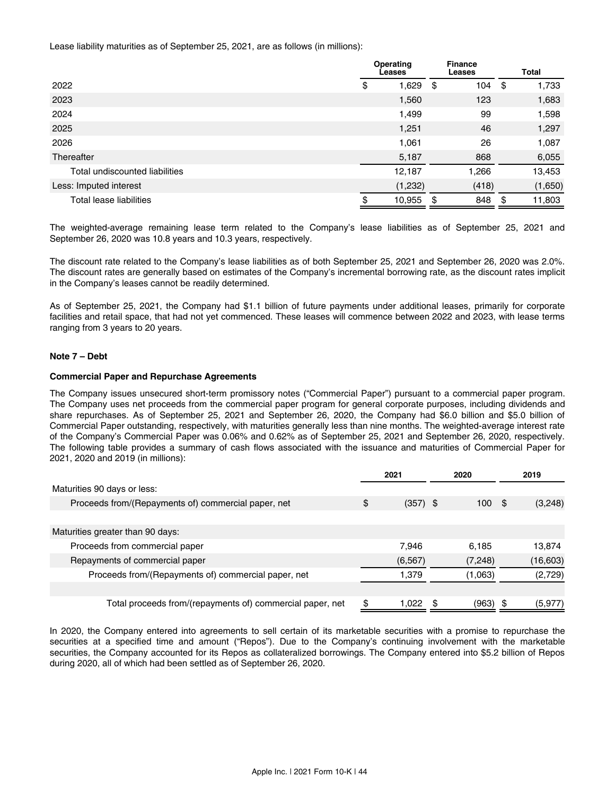Lease liability maturities as of September 25, 2021, are as follows (in millions):

|                                | Operating<br>Leases |         |     |       |     |         |  |  |  |  |  |  |  |  |  | <b>Finance</b><br>Leases |  | Total |
|--------------------------------|---------------------|---------|-----|-------|-----|---------|--|--|--|--|--|--|--|--|--|--------------------------|--|-------|
| 2022                           | \$                  | 1,629   | -\$ | 104   | -\$ | 1,733   |  |  |  |  |  |  |  |  |  |                          |  |       |
| 2023                           |                     | 1,560   |     | 123   |     | 1,683   |  |  |  |  |  |  |  |  |  |                          |  |       |
| 2024                           |                     | 1,499   |     | 99    |     | 1,598   |  |  |  |  |  |  |  |  |  |                          |  |       |
| 2025                           |                     | 1,251   |     | 46    |     | 1,297   |  |  |  |  |  |  |  |  |  |                          |  |       |
| 2026                           |                     | 1,061   |     | 26    |     | 1,087   |  |  |  |  |  |  |  |  |  |                          |  |       |
| Thereafter                     |                     | 5,187   |     | 868   |     | 6,055   |  |  |  |  |  |  |  |  |  |                          |  |       |
| Total undiscounted liabilities |                     | 12,187  |     | 1,266 |     | 13,453  |  |  |  |  |  |  |  |  |  |                          |  |       |
| Less: Imputed interest         |                     | (1,232) |     | (418) |     | (1,650) |  |  |  |  |  |  |  |  |  |                          |  |       |
| Total lease liabilities        | \$                  | 10,955  | -\$ | 848   | \$  | 11,803  |  |  |  |  |  |  |  |  |  |                          |  |       |

The weighted-average remaining lease term related to the Company's lease liabilities as of September 25, 2021 and September 26, 2020 was 10.8 years and 10.3 years, respectively.

The discount rate related to the Company's lease liabilities as of both September 25, 2021 and September 26, 2020 was 2.0%. The discount rates are generally based on estimates of the Company's incremental borrowing rate, as the discount rates implicit in the Company's leases cannot be readily determined.

As of September 25, 2021, the Company had \$1.1 billion of future payments under additional leases, primarily for corporate facilities and retail space, that had not yet commenced. These leases will commence between 2022 and 2023, with lease terms ranging from 3 years to 20 years.

# **Note 7 – Debt**

# **Commercial Paper and Repurchase Agreements**

The Company issues unsecured short-term promissory notes ("Commercial Paper") pursuant to a commercial paper program. The Company uses net proceeds from the commercial paper program for general corporate purposes, including dividends and share repurchases. As of September 25, 2021 and September 26, 2020, the Company had \$6.0 billion and \$5.0 billion of Commercial Paper outstanding, respectively, with maturities generally less than nine months. The weighted-average interest rate of the Company's Commercial Paper was 0.06% and 0.62% as of September 25, 2021 and September 26, 2020, respectively. The following table provides a summary of cash flows associated with the issuance and maturities of Commercial Paper for 2021, 2020 and 2019 (in millions):

|                                                           | 2021 |            | 2020 |          |      |           | 2019 |  |
|-----------------------------------------------------------|------|------------|------|----------|------|-----------|------|--|
| Maturities 90 days or less:                               |      |            |      |          |      |           |      |  |
| Proceeds from/(Repayments of) commercial paper, net       | \$   | $(357)$ \$ |      | 100      | - \$ | (3,248)   |      |  |
|                                                           |      |            |      |          |      |           |      |  |
| Maturities greater than 90 days:                          |      |            |      |          |      |           |      |  |
| Proceeds from commercial paper                            |      | 7,946      |      | 6.185    |      | 13,874    |      |  |
| Repayments of commercial paper                            |      | (6, 567)   |      | (7, 248) |      | (16, 603) |      |  |
| Proceeds from/(Repayments of) commercial paper, net       |      | 1,379      |      | (1,063)  |      | (2,729)   |      |  |
|                                                           |      |            |      |          |      |           |      |  |
| Total proceeds from/(repayments of) commercial paper, net | \$   | 1,022      |      | (963) \$ |      | (5, 977)  |      |  |

In 2020, the Company entered into agreements to sell certain of its marketable securities with a promise to repurchase the securities at a specified time and amount ("Repos"). Due to the Company's continuing involvement with the marketable securities, the Company accounted for its Repos as collateralized borrowings. The Company entered into \$5.2 billion of Repos during 2020, all of which had been settled as of September 26, 2020.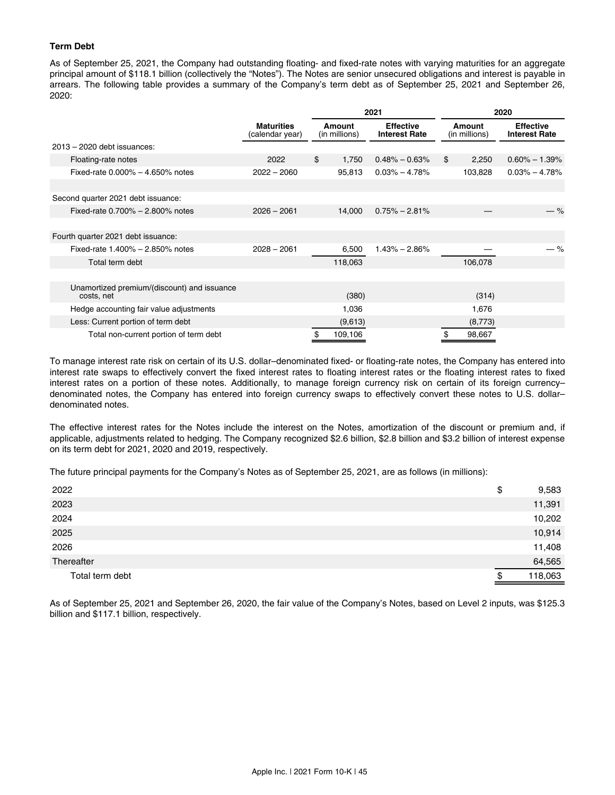# **Term Debt**

As of September 25, 2021, the Company had outstanding floating- and fixed-rate notes with varying maturities for an aggregate principal amount of \$118.1 billion (collectively the "Notes"). The Notes are senior unsecured obligations and interest is payable in arrears. The following table provides a summary of the Company's term debt as of September 25, 2021 and September 26, 2020:

|                                                           | 2021                                 |    |                         |                                          |                         |         | 2020                                     |
|-----------------------------------------------------------|--------------------------------------|----|-------------------------|------------------------------------------|-------------------------|---------|------------------------------------------|
|                                                           | <b>Maturities</b><br>(calendar year) |    | Amount<br>(in millions) | <b>Effective</b><br><b>Interest Rate</b> | Amount<br>(in millions) |         | <b>Effective</b><br><b>Interest Rate</b> |
| 2013 - 2020 debt issuances:                               |                                      |    |                         |                                          |                         |         |                                          |
| Floating-rate notes                                       | 2022                                 | \$ | 1,750                   | $0.48\% - 0.63\%$                        | \$                      | 2,250   | $0.60\% - 1.39\%$                        |
| Fixed-rate $0.000\% - 4.650\%$ notes                      | $2022 - 2060$                        |    | 95,813                  | $0.03\% - 4.78\%$                        |                         | 103,828 | $0.03\% - 4.78\%$                        |
|                                                           |                                      |    |                         |                                          |                         |         |                                          |
| Second quarter 2021 debt issuance:                        |                                      |    |                         |                                          |                         |         |                                          |
| Fixed-rate $0.700\% - 2.800\%$ notes                      | $2026 - 2061$                        |    | 14,000                  | $0.75\% - 2.81\%$                        |                         |         | $-$ %                                    |
|                                                           |                                      |    |                         |                                          |                         |         |                                          |
| Fourth quarter 2021 debt issuance:                        |                                      |    |                         |                                          |                         |         |                                          |
| Fixed-rate $1.400\% - 2.850\%$ notes                      | $2028 - 2061$                        |    | 6,500                   | $1.43\% - 2.86\%$                        |                         |         | $-$ %                                    |
| Total term debt                                           |                                      |    | 118,063                 |                                          |                         | 106,078 |                                          |
|                                                           |                                      |    |                         |                                          |                         |         |                                          |
| Unamortized premium/(discount) and issuance<br>costs, net |                                      |    | (380)                   |                                          |                         | (314)   |                                          |
| Hedge accounting fair value adjustments                   |                                      |    | 1,036                   |                                          |                         | 1,676   |                                          |
| Less: Current portion of term debt                        |                                      |    | (9,613)                 |                                          |                         | (8,773) |                                          |
| Total non-current portion of term debt                    |                                      | \$ | 109,106                 |                                          |                         | 98,667  |                                          |

To manage interest rate risk on certain of its U.S. dollar–denominated fixed- or floating-rate notes, the Company has entered into interest rate swaps to effectively convert the fixed interest rates to floating interest rates or the floating interest rates to fixed interest rates on a portion of these notes. Additionally, to manage foreign currency risk on certain of its foreign currency– denominated notes, the Company has entered into foreign currency swaps to effectively convert these notes to U.S. dollar– denominated notes.

The effective interest rates for the Notes include the interest on the Notes, amortization of the discount or premium and, if applicable, adjustments related to hedging. The Company recognized \$2.6 billion, \$2.8 billion and \$3.2 billion of interest expense on its term debt for 2021, 2020 and 2019, respectively.

The future principal payments for the Company's Notes as of September 25, 2021, are as follows (in millions):

| 2022            | \$<br>9,583 |
|-----------------|-------------|
| 2023            | 11,391      |
| 2024            | 10,202      |
| 2025            | 10,914      |
| 2026            | 11,408      |
| Thereafter      | 64,565      |
| Total term debt | 118,063     |

As of September 25, 2021 and September 26, 2020, the fair value of the Company's Notes, based on Level 2 inputs, was \$125.3 billion and \$117.1 billion, respectively.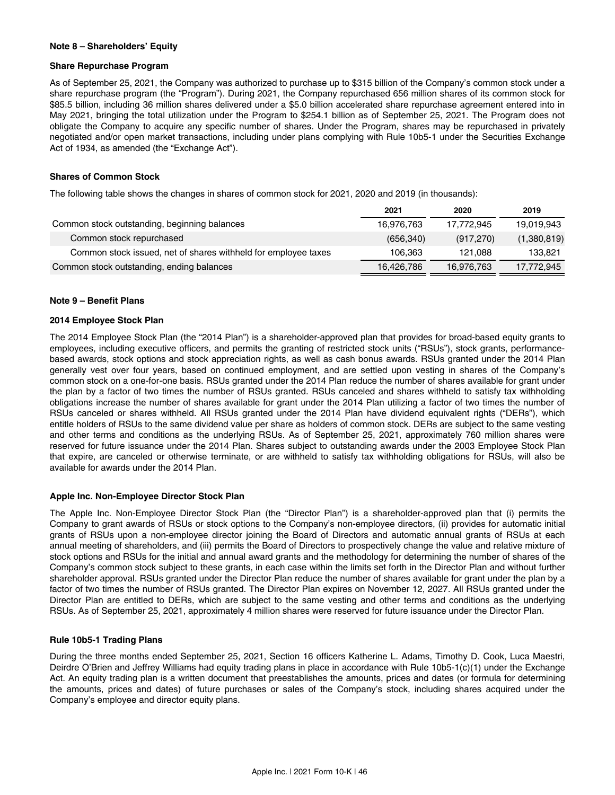# **Note 8 – Shareholders' Equity**

#### **Share Repurchase Program**

As of September 25, 2021, the Company was authorized to purchase up to \$315 billion of the Company's common stock under a share repurchase program (the "Program"). During 2021, the Company repurchased 656 million shares of its common stock for \$85.5 billion, including 36 million shares delivered under a \$5.0 billion accelerated share repurchase agreement entered into in May 2021, bringing the total utilization under the Program to \$254.1 billion as of September 25, 2021. The Program does not obligate the Company to acquire any specific number of shares. Under the Program, shares may be repurchased in privately negotiated and/or open market transactions, including under plans complying with Rule 10b5-1 under the Securities Exchange Act of 1934, as amended (the "Exchange Act").

# **Shares of Common Stock**

The following table shows the changes in shares of common stock for 2021, 2020 and 2019 (in thousands):

|                                                                | 2021       | 2020       | 2019        |
|----------------------------------------------------------------|------------|------------|-------------|
| Common stock outstanding, beginning balances                   | 16,976,763 | 17,772,945 | 19,019,943  |
| Common stock repurchased                                       | (656, 340) | (917.270)  | (1,380,819) |
| Common stock issued, net of shares withheld for employee taxes | 106.363    | 121.088    | 133.821     |
| Common stock outstanding, ending balances                      | 16,426,786 | 16,976,763 | 17,772,945  |

# **Note 9 – Benefit Plans**

## **2014 Employee Stock Plan**

The 2014 Employee Stock Plan (the "2014 Plan") is a shareholder-approved plan that provides for broad-based equity grants to employees, including executive officers, and permits the granting of restricted stock units ("RSUs"), stock grants, performancebased awards, stock options and stock appreciation rights, as well as cash bonus awards. RSUs granted under the 2014 Plan generally vest over four years, based on continued employment, and are settled upon vesting in shares of the Company's common stock on a one-for-one basis. RSUs granted under the 2014 Plan reduce the number of shares available for grant under the plan by a factor of two times the number of RSUs granted. RSUs canceled and shares withheld to satisfy tax withholding obligations increase the number of shares available for grant under the 2014 Plan utilizing a factor of two times the number of RSUs canceled or shares withheld. All RSUs granted under the 2014 Plan have dividend equivalent rights ("DERs"), which entitle holders of RSUs to the same dividend value per share as holders of common stock. DERs are subject to the same vesting and other terms and conditions as the underlying RSUs. As of September 25, 2021, approximately 760 million shares were reserved for future issuance under the 2014 Plan. Shares subject to outstanding awards under the 2003 Employee Stock Plan that expire, are canceled or otherwise terminate, or are withheld to satisfy tax withholding obligations for RSUs, will also be available for awards under the 2014 Plan.

# **Apple Inc. Non-Employee Director Stock Plan**

The Apple Inc. Non-Employee Director Stock Plan (the "Director Plan") is a shareholder-approved plan that (i) permits the Company to grant awards of RSUs or stock options to the Company's non-employee directors, (ii) provides for automatic initial grants of RSUs upon a non-employee director joining the Board of Directors and automatic annual grants of RSUs at each annual meeting of shareholders, and (iii) permits the Board of Directors to prospectively change the value and relative mixture of stock options and RSUs for the initial and annual award grants and the methodology for determining the number of shares of the Company's common stock subject to these grants, in each case within the limits set forth in the Director Plan and without further shareholder approval. RSUs granted under the Director Plan reduce the number of shares available for grant under the plan by a factor of two times the number of RSUs granted. The Director Plan expires on November 12, 2027. All RSUs granted under the Director Plan are entitled to DERs, which are subject to the same vesting and other terms and conditions as the underlying RSUs. As of September 25, 2021, approximately 4 million shares were reserved for future issuance under the Director Plan.

#### **Rule 10b5-1 Trading Plans**

During the three months ended September 25, 2021, Section 16 officers Katherine L. Adams, Timothy D. Cook, Luca Maestri, Deirdre O'Brien and Jeffrey Williams had equity trading plans in place in accordance with Rule 10b5-1(c)(1) under the Exchange Act. An equity trading plan is a written document that preestablishes the amounts, prices and dates (or formula for determining the amounts, prices and dates) of future purchases or sales of the Company's stock, including shares acquired under the Company's employee and director equity plans.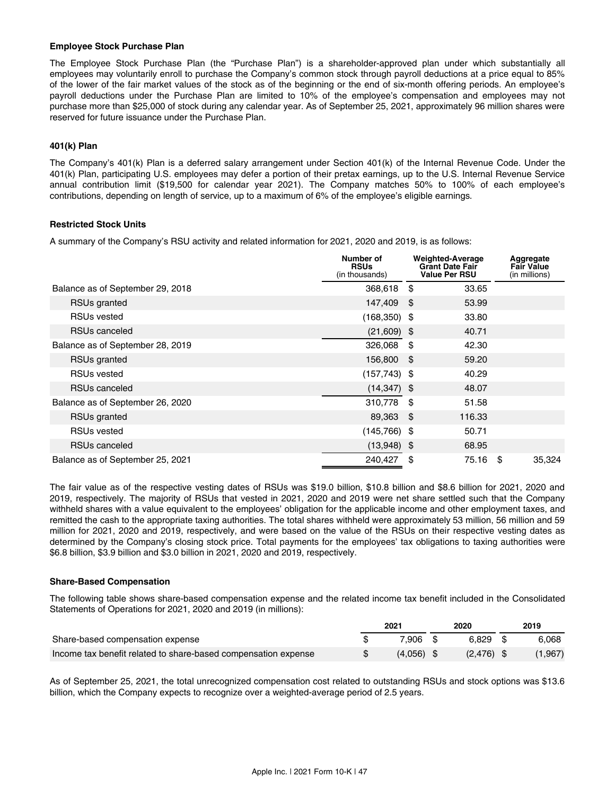## **Employee Stock Purchase Plan**

The Employee Stock Purchase Plan (the "Purchase Plan") is a shareholder-approved plan under which substantially all employees may voluntarily enroll to purchase the Company's common stock through payroll deductions at a price equal to 85% of the lower of the fair market values of the stock as of the beginning or the end of six-month offering periods. An employee's payroll deductions under the Purchase Plan are limited to 10% of the employee's compensation and employees may not purchase more than \$25,000 of stock during any calendar year. As of September 25, 2021, approximately 96 million shares were reserved for future issuance under the Purchase Plan.

# **401(k) Plan**

The Company's 401(k) Plan is a deferred salary arrangement under Section 401(k) of the Internal Revenue Code. Under the 401(k) Plan, participating U.S. employees may defer a portion of their pretax earnings, up to the U.S. Internal Revenue Service annual contribution limit (\$19,500 for calendar year 2021). The Company matches 50% to 100% of each employee's contributions, depending on length of service, up to a maximum of 6% of the employee's eligible earnings.

# **Restricted Stock Units**

A summary of the Company's RSU activity and related information for 2021, 2020 and 2019, is as follows:

|                                  | Number of<br><b>RSUs</b><br>(in thousands) |      | Weighted-Average<br><b>Grant Date Fair</b><br><b>Value Per RSU</b> |      | Aggregate<br><b>Fair Value</b><br>(in millions) |
|----------------------------------|--------------------------------------------|------|--------------------------------------------------------------------|------|-------------------------------------------------|
| Balance as of September 29, 2018 | 368,618 \$                                 |      | 33.65                                                              |      |                                                 |
| RSUs granted                     | 147,409                                    | - \$ | 53.99                                                              |      |                                                 |
| <b>RSUs vested</b>               | $(168,350)$ \$                             |      | 33.80                                                              |      |                                                 |
| RSUs canceled                    | $(21,609)$ \$                              |      | 40.71                                                              |      |                                                 |
| Balance as of September 28, 2019 | 326,068                                    | -\$  | 42.30                                                              |      |                                                 |
| RSUs granted                     | 156,800                                    | -\$  | 59.20                                                              |      |                                                 |
| <b>RSUs vested</b>               | $(157, 743)$ \$                            |      | 40.29                                                              |      |                                                 |
| RSUs canceled                    | $(14,347)$ \$                              |      | 48.07                                                              |      |                                                 |
| Balance as of September 26, 2020 | 310,778                                    | -\$  | 51.58                                                              |      |                                                 |
| RSUs granted                     | 89,363 \$                                  |      | 116.33                                                             |      |                                                 |
| <b>RSUs vested</b>               | $(145,766)$ \$                             |      | 50.71                                                              |      |                                                 |
| RSUs canceled                    | $(13,948)$ \$                              |      | 68.95                                                              |      |                                                 |
| Balance as of September 25, 2021 | 240,427                                    | \$   | 75.16                                                              | - \$ | 35,324                                          |

The fair value as of the respective vesting dates of RSUs was \$19.0 billion, \$10.8 billion and \$8.6 billion for 2021, 2020 and 2019, respectively. The majority of RSUs that vested in 2021, 2020 and 2019 were net share settled such that the Company withheld shares with a value equivalent to the employees' obligation for the applicable income and other employment taxes, and remitted the cash to the appropriate taxing authorities. The total shares withheld were approximately 53 million, 56 million and 59 million for 2021, 2020 and 2019, respectively, and were based on the value of the RSUs on their respective vesting dates as determined by the Company's closing stock price. Total payments for the employees' tax obligations to taxing authorities were \$6.8 billion, \$3.9 billion and \$3.0 billion in 2021, 2020 and 2019, respectively.

#### **Share-Based Compensation**

The following table shows share-based compensation expense and the related income tax benefit included in the Consolidated Statements of Operations for 2021, 2020 and 2019 (in millions):

|                                                                | 2021         | 2020         | 2019    |
|----------------------------------------------------------------|--------------|--------------|---------|
| Share-based compensation expense                               | 7.906 \$     | 6.829 \$     | 6.068   |
| Income tax benefit related to share-based compensation expense | $(4.056)$ \$ | $(2.476)$ \$ | (1,967) |

As of September 25, 2021, the total unrecognized compensation cost related to outstanding RSUs and stock options was \$13.6 billion, which the Company expects to recognize over a weighted-average period of 2.5 years.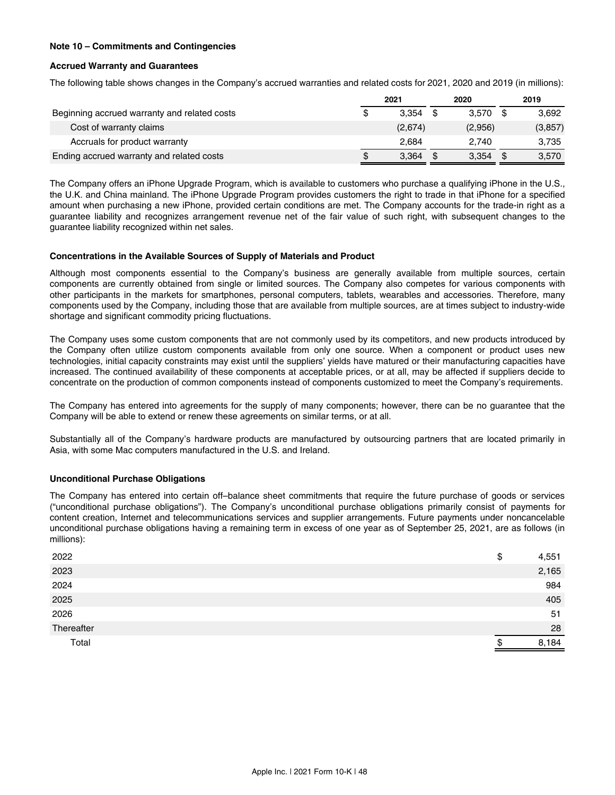# **Note 10 – Commitments and Contingencies**

## **Accrued Warranty and Guarantees**

The following table shows changes in the Company's accrued warranties and related costs for 2021, 2020 and 2019 (in millions):

|                                              | 2021 |         | 2020 |            |          |  | 2019 |
|----------------------------------------------|------|---------|------|------------|----------|--|------|
| Beginning accrued warranty and related costs |      | 3.354   | -\$  | $3.570$ \$ | 3,692    |  |      |
| Cost of warranty claims                      |      | (2,674) |      | (2,956)    | (3, 857) |  |      |
| Accruals for product warranty                |      | 2.684   |      | 2.740      | 3,735    |  |      |
| Ending accrued warranty and related costs    |      | 3.364   |      | 3.354      | 3,570    |  |      |

The Company offers an iPhone Upgrade Program, which is available to customers who purchase a qualifying iPhone in the U.S., the U.K. and China mainland. The iPhone Upgrade Program provides customers the right to trade in that iPhone for a specified amount when purchasing a new iPhone, provided certain conditions are met. The Company accounts for the trade-in right as a guarantee liability and recognizes arrangement revenue net of the fair value of such right, with subsequent changes to the guarantee liability recognized within net sales.

# **Concentrations in the Available Sources of Supply of Materials and Product**

Although most components essential to the Company's business are generally available from multiple sources, certain components are currently obtained from single or limited sources. The Company also competes for various components with other participants in the markets for smartphones, personal computers, tablets, wearables and accessories. Therefore, many components used by the Company, including those that are available from multiple sources, are at times subject to industry-wide shortage and significant commodity pricing fluctuations.

The Company uses some custom components that are not commonly used by its competitors, and new products introduced by the Company often utilize custom components available from only one source. When a component or product uses new technologies, initial capacity constraints may exist until the suppliers' yields have matured or their manufacturing capacities have increased. The continued availability of these components at acceptable prices, or at all, may be affected if suppliers decide to concentrate on the production of common components instead of components customized to meet the Company's requirements.

The Company has entered into agreements for the supply of many components; however, there can be no guarantee that the Company will be able to extend or renew these agreements on similar terms, or at all.

Substantially all of the Company's hardware products are manufactured by outsourcing partners that are located primarily in Asia, with some Mac computers manufactured in the U.S. and Ireland.

# **Unconditional Purchase Obligations**

The Company has entered into certain off–balance sheet commitments that require the future purchase of goods or services ("unconditional purchase obligations"). The Company's unconditional purchase obligations primarily consist of payments for content creation, Internet and telecommunications services and supplier arrangements. Future payments under noncancelable unconditional purchase obligations having a remaining term in excess of one year as of September 25, 2021, are as follows (in millions):

| 2022       | \$<br>4,551 |
|------------|-------------|
| 2023       | 2,165       |
| 2024       | 984         |
| 2025       | 405         |
| 2026       | 51          |
| Thereafter | 28          |
| Total      | 8,184       |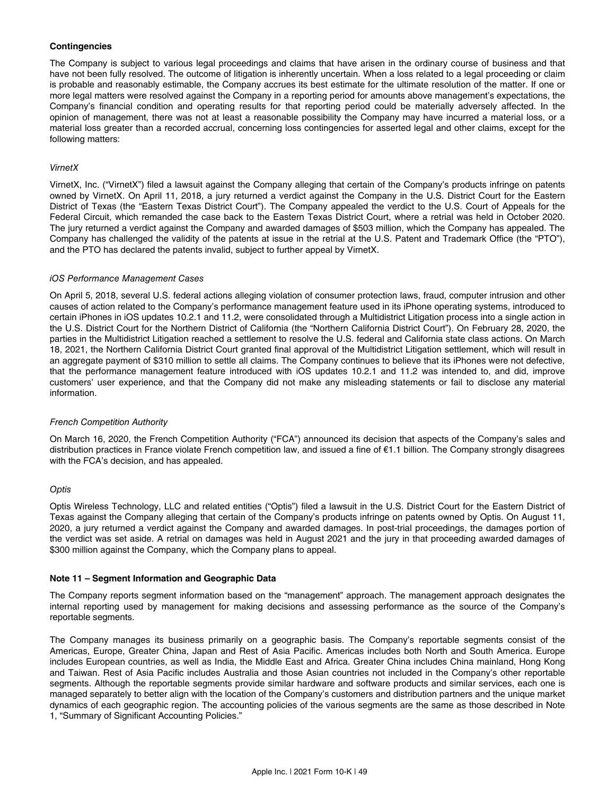# **Contingencies**

The Company is subject to various legal proceedings and claims that have arisen in the ordinary course of business and that have not been fully resolved. The outcome of litigation is inherently uncertain. When a loss related to a legal proceeding or claim is probable and reasonably estimable, the Company accrues its best estimate for the ultimate resolution of the matter. If one or more legal matters were resolved against the Company in a reporting period for amounts above management's expectations, the Company's financial condition and operating results for that reporting period could be materially adversely affected. In the opinion of management, there was not at least a reasonable possibility the Company may have incurred a material loss, or a material loss greater than a recorded accrual, concerning loss contingencies for asserted legal and other claims, except for the following matters:

## VirnetX

VirnetX, Inc. ("VirnetX") filed a lawsuit against the Company alleging that certain of the Company's products infringe on patents owned by VirnetX. On April 11, 2018, a jury returned a verdict against the Company in the U.S. District Court for the Eastern District of Texas (the "Eastern Texas District Court"). The Company appealed the verdict to the U.S. Court of Appeals for the Federal Circuit, which remanded the case back to the Eastern Texas District Court, where a retrial was held in October 2020. The jury returned a verdict against the Company and awarded damages of \$503 million, which the Company has appealed. The Company has challenged the validity of the patents at issue in the retrial at the U.S. Patent and Trademark Office (the "PTO"), and the PTO has declared the patents invalid, subject to further appeal by VirnetX.

## iOS Performance Management Cases

On April 5, 2018, several U.S. federal actions alleging violation of consumer protection laws, fraud, computer intrusion and other causes of action related to the Company's performance management feature used in its iPhone operating systems, introduced to certain iPhones in iOS updates 10.2.1 and 11.2, were consolidated through a Multidistrict Litigation process into a single action in the U.S. District Court for the Northern District of California (the "Northern California District Court"). On February 28, 2020, the parties in the Multidistrict Litigation reached a settlement to resolve the U.S. federal and California state class actions. On March 18, 2021, the Northern California District Court granted final approval of the Multidistrict Litigation settlement, which will result in an aggregate payment of \$310 million to settle all claims. The Company continues to believe that its iPhones were not defective, that the performance management feature introduced with iOS updates 10.2.1 and 11.2 was intended to, and did, improve customers' user experience, and that the Company did not make any misleading statements or fail to disclose any material information.

#### French Competition Authority

On March 16, 2020, the French Competition Authority ("FCA") announced its decision that aspects of the Company's sales and distribution practices in France violate French competition law, and issued a fine of €1.1 billion. The Company strongly disagrees with the FCA's decision, and has appealed.

# **Optis**

Optis Wireless Technology, LLC and related entities ("Optis") filed a lawsuit in the U.S. District Court for the Eastern District of Texas against the Company alleging that certain of the Company's products infringe on patents owned by Optis. On August 11, 2020, a jury returned a verdict against the Company and awarded damages. In post-trial proceedings, the damages portion of the verdict was set aside. A retrial on damages was held in August 2021 and the jury in that proceeding awarded damages of \$300 million against the Company, which the Company plans to appeal.

# **Note 11 – Segment Information and Geographic Data**

The Company reports segment information based on the "management" approach. The management approach designates the internal reporting used by management for making decisions and assessing performance as the source of the Company's reportable segments.

The Company manages its business primarily on a geographic basis. The Company's reportable segments consist of the Americas, Europe, Greater China, Japan and Rest of Asia Pacific. Americas includes both North and South America. Europe includes European countries, as well as India, the Middle East and Africa. Greater China includes China mainland, Hong Kong and Taiwan. Rest of Asia Pacific includes Australia and those Asian countries not included in the Company's other reportable segments. Although the reportable segments provide similar hardware and software products and similar services, each one is managed separately to better align with the location of the Company's customers and distribution partners and the unique market dynamics of each geographic region. The accounting policies of the various segments are the same as those described in Note 1, "Summary of Significant Accounting Policies."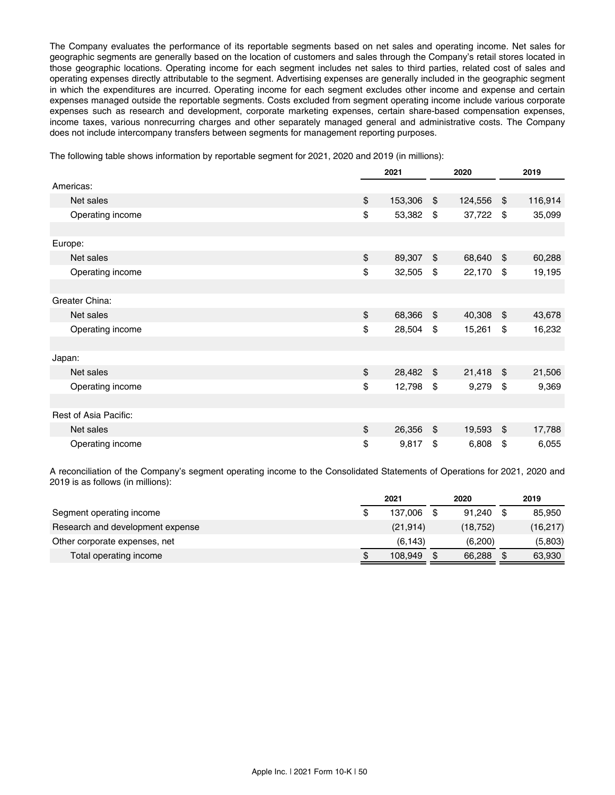The Company evaluates the performance of its reportable segments based on net sales and operating income. Net sales for geographic segments are generally based on the location of customers and sales through the Company's retail stores located in those geographic locations. Operating income for each segment includes net sales to third parties, related cost of sales and operating expenses directly attributable to the segment. Advertising expenses are generally included in the geographic segment in which the expenditures are incurred. Operating income for each segment excludes other income and expense and certain expenses managed outside the reportable segments. Costs excluded from segment operating income include various corporate expenses such as research and development, corporate marketing expenses, certain share-based compensation expenses, income taxes, various nonrecurring charges and other separately managed general and administrative costs. The Company does not include intercompany transfers between segments for management reporting purposes.

The following table shows information by reportable segment for 2021, 2020 and 2019 (in millions):

|                       | 2021 |           | 2020          |         | 2019       |         |
|-----------------------|------|-----------|---------------|---------|------------|---------|
| Americas:             |      |           |               |         |            |         |
| Net sales             | \$   | 153,306   | \$            | 124,556 | \$         | 116,914 |
| Operating income      | $\,$ | 53,382    | \$            | 37,722  | \$         | 35,099  |
|                       |      |           |               |         |            |         |
| Europe:               |      |           |               |         |            |         |
| Net sales             | \$   | 89,307    | \$            | 68,640  | \$         | 60,288  |
| Operating income      | $\,$ | 32,505    | \$            | 22,170  | \$         | 19,195  |
|                       |      |           |               |         |            |         |
| Greater China:        |      |           |               |         |            |         |
| Net sales             | \$   | 68,366    | $\frac{3}{2}$ | 40,308  | \$         | 43,678  |
| Operating income      | \$   | 28,504    | \$            | 15,261  | \$         | 16,232  |
|                       |      |           |               |         |            |         |
| Japan:                |      |           |               |         |            |         |
| Net sales             | \$   | 28,482 \$ |               | 21,418  | $\sqrt{3}$ | 21,506  |
| Operating income      | \$   | 12,798    | \$            | 9,279   | \$         | 9,369   |
|                       |      |           |               |         |            |         |
| Rest of Asia Pacific: |      |           |               |         |            |         |
| Net sales             | \$   | 26,356    | \$            | 19,593  | \$         | 17,788  |
| Operating income      | \$   | 9,817     | \$            | 6,808   | \$         | 6,055   |

A reconciliation of the Company's segment operating income to the Consolidated Statements of Operations for 2021, 2020 and 2019 is as follows (in millions):

|                                  | 2021      |      | 2020     | 2019     |
|----------------------------------|-----------|------|----------|----------|
| Segment operating income         | 137.006   | - \$ | 91.240   | 85,950   |
| Research and development expense | (21, 914) |      | (18.752) | (16,217) |
| Other corporate expenses, net    | (6, 143)  |      | (6.200)  | (5,803)  |
| Total operating income           | 108.949   |      | 66.288   | 63,930   |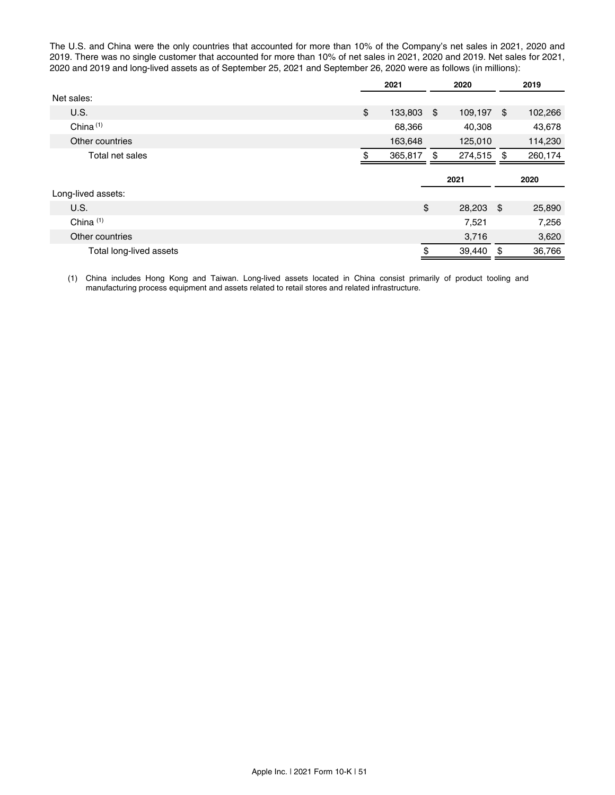The U.S. and China were the only countries that accounted for more than 10% of the Company's net sales in 2021, 2020 and 2019. There was no single customer that accounted for more than 10% of net sales in 2021, 2020 and 2019. Net sales for 2021, 2020 and 2019 and long-lived assets as of September 25, 2021 and September 26, 2020 were as follows (in millions):

|                         | 2021          |      | 2020      |      | 2019    |
|-------------------------|---------------|------|-----------|------|---------|
| Net sales:              |               |      |           |      |         |
| U.S.                    | \$<br>133,803 | - \$ | 109,197   | -\$  | 102,266 |
| China $(1)$             | 68,366        |      | 40,308    |      | 43,678  |
| Other countries         | 163,648       |      | 125,010   |      | 114,230 |
| Total net sales         | \$<br>365,817 | \$   | 274,515   | - \$ | 260,174 |
|                         |               |      | 2021      |      | 2020    |
| Long-lived assets:      |               |      |           |      |         |
| U.S.                    | \$            |      | 28,203 \$ |      | 25,890  |
| China $(1)$             |               |      | 7,521     |      | 7,256   |
| Other countries         |               |      | 3,716     |      | 3,620   |
| Total long-lived assets | \$            |      | 39,440    | \$   | 36,766  |

(1) China includes Hong Kong and Taiwan. Long-lived assets located in China consist primarily of product tooling and manufacturing process equipment and assets related to retail stores and related infrastructure.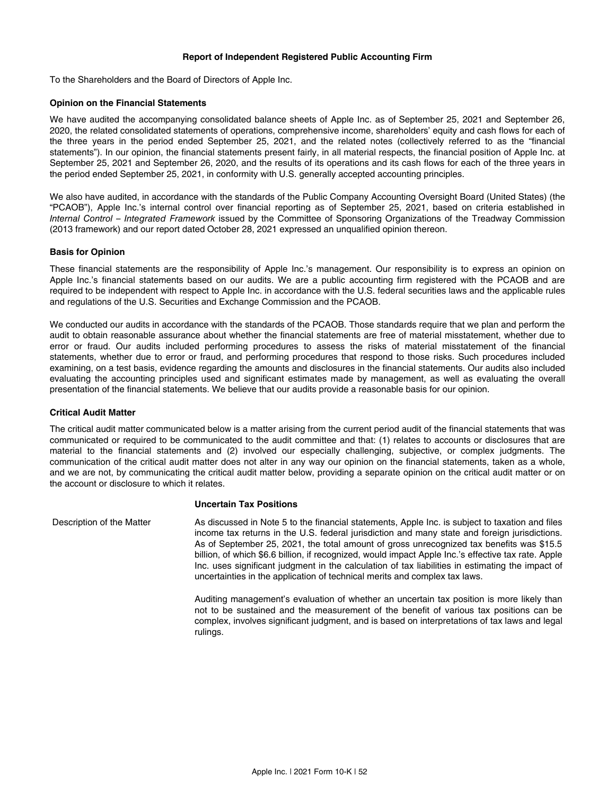## **Report of Independent Registered Public Accounting Firm**

<span id="page-54-0"></span>To the Shareholders and the Board of Directors of Apple Inc.

## **Opinion on the Financial Statements**

We have audited the accompanying consolidated balance sheets of Apple Inc. as of September 25, 2021 and September 26, 2020, the related consolidated statements of operations, comprehensive income, shareholders' equity and cash flows for each of the three years in the period ended September 25, 2021, and the related notes (collectively referred to as the "financial statements"). In our opinion, the financial statements present fairly, in all material respects, the financial position of Apple Inc. at September 25, 2021 and September 26, 2020, and the results of its operations and its cash flows for each of the three years in the period ended September 25, 2021, in conformity with U.S. generally accepted accounting principles.

We also have audited, in accordance with the standards of the Public Company Accounting Oversight Board (United States) (the "PCAOB"), Apple Inc.'s internal control over financial reporting as of September 25, 2021, based on criteria established in Internal Control – Integrated Framework issued by the Committee of Sponsoring Organizations of the Treadway Commission (2013 framework) and our report dated October 28, 2021 expressed an unqualified opinion thereon.

## **Basis for Opinion**

These financial statements are the responsibility of Apple Inc.'s management. Our responsibility is to express an opinion on Apple Inc.'s financial statements based on our audits. We are a public accounting firm registered with the PCAOB and are required to be independent with respect to Apple Inc. in accordance with the U.S. federal securities laws and the applicable rules and regulations of the U.S. Securities and Exchange Commission and the PCAOB.

We conducted our audits in accordance with the standards of the PCAOB. Those standards require that we plan and perform the audit to obtain reasonable assurance about whether the financial statements are free of material misstatement, whether due to error or fraud. Our audits included performing procedures to assess the risks of material misstatement of the financial statements, whether due to error or fraud, and performing procedures that respond to those risks. Such procedures included examining, on a test basis, evidence regarding the amounts and disclosures in the financial statements. Our audits also included evaluating the accounting principles used and significant estimates made by management, as well as evaluating the overall presentation of the financial statements. We believe that our audits provide a reasonable basis for our opinion.

# **Critical Audit Matter**

The critical audit matter communicated below is a matter arising from the current period audit of the financial statements that was communicated or required to be communicated to the audit committee and that: (1) relates to accounts or disclosures that are material to the financial statements and (2) involved our especially challenging, subjective, or complex judgments. The communication of the critical audit matter does not alter in any way our opinion on the financial statements, taken as a whole, and we are not, by communicating the critical audit matter below, providing a separate opinion on the critical audit matter or on the account or disclosure to which it relates.

#### **Uncertain Tax Positions**

Description of the Matter **As discussed in Note 5 to the financial statements**, Apple Inc. is subject to taxation and files income tax returns in the U.S. federal jurisdiction and many state and foreign jurisdictions. As of September 25, 2021, the total amount of gross unrecognized tax benefits was \$15.5 billion, of which \$6.6 billion, if recognized, would impact Apple Inc.'s effective tax rate. Apple Inc. uses significant judgment in the calculation of tax liabilities in estimating the impact of uncertainties in the application of technical merits and complex tax laws.

> Auditing management's evaluation of whether an uncertain tax position is more likely than not to be sustained and the measurement of the benefit of various tax positions can be complex, involves significant judgment, and is based on interpretations of tax laws and legal rulings.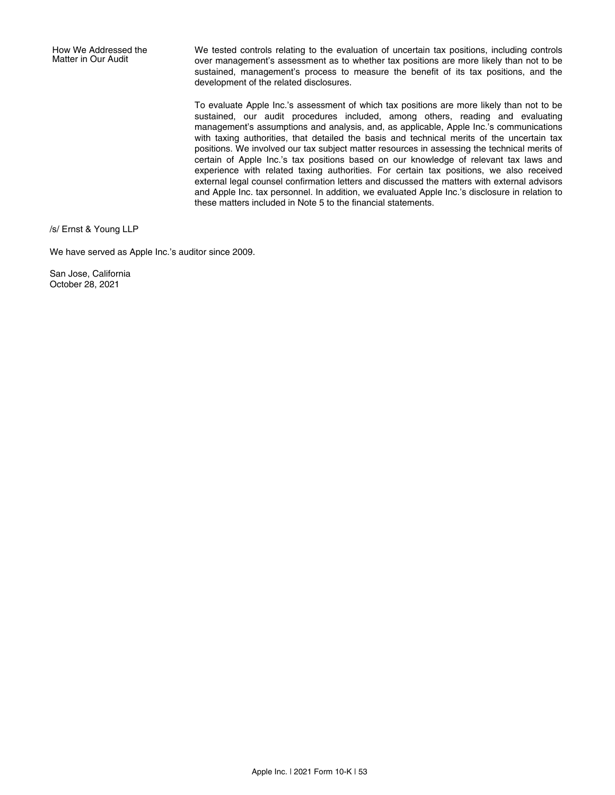How We Addressed the Matter in Our Audit

We tested controls relating to the evaluation of uncertain tax positions, including controls over management's assessment as to whether tax positions are more likely than not to be sustained, management's process to measure the benefit of its tax positions, and the development of the related disclosures.

To evaluate Apple Inc.'s assessment of which tax positions are more likely than not to be sustained, our audit procedures included, among others, reading and evaluating management's assumptions and analysis, and, as applicable, Apple Inc.'s communications with taxing authorities, that detailed the basis and technical merits of the uncertain tax positions. We involved our tax subject matter resources in assessing the technical merits of certain of Apple Inc.'s tax positions based on our knowledge of relevant tax laws and experience with related taxing authorities. For certain tax positions, we also received external legal counsel confirmation letters and discussed the matters with external advisors and Apple Inc. tax personnel. In addition, we evaluated Apple Inc.'s disclosure in relation to these matters included in Note 5 to the financial statements.

/s/ Ernst & Young LLP

We have served as Apple Inc.'s auditor since 2009.

San Jose, California October 28, 2021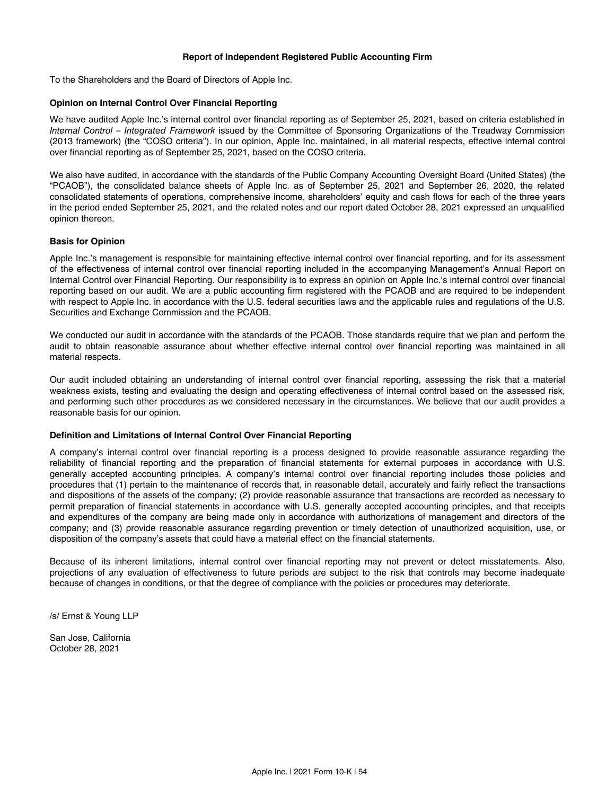## **Report of Independent Registered Public Accounting Firm**

To the Shareholders and the Board of Directors of Apple Inc.

## **Opinion on Internal Control Over Financial Reporting**

We have audited Apple Inc.'s internal control over financial reporting as of September 25, 2021, based on criteria established in Internal Control – Integrated Framework issued by the Committee of Sponsoring Organizations of the Treadway Commission (2013 framework) (the "COSO criteria"). In our opinion, Apple Inc. maintained, in all material respects, effective internal control over financial reporting as of September 25, 2021, based on the COSO criteria.

We also have audited, in accordance with the standards of the Public Company Accounting Oversight Board (United States) (the "PCAOB"), the consolidated balance sheets of Apple Inc. as of September 25, 2021 and September 26, 2020, the related consolidated statements of operations, comprehensive income, shareholders' equity and cash flows for each of the three years in the period ended September 25, 2021, and the related notes and our report dated October 28, 2021 expressed an unqualified opinion thereon.

## **Basis for Opinion**

Apple Inc.'s management is responsible for maintaining effective internal control over financial reporting, and for its assessment of the effectiveness of internal control over financial reporting included in the accompanying Management's Annual Report on Internal Control over Financial Reporting. Our responsibility is to express an opinion on Apple Inc.'s internal control over financial reporting based on our audit. We are a public accounting firm registered with the PCAOB and are required to be independent with respect to Apple Inc. in accordance with the U.S. federal securities laws and the applicable rules and regulations of the U.S. Securities and Exchange Commission and the PCAOB.

We conducted our audit in accordance with the standards of the PCAOB. Those standards require that we plan and perform the audit to obtain reasonable assurance about whether effective internal control over financial reporting was maintained in all material respects.

Our audit included obtaining an understanding of internal control over financial reporting, assessing the risk that a material weakness exists, testing and evaluating the design and operating effectiveness of internal control based on the assessed risk, and performing such other procedures as we considered necessary in the circumstances. We believe that our audit provides a reasonable basis for our opinion.

# **Definition and Limitations of Internal Control Over Financial Reporting**

A company's internal control over financial reporting is a process designed to provide reasonable assurance regarding the reliability of financial reporting and the preparation of financial statements for external purposes in accordance with U.S. generally accepted accounting principles. A company's internal control over financial reporting includes those policies and procedures that (1) pertain to the maintenance of records that, in reasonable detail, accurately and fairly reflect the transactions and dispositions of the assets of the company; (2) provide reasonable assurance that transactions are recorded as necessary to permit preparation of financial statements in accordance with U.S. generally accepted accounting principles, and that receipts and expenditures of the company are being made only in accordance with authorizations of management and directors of the company; and (3) provide reasonable assurance regarding prevention or timely detection of unauthorized acquisition, use, or disposition of the company's assets that could have a material effect on the financial statements.

Because of its inherent limitations, internal control over financial reporting may not prevent or detect misstatements. Also, projections of any evaluation of effectiveness to future periods are subject to the risk that controls may become inadequate because of changes in conditions, or that the degree of compliance with the policies or procedures may deteriorate.

/s/ Ernst & Young LLP

San Jose, California October 28, 2021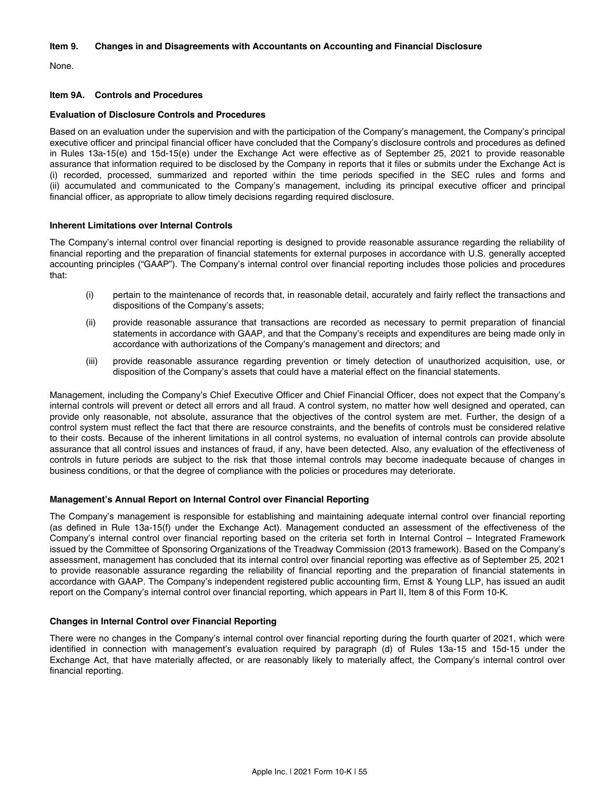# **Item 9. Changes in and Disagreements with Accountants on Accounting and Financial Disclosure**

None.

## **Item 9A. Controls and Procedures**

# **Evaluation of Disclosure Controls and Procedures**

Based on an evaluation under the supervision and with the participation of the Company's management, the Company's principal executive officer and principal financial officer have concluded that the Company's disclosure controls and procedures as defined in Rules 13a-15(e) and 15d-15(e) under the Exchange Act were effective as of September 25, 2021 to provide reasonable assurance that information required to be disclosed by the Company in reports that it files or submits under the Exchange Act is (i) recorded, processed, summarized and reported within the time periods specified in the SEC rules and forms and (ii) accumulated and communicated to the Company's management, including its principal executive officer and principal financial officer, as appropriate to allow timely decisions regarding required disclosure.

## **Inherent Limitations over Internal Controls**

The Company's internal control over financial reporting is designed to provide reasonable assurance regarding the reliability of financial reporting and the preparation of financial statements for external purposes in accordance with U.S. generally accepted accounting principles ("GAAP"). The Company's internal control over financial reporting includes those policies and procedures that:

- (i) pertain to the maintenance of records that, in reasonable detail, accurately and fairly reflect the transactions and dispositions of the Company's assets;
- (ii) provide reasonable assurance that transactions are recorded as necessary to permit preparation of financial statements in accordance with GAAP, and that the Company's receipts and expenditures are being made only in accordance with authorizations of the Company's management and directors; and
- (iii) provide reasonable assurance regarding prevention or timely detection of unauthorized acquisition, use, or disposition of the Company's assets that could have a material effect on the financial statements.

Management, including the Company's Chief Executive Officer and Chief Financial Officer, does not expect that the Company's internal controls will prevent or detect all errors and all fraud. A control system, no matter how well designed and operated, can provide only reasonable, not absolute, assurance that the objectives of the control system are met. Further, the design of a control system must reflect the fact that there are resource constraints, and the benefits of controls must be considered relative to their costs. Because of the inherent limitations in all control systems, no evaluation of internal controls can provide absolute assurance that all control issues and instances of fraud, if any, have been detected. Also, any evaluation of the effectiveness of controls in future periods are subject to the risk that those internal controls may become inadequate because of changes in business conditions, or that the degree of compliance with the policies or procedures may deteriorate.

# **Management's Annual Report on Internal Control over Financial Reporting**

The Company's management is responsible for establishing and maintaining adequate internal control over financial reporting (as defined in Rule 13a-15(f) under the Exchange Act). Management conducted an assessment of the effectiveness of the Company's internal control over financial reporting based on the criteria set forth in Internal Control – Integrated Framework issued by the Committee of Sponsoring Organizations of the Treadway Commission (2013 framework). Based on the Company's assessment, management has concluded that its internal control over financial reporting was effective as of September 25, 2021 to provide reasonable assurance regarding the reliability of financial reporting and the preparation of financial statements in accordance with GAAP. The Company's independent registered public accounting firm, Ernst & Young LLP, has issued an audit report on the Company's internal control over financial reporting, which appears in Part II, Item 8 of this Form 10-K.

## **Changes in Internal Control over Financial Reporting**

There were no changes in the Company's internal control over financial reporting during the fourth quarter of 2021, which were identified in connection with management's evaluation required by paragraph (d) of Rules 13a-15 and 15d-15 under the Exchange Act, that have materially affected, or are reasonably likely to materially affect, the Company's internal control over financial reporting.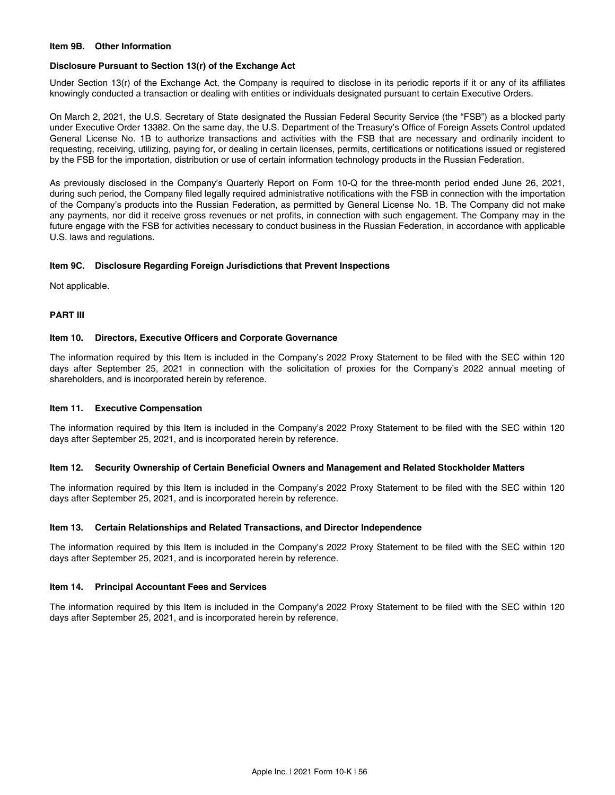## **Item 9B. Other Information**

## **Disclosure Pursuant to Section 13(r) of the Exchange Act**

Under Section 13(r) of the Exchange Act, the Company is required to disclose in its periodic reports if it or any of its affiliates knowingly conducted a transaction or dealing with entities or individuals designated pursuant to certain Executive Orders.

On March 2, 2021, the U.S. Secretary of State designated the Russian Federal Security Service (the "FSB") as a blocked party under Executive Order 13382. On the same day, the U.S. Department of the Treasury's Office of Foreign Assets Control updated General License No. 1B to authorize transactions and activities with the FSB that are necessary and ordinarily incident to requesting, receiving, utilizing, paying for, or dealing in certain licenses, permits, certifications or notifications issued or registered by the FSB for the importation, distribution or use of certain information technology products in the Russian Federation.

As previously disclosed in the Company's Quarterly Report on Form 10-Q for the three-month period ended June 26, 2021, during such period, the Company filed legally required administrative notifications with the FSB in connection with the importation of the Company's products into the Russian Federation, as permitted by General License No. 1B. The Company did not make any payments, nor did it receive gross revenues or net profits, in connection with such engagement. The Company may in the future engage with the FSB for activities necessary to conduct business in the Russian Federation, in accordance with applicable U.S. laws and regulations.

## **Item 9C. Disclosure Regarding Foreign Jurisdictions that Prevent Inspections**

Not applicable.

## **PART III**

## **Item 10. Directors, Executive Officers and Corporate Governance**

The information required by this Item is included in the Company's 2022 Proxy Statement to be filed with the SEC within 120 days after September 25, 2021 in connection with the solicitation of proxies for the Company's 2022 annual meeting of shareholders, and is incorporated herein by reference.

#### **Item 11. Executive Compensation**

The information required by this Item is included in the Company's 2022 Proxy Statement to be filed with the SEC within 120 days after September 25, 2021, and is incorporated herein by reference.

#### **Item 12. Security Ownership of Certain Beneficial Owners and Management and Related Stockholder Matters**

The information required by this Item is included in the Company's 2022 Proxy Statement to be filed with the SEC within 120 days after September 25, 2021, and is incorporated herein by reference.

#### **Item 13. Certain Relationships and Related Transactions, and Director Independence**

The information required by this Item is included in the Company's 2022 Proxy Statement to be filed with the SEC within 120 days after September 25, 2021, and is incorporated herein by reference.

#### **Item 14. Principal Accountant Fees and Services**

The information required by this Item is included in the Company's 2022 Proxy Statement to be filed with the SEC within 120 days after September 25, 2021, and is incorporated herein by reference.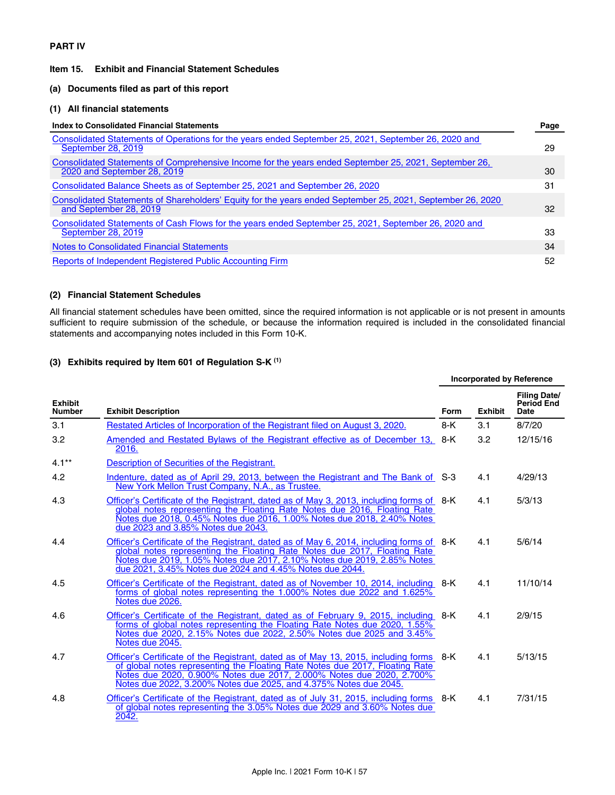# **PART IV**

# **Item 15. Exhibit and Financial Statement Schedules**

# **(a) Documents filed as part of this report**

# **(1) All financial statements**

| Index to Consolidated Financial Statements                                                                                           | Page |
|--------------------------------------------------------------------------------------------------------------------------------------|------|
| Consolidated Statements of Operations for the years ended September 25, 2021, September 26, 2020 and<br>September 28, 2019           | 29   |
| Consolidated Statements of Comprehensive Income for the years ended September 25, 2021, September 26,<br>2020 and September 28, 2019 | 30   |
| Consolidated Balance Sheets as of September 25, 2021 and September 26, 2020                                                          | 31   |
| Consolidated Statements of Shareholders' Equity for the years ended September 25, 2021, September 26, 2020<br>and September 28, 2019 | 32   |
| Consolidated Statements of Cash Flows for the years ended September 25, 2021, September 26, 2020 and<br>September 28, 2019           | 33   |
| <b>Notes to Consolidated Financial Statements</b>                                                                                    | 34   |
| Reports of Independent Registered Public Accounting Firm                                                                             | 52   |

# **(2) Financial Statement Schedules**

All financial statement schedules have been omitted, since the required information is not applicable or is not present in amounts sufficient to require submission of the schedule, or because the information required is included in the consolidated financial statements and accompanying notes included in this Form 10-K.

# **(3) Exhibits required by Item 601 of Regulation S-K (1)**

|                                 |                                                                                                                                                                                                                                                                                                                 | <b>Incorporated by Reference</b> |                |                                           |
|---------------------------------|-----------------------------------------------------------------------------------------------------------------------------------------------------------------------------------------------------------------------------------------------------------------------------------------------------------------|----------------------------------|----------------|-------------------------------------------|
| <b>Exhibit</b><br><b>Number</b> | <b>Exhibit Description</b>                                                                                                                                                                                                                                                                                      | <b>Form</b>                      | <b>Exhibit</b> | <b>Filing Date/</b><br>Period End<br>Date |
| 3.1                             | Restated Articles of Incorporation of the Registrant filed on August 3, 2020.                                                                                                                                                                                                                                   | $8-K$                            | 3.1            | 8/7/20                                    |
| 3.2                             | Amended and Restated Bylaws of the Registrant effective as of December 13,<br>2016.                                                                                                                                                                                                                             | 8-K                              | 3.2            | 12/15/16                                  |
| $4.1***$                        | Description of Securities of the Registrant.                                                                                                                                                                                                                                                                    |                                  |                |                                           |
| 4.2                             | Indenture, dated as of April 29, 2013, between the Registrant and The Bank of S-3<br>New York Mellon Trust Company, N.A., as Trustee.                                                                                                                                                                           |                                  | 4.1            | 4/29/13                                   |
| 4.3                             | Officer's Certificate of the Registrant, dated as of May 3, 2013, including forms of 8-K<br>global notes representing the Floating Rate Notes due 2016, Floating Rate<br>Notes due 2018, 0.45% Notes due 2016, 1.00% Notes due 2018, 2.40% Notes<br>due 2023 and 3.85% Notes due 2043.                          |                                  | 4.1            | 5/3/13                                    |
| 4.4                             | Officer's Certificate of the Registrant, dated as of May 6, 2014, including forms of 8-K<br>global notes representing the Floating Rate Notes due 2017, Floating Rate<br>Notes due 2019, 1.05% Notes due 2017, 2.10% Notes due 2019, 2.85% Notes<br>due 2021, 3.45% Notes due 2024 and 4.45% Notes due 2044.    |                                  | 4.1            | 5/6/14                                    |
| 4.5                             | Officer's Certificate of the Registrant, dated as of November 10, 2014, including 8-K<br>forms of global notes representing the 1.000% Notes due 2022 and 1.625%<br>Notes due 2026.                                                                                                                             |                                  | 4.1            | 11/10/14                                  |
| 4.6                             | Officer's Certificate of the Registrant, dated as of February 9, 2015, including 8-K<br>forms of global notes representing the Floating Rate Notes due 2020, 1.55%<br>Notes due 2020, 2.15% Notes due 2022, 2.50% Notes due 2025 and 3.45%<br>Notes due 2045.                                                   |                                  | 4.1            | 2/9/15                                    |
| 4.7                             | Officer's Certificate of the Registrant, dated as of May 13, 2015, including forms<br>of global notes representing the Floating Rate Notes due 2017, Floating Rate<br>Notes due 2020, 0.900% Notes due 2017, 2.000% Notes due 2020, 2.700%<br>Notes due 2022, 3.200% Notes due 2025, and 4.375% Notes due 2045. | 8-K                              | 4.1            | 5/13/15                                   |
| 4.8                             | Officer's Certificate of the Registrant, dated as of July 31, 2015, including forms 8-K<br>of global notes representing the 3.05% Notes due 2029 and 3.60% Notes due<br>2042.                                                                                                                                   |                                  | 4.1            | 7/31/15                                   |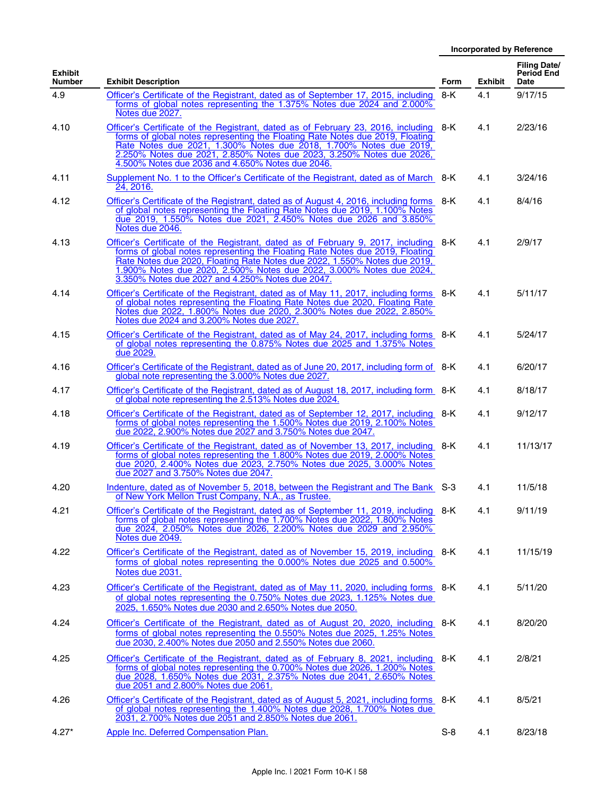|                                 |                                                                                                                                                                                                                                                                                                                                                                                | <b>Incorporated by Reference</b> |                |                                                  |
|---------------------------------|--------------------------------------------------------------------------------------------------------------------------------------------------------------------------------------------------------------------------------------------------------------------------------------------------------------------------------------------------------------------------------|----------------------------------|----------------|--------------------------------------------------|
| <b>Exhibit</b><br><b>Number</b> | <b>Exhibit Description</b>                                                                                                                                                                                                                                                                                                                                                     | Form                             | <b>Exhibit</b> | <b>Filing Date/</b><br><b>Period End</b><br>Date |
| 4.9                             | Officer's Certificate of the Registrant, dated as of September 17, 2015, including<br>forms of global notes representing the 1.375% Notes due 2024 and 2.000%<br>Notes due 2027.                                                                                                                                                                                               | 8-K                              | 4.1            | 9/17/15                                          |
| 4.10                            | Officer's Certificate of the Registrant, dated as of February 23, 2016, including 8-K<br>forms of global notes representing the Floating Rate Notes due 2019, Floating<br>Rate Notes due 2021, 1.300% Notes due 2018, 1.700% Notes due 2019,<br>2.250% Notes due 2021, 2.850% Notes due 2023, 3.250% Notes due 2026,<br>4.500% Notes due 2036 and 4.650% Notes due 2046.       |                                  | 4.1            | 2/23/16                                          |
| 4.11                            | Supplement No. 1 to the Officer's Certificate of the Registrant, dated as of March 8-K<br>24, 2016.                                                                                                                                                                                                                                                                            |                                  | 4.1            | 3/24/16                                          |
| 4.12                            | Officer's Certificate of the Registrant, dated as of August 4, 2016, including forms 8-K<br>of global notes representing the Floating Rate Notes due 2019, 1.100% Notes<br>due 2019, 1.550% Notes due 2021, 2.450% Notes due 2026 and 3.850%<br>Notes due 2046.                                                                                                                |                                  | 4.1            | 8/4/16                                           |
| 4.13                            | Officer's Certificate of the Registrant, dated as of February 9, 2017, including 8-K<br>forms of global notes representing the Floating Rate Notes due 2019, Floating<br>Rate Notes due 2020, Floating Rate Notes due 2022, 1.550% Notes due 2019,<br>1.900% Notes due 2020, 2.500% Notes due 2022, 3.000% Notes due 2024,<br>3.350% Notes due 2027 and 4.250% Notes due 2047. |                                  | 4.1            | 2/9/17                                           |
| 4.14                            | Officer's Certificate of the Registrant, dated as of May 11, 2017, including forms 8-K<br>of global notes representing the Floating Rate Notes due 2020, Floating Rate<br>Notes due 2022, 1.800% Notes due 2020, 2.300% Notes due 2022, 2.850%<br>Notes due 2024 and 3.200% Notes due 2027.                                                                                    |                                  | 4.1            | 5/11/17                                          |
| 4.15                            | Officer's Certificate of the Registrant, dated as of May 24, 2017, including forms 8-K<br>of global notes representing the 0.875% Notes due 2025 and 1.375% Notes<br>due 2029.                                                                                                                                                                                                 |                                  | 4.1            | 5/24/17                                          |
| 4.16                            | Officer's Certificate of the Registrant, dated as of June 20, 2017, including form of 8-K<br>global note representing the 3.000% Notes due 2027.                                                                                                                                                                                                                               |                                  | 4.1            | 6/20/17                                          |
| 4.17                            | Officer's Certificate of the Registrant, dated as of August 18, 2017, including form 8-K<br>of global note representing the 2.513% Notes due 2024.                                                                                                                                                                                                                             |                                  | 4.1            | 8/18/17                                          |
| 4.18                            | Officer's Certificate of the Registrant, dated as of September 12, 2017, including 8-K<br>forms of global notes representing the 1.500% Notes due 2019, 2.100% Notes<br>due 2022, 2.900% Notes due 2027 and 3.750% Notes due 2047.                                                                                                                                             |                                  | 4.1            | 9/12/17                                          |
| 4.19                            | Officer's Certificate of the Registrant, dated as of November 13, 2017, including 8-K<br>forms of global notes representing the 1.800% Notes due 2019, 2.000% Notes<br>due 2020, 2.400% Notes due 2023, 2.750% Notes due 2025, 3.000% Notes<br>due 2027 and 3.750% Notes due 2047.                                                                                             |                                  | 4.1            | 11/13/17                                         |
| 4.20                            | Indenture, dated as of November 5, 2018, between the Registrant and The Bank S-3<br>of New York Mellon Trust Company, N.A., as Trustee.                                                                                                                                                                                                                                        |                                  | 4.1            | 11/5/18                                          |
| 4.21                            | Officer's Certificate of the Registrant, dated as of September 11, 2019, including 8-K<br>forms of global notes representing the 1.700% Notes due 2022, 1.800% Notes<br>due 2024, 2.050% Notes due 2026, 2.200% Notes due 2029 and 2.950%<br>Notes due 2049.                                                                                                                   |                                  | 4.1            | 9/11/19                                          |
| 4.22                            | Officer's Certificate of the Registrant, dated as of November 15, 2019, including 8-K<br>forms of global notes representing the 0.000% Notes due 2025 and 0.500%<br>Notes due 2031.                                                                                                                                                                                            |                                  | 4.1            | 11/15/19                                         |
| 4.23                            | Officer's Certificate of the Registrant, dated as of May 11, 2020, including forms 8-K<br>of global notes representing the 0.750% Notes due 2023, 1.125% Notes due<br>2025, 1.650% Notes due 2030 and 2.650% Notes due 2050.                                                                                                                                                   |                                  | 4.1            | 5/11/20                                          |
| 4.24                            | Officer's Certificate of the Registrant, dated as of August 20, 2020, including 8-K<br>forms of global notes representing the 0.550% Notes due 2025, 1.25% Notes<br>due 2030, 2.400% Notes due 2050 and 2.550% Notes due 2060.                                                                                                                                                 |                                  | 4.1            | 8/20/20                                          |
| 4.25                            | Officer's Certificate of the Registrant, dated as of February 8, 2021, including 8-K<br>forms of global notes representing the 0.700% Notes due 2026, 1.200% Notes<br>due 2028, 1.650% Notes due 2031, 2.375% Notes due 2041, 2.650% Notes<br>due 2051 and 2.800% Notes due 2061.                                                                                              |                                  | 4.1            | 2/8/21                                           |
| 4.26                            | Officer's Certificate of the Registrant, dated as of August 5, 2021, including forms 8-K<br>of global notes representing the 1.400% Notes due 2028, 1.700% Notes due<br>2031, 2.700% Notes due 2051 and 2.850% Notes due 2061.                                                                                                                                                 |                                  | 4.1            | 8/5/21                                           |
| $4.27*$                         | Apple Inc. Deferred Compensation Plan.                                                                                                                                                                                                                                                                                                                                         | $S-8$                            | 4.1            | 8/23/18                                          |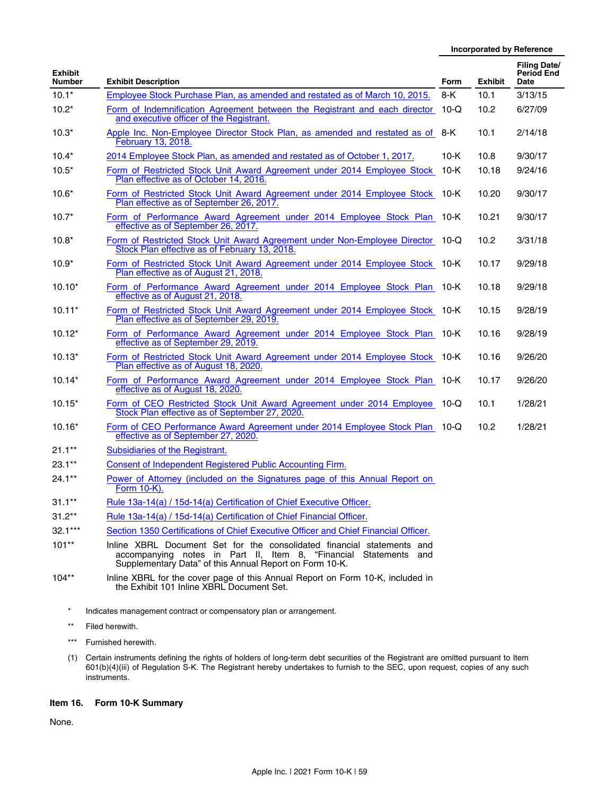|                                 |                                                                                                                                                                                                       |        | <b>Incorporated by Reference</b> |                                                  |  |  |
|---------------------------------|-------------------------------------------------------------------------------------------------------------------------------------------------------------------------------------------------------|--------|----------------------------------|--------------------------------------------------|--|--|
| <b>Exhibit</b><br><b>Number</b> | <b>Exhibit Description</b>                                                                                                                                                                            | Form   | <b>Exhibit</b>                   | <b>Filing Date/</b><br><b>Period End</b><br>Date |  |  |
| $10.1*$                         | Employee Stock Purchase Plan, as amended and restated as of March 10, 2015.                                                                                                                           | $8-K$  | 10.1                             | 3/13/15                                          |  |  |
| $10.2*$                         | Form of Indemnification Agreement between the Registrant and each director<br>and executive officer of the Registrant.                                                                                | $10-Q$ | 10.2                             | 6/27/09                                          |  |  |
| $10.3*$                         | Apple Inc. Non-Employee Director Stock Plan, as amended and restated as of 8-K<br>February 13, 2018.                                                                                                  |        | 10.1                             | 2/14/18                                          |  |  |
| $10.4*$                         | 2014 Employee Stock Plan, as amended and restated as of October 1, 2017.                                                                                                                              | $10-K$ | 10.8                             | 9/30/17                                          |  |  |
| $10.5*$                         | Form of Restricted Stock Unit Award Agreement under 2014 Employee Stock<br>Plan effective as of October 14, 2016.                                                                                     | $10-K$ | 10.18                            | 9/24/16                                          |  |  |
| $10.6*$                         | Form of Restricted Stock Unit Award Agreement under 2014 Employee Stock 10-K<br>Plan effective as of September 26, 2017.                                                                              |        | 10.20                            | 9/30/17                                          |  |  |
| $10.7*$                         | Form of Performance Award Agreement under 2014 Employee Stock Plan 10-K<br>effective as of September 26, 2017.                                                                                        |        | 10.21                            | 9/30/17                                          |  |  |
| $10.8*$                         | Form of Restricted Stock Unit Award Agreement under Non-Employee Director 10-Q<br>Stock Plan effective as of February 13, 2018.                                                                       |        | 10.2                             | 3/31/18                                          |  |  |
| $10.9*$                         | Form of Restricted Stock Unit Award Agreement under 2014 Employee Stock 10-K<br>Plan effective as of August 21, 2018.                                                                                 |        | 10.17                            | 9/29/18                                          |  |  |
| $10.10*$                        | Form of Performance Award Agreement under 2014 Employee Stock Plan 10-K<br>effective as of August 21, 2018.                                                                                           |        | 10.18                            | 9/29/18                                          |  |  |
| $10.11*$                        | Form of Restricted Stock Unit Award Agreement under 2014 Employee Stock 10-K<br>Plan effective as of September 29, 2019.                                                                              |        | 10.15                            | 9/28/19                                          |  |  |
| $10.12*$                        | Form of Performance Award Agreement under 2014 Employee Stock Plan 10-K<br>effective as of September 29, 2019.                                                                                        |        | 10.16                            | 9/28/19                                          |  |  |
| $10.13*$                        | Form of Restricted Stock Unit Award Agreement under 2014 Employee Stock 10-K<br>Plan effective as of August 18, 2020.                                                                                 |        | 10.16                            | 9/26/20                                          |  |  |
| $10.14*$                        | Form of Performance Award Agreement under 2014 Employee Stock Plan 10-K<br>effective as of August 18, 2020.                                                                                           |        | 10.17                            | 9/26/20                                          |  |  |
| $10.15*$                        | Form of CEO Restricted Stock Unit Award Agreement under 2014 Employee 10-Q<br>Stock Plan effective as of September 27, 2020.                                                                          |        | 10.1                             | 1/28/21                                          |  |  |
| $10.16*$                        | Form of CEO Performance Award Agreement under 2014 Employee Stock Plan 10-Q<br>effective as of September 27, 2020.                                                                                    |        | 10.2                             | 1/28/21                                          |  |  |
| $21.1***$                       | Subsidiaries of the Registrant.                                                                                                                                                                       |        |                                  |                                                  |  |  |
| $23.1**$                        | Consent of Independent Registered Public Accounting Firm.                                                                                                                                             |        |                                  |                                                  |  |  |
| $24.1**$                        | Power of Attorney (included on the Signatures page of this Annual Report on<br>Form 10-K).                                                                                                            |        |                                  |                                                  |  |  |
| $31.1***$                       | Rule 13a-14(a) / 15d-14(a) Certification of Chief Executive Officer.                                                                                                                                  |        |                                  |                                                  |  |  |
| $31.2**$                        | Rule 13a-14(a) / 15d-14(a) Certification of Chief Financial Officer.                                                                                                                                  |        |                                  |                                                  |  |  |
| $32.1***$                       | Section 1350 Certifications of Chief Executive Officer and Chief Financial Officer.                                                                                                                   |        |                                  |                                                  |  |  |
| $101**$                         | Inline XBRL Document Set for the consolidated financial statements and<br>accompanying notes in Part II, Item 8, "Financial Statements and<br>Supplementary Data" of this Annual Report on Form 10-K. |        |                                  |                                                  |  |  |
| $104**$                         | Inline XBRL for the cover page of this Annual Report on Form 10-K, included in<br>the Exhibit 101 Inline XBRL Document Set.                                                                           |        |                                  |                                                  |  |  |

- \* Indicates management contract or compensatory plan or arrangement.
- \*\* Filed herewith.
- \*\*\* Furnished herewith.
- (1) Certain instruments defining the rights of holders of long-term debt securities of the Registrant are omitted pursuant to Item 601(b)(4)(iii) of Regulation S-K. The Registrant hereby undertakes to furnish to the SEC, upon request, copies of any such instruments.

# **Item 16. Form 10-K Summary**

None.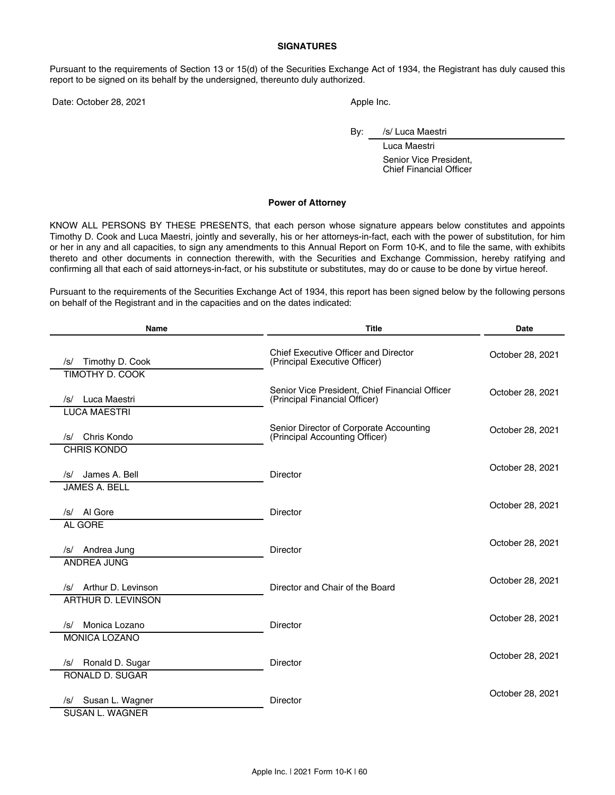## **SIGNATURES**

<span id="page-62-0"></span>Pursuant to the requirements of Section 13 or 15(d) of the Securities Exchange Act of 1934, the Registrant has duly caused this report to be signed on its behalf by the undersigned, thereunto duly authorized.

Date: October 28, 2021 **Apple Inc. Apple Inc. Apple Inc.** 

By: /s/ Luca Maestri

Luca Maestri Senior Vice President, Chief Financial Officer

## **Power of Attorney**

KNOW ALL PERSONS BY THESE PRESENTS, that each person whose signature appears below constitutes and appoints Timothy D. Cook and Luca Maestri, jointly and severally, his or her attorneys-in-fact, each with the power of substitution, for him or her in any and all capacities, to sign any amendments to this Annual Report on Form 10-K, and to file the same, with exhibits thereto and other documents in connection therewith, with the Securities and Exchange Commission, hereby ratifying and confirming all that each of said attorneys-in-fact, or his substitute or substitutes, may do or cause to be done by virtue hereof.

Pursuant to the requirements of the Securities Exchange Act of 1934, this report has been signed below by the following persons on behalf of the Registrant and in the capacities and on the dates indicated:

| Name                                                          | <b>Title</b>                                                                    | <b>Date</b>      |
|---------------------------------------------------------------|---------------------------------------------------------------------------------|------------------|
| Timothy D. Cook<br>/s/                                        | <b>Chief Executive Officer and Director</b><br>(Principal Executive Officer)    | October 28, 2021 |
| TIMOTHY D. COOK<br>Luca Maestri<br>/s/<br><b>LUCA MAESTRI</b> | Senior Vice President, Chief Financial Officer<br>(Principal Financial Officer) | October 28, 2021 |
| Chris Kondo<br>/s/<br><b>CHRIS KONDO</b>                      | Senior Director of Corporate Accounting<br>(Principal Accounting Officer)       | October 28, 2021 |
| James A. Bell<br>/s/<br><b>JAMES A. BELL</b>                  | Director                                                                        | October 28, 2021 |
| Al Gore<br>/s/<br>AL GORE                                     | Director                                                                        | October 28, 2021 |
| Andrea Jung<br>/s/<br>ANDREA JUNG                             | Director                                                                        | October 28, 2021 |
| Arthur D. Levinson<br>/s/<br><b>ARTHUR D. LEVINSON</b>        | Director and Chair of the Board                                                 | October 28, 2021 |
| Monica Lozano<br>/s/<br><b>MONICA LOZANO</b>                  | Director                                                                        | October 28, 2021 |
| Ronald D. Sugar<br>/s/<br>RONALD D. SUGAR                     | Director                                                                        | October 28, 2021 |
| Susan L. Wagner<br>/s/<br>SUSAN L. WAGNER                     | Director                                                                        | October 28, 2021 |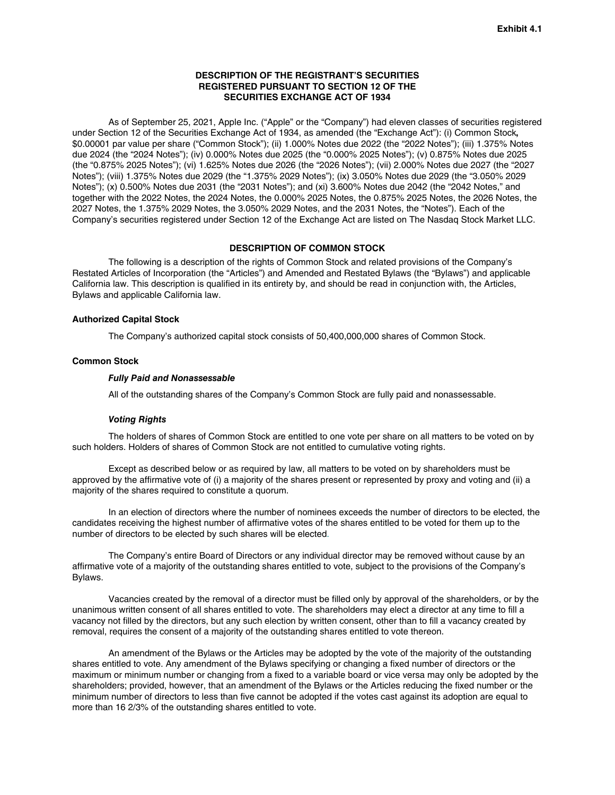# **DESCRIPTION OF THE REGISTRANT'S SECURITIES REGISTERED PURSUANT TO SECTION 12 OF THE SECURITIES EXCHANGE ACT OF 1934**

As of September 25, 2021, Apple Inc. ("Apple" or the "Company") had eleven classes of securities registered under Section 12 of the Securities Exchange Act of 1934, as amended (the "Exchange Act"): (i) Common Stock**,**  \$0.00001 par value per share ("Common Stock"); (ii) 1.000% Notes due 2022 (the "2022 Notes"); (iii) 1.375% Notes due 2024 (the "2024 Notes"); (iv) 0.000% Notes due 2025 (the "0.000% 2025 Notes"); (v) 0.875% Notes due 2025 (the "0.875% 2025 Notes"); (vi) 1.625% Notes due 2026 (the "2026 Notes"); (vii) 2.000% Notes due 2027 (the "2027 Notes"); (viii) 1.375% Notes due 2029 (the "1.375% 2029 Notes"); (ix) 3.050% Notes due 2029 (the "3.050% 2029 Notes"); (x) 0.500% Notes due 2031 (the "2031 Notes"); and (xi) 3.600% Notes due 2042 (the "2042 Notes," and together with the 2022 Notes, the 2024 Notes, the 0.000% 2025 Notes, the 0.875% 2025 Notes, the 2026 Notes, the 2027 Notes, the 1.375% 2029 Notes, the 3.050% 2029 Notes, and the 2031 Notes, the "Notes"). Each of the Company's securities registered under Section 12 of the Exchange Act are listed on The Nasdaq Stock Market LLC.

# **DESCRIPTION OF COMMON STOCK**

The following is a description of the rights of Common Stock and related provisions of the Company's Restated Articles of Incorporation (the "Articles") and Amended and Restated Bylaws (the "Bylaws") and applicable California law. This description is qualified in its entirety by, and should be read in conjunction with, the Articles, Bylaws and applicable California law.

## **Authorized Capital Stock**

The Company's authorized capital stock consists of 50,400,000,000 shares of Common Stock.

## **Common Stock**

## **Fully Paid and Nonassessable**

All of the outstanding shares of the Company's Common Stock are fully paid and nonassessable.

#### **Voting Rights**

The holders of shares of Common Stock are entitled to one vote per share on all matters to be voted on by such holders. Holders of shares of Common Stock are not entitled to cumulative voting rights.

Except as described below or as required by law, all matters to be voted on by shareholders must be approved by the affirmative vote of (i) a majority of the shares present or represented by proxy and voting and (ii) a majority of the shares required to constitute a quorum.

In an election of directors where the number of nominees exceeds the number of directors to be elected, the candidates receiving the highest number of affirmative votes of the shares entitled to be voted for them up to the number of directors to be elected by such shares will be elected.

The Company's entire Board of Directors or any individual director may be removed without cause by an affirmative vote of a majority of the outstanding shares entitled to vote, subject to the provisions of the Company's Bylaws.

Vacancies created by the removal of a director must be filled only by approval of the shareholders, or by the unanimous written consent of all shares entitled to vote. The shareholders may elect a director at any time to fill a vacancy not filled by the directors, but any such election by written consent, other than to fill a vacancy created by removal, requires the consent of a majority of the outstanding shares entitled to vote thereon.

An amendment of the Bylaws or the Articles may be adopted by the vote of the majority of the outstanding shares entitled to vote. Any amendment of the Bylaws specifying or changing a fixed number of directors or the maximum or minimum number or changing from a fixed to a variable board or vice versa may only be adopted by the shareholders; provided, however, that an amendment of the Bylaws or the Articles reducing the fixed number or the minimum number of directors to less than five cannot be adopted if the votes cast against its adoption are equal to more than 16 2/3% of the outstanding shares entitled to vote.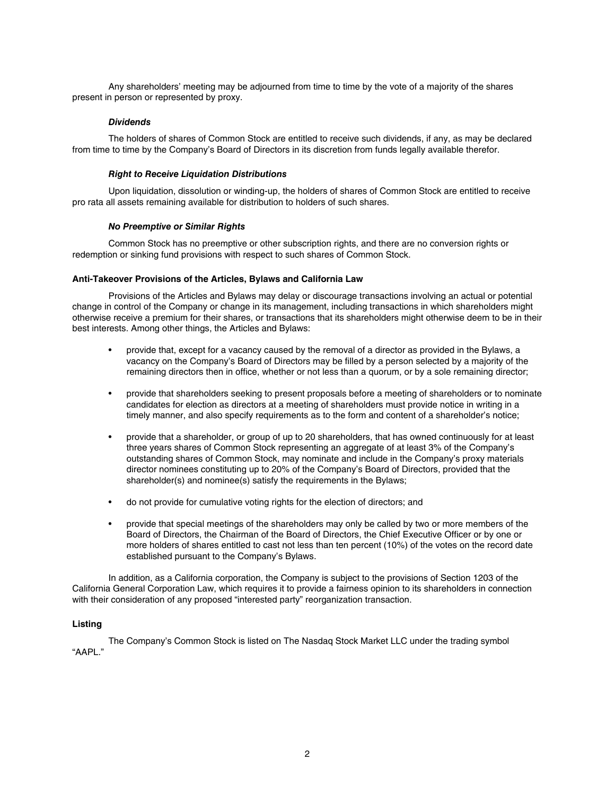Any shareholders' meeting may be adjourned from time to time by the vote of a majority of the shares present in person or represented by proxy.

# **Dividends**

The holders of shares of Common Stock are entitled to receive such dividends, if any, as may be declared from time to time by the Company's Board of Directors in its discretion from funds legally available therefor.

# **Right to Receive Liquidation Distributions**

Upon liquidation, dissolution or winding-up, the holders of shares of Common Stock are entitled to receive pro rata all assets remaining available for distribution to holders of such shares.

# **No Preemptive or Similar Rights**

Common Stock has no preemptive or other subscription rights, and there are no conversion rights or redemption or sinking fund provisions with respect to such shares of Common Stock.

# **Anti-Takeover Provisions of the Articles, Bylaws and California Law**

Provisions of the Articles and Bylaws may delay or discourage transactions involving an actual or potential change in control of the Company or change in its management, including transactions in which shareholders might otherwise receive a premium for their shares, or transactions that its shareholders might otherwise deem to be in their best interests. Among other things, the Articles and Bylaws:

- provide that, except for a vacancy caused by the removal of a director as provided in the Bylaws, a vacancy on the Company's Board of Directors may be filled by a person selected by a majority of the remaining directors then in office, whether or not less than a quorum, or by a sole remaining director;
- provide that shareholders seeking to present proposals before a meeting of shareholders or to nominate candidates for election as directors at a meeting of shareholders must provide notice in writing in a timely manner, and also specify requirements as to the form and content of a shareholder's notice;
- provide that a shareholder, or group of up to 20 shareholders, that has owned continuously for at least three years shares of Common Stock representing an aggregate of at least 3% of the Company's outstanding shares of Common Stock, may nominate and include in the Company's proxy materials director nominees constituting up to 20% of the Company's Board of Directors, provided that the shareholder(s) and nominee(s) satisfy the requirements in the Bylaws;
- do not provide for cumulative voting rights for the election of directors; and
- provide that special meetings of the shareholders may only be called by two or more members of the Board of Directors, the Chairman of the Board of Directors, the Chief Executive Officer or by one or more holders of shares entitled to cast not less than ten percent (10%) of the votes on the record date established pursuant to the Company's Bylaws.

In addition, as a California corporation, the Company is subject to the provisions of Section 1203 of the California General Corporation Law, which requires it to provide a fairness opinion to its shareholders in connection with their consideration of any proposed "interested party" reorganization transaction.

# **Listing**

The Company's Common Stock is listed on The Nasdaq Stock Market LLC under the trading symbol "AAPL."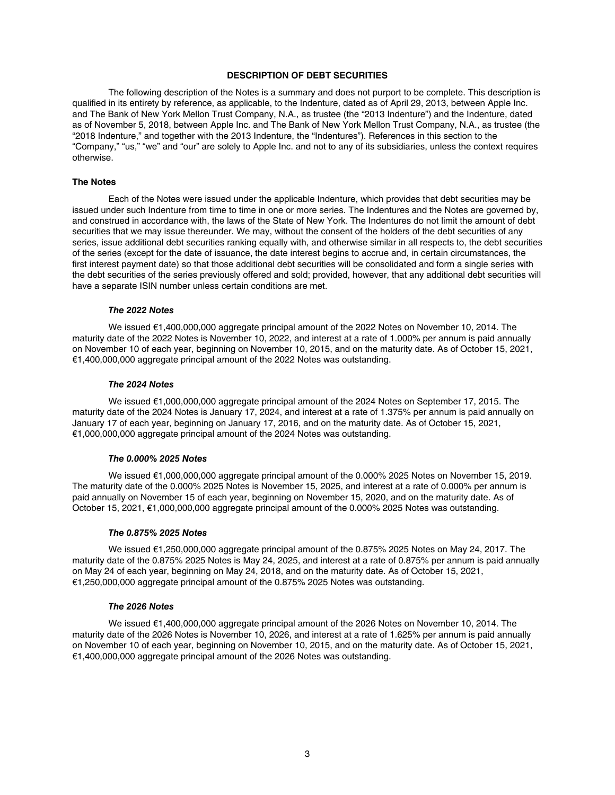## **DESCRIPTION OF DEBT SECURITIES**

The following description of the Notes is a summary and does not purport to be complete. This description is qualified in its entirety by reference, as applicable, to the Indenture, dated as of April 29, 2013, between Apple Inc. and The Bank of New York Mellon Trust Company, N.A., as trustee (the "2013 Indenture") and the Indenture, dated as of November 5, 2018, between Apple Inc. and The Bank of New York Mellon Trust Company, N.A., as trustee (the "2018 Indenture," and together with the 2013 Indenture, the "Indentures"). References in this section to the "Company," "us," "we" and "our" are solely to Apple Inc. and not to any of its subsidiaries, unless the context requires otherwise.

# **The Notes**

Each of the Notes were issued under the applicable Indenture, which provides that debt securities may be issued under such Indenture from time to time in one or more series. The Indentures and the Notes are governed by, and construed in accordance with, the laws of the State of New York. The Indentures do not limit the amount of debt securities that we may issue thereunder. We may, without the consent of the holders of the debt securities of any series, issue additional debt securities ranking equally with, and otherwise similar in all respects to, the debt securities of the series (except for the date of issuance, the date interest begins to accrue and, in certain circumstances, the first interest payment date) so that those additional debt securities will be consolidated and form a single series with the debt securities of the series previously offered and sold; provided, however, that any additional debt securities will have a separate ISIN number unless certain conditions are met.

#### **The 2022 Notes**

We issued €1,400,000,000 aggregate principal amount of the 2022 Notes on November 10, 2014. The maturity date of the 2022 Notes is November 10, 2022, and interest at a rate of 1.000% per annum is paid annually on November 10 of each year, beginning on November 10, 2015, and on the maturity date. As of October 15, 2021, €1,400,000,000 aggregate principal amount of the 2022 Notes was outstanding.

#### **The 2024 Notes**

We issued €1,000,000,000 aggregate principal amount of the 2024 Notes on September 17, 2015. The maturity date of the 2024 Notes is January 17, 2024, and interest at a rate of 1.375% per annum is paid annually on January 17 of each year, beginning on January 17, 2016, and on the maturity date. As of October 15, 2021, €1,000,000,000 aggregate principal amount of the 2024 Notes was outstanding.

#### **The 0.000% 2025 Notes**

We issued €1,000,000,000 aggregate principal amount of the 0.000% 2025 Notes on November 15, 2019. The maturity date of the 0.000% 2025 Notes is November 15, 2025, and interest at a rate of 0.000% per annum is paid annually on November 15 of each year, beginning on November 15, 2020, and on the maturity date. As of October 15, 2021, €1,000,000,000 aggregate principal amount of the 0.000% 2025 Notes was outstanding.

#### **The 0.875% 2025 Notes**

We issued €1,250,000,000 aggregate principal amount of the 0.875% 2025 Notes on May 24, 2017. The maturity date of the 0.875% 2025 Notes is May 24, 2025, and interest at a rate of 0.875% per annum is paid annually on May 24 of each year, beginning on May 24, 2018, and on the maturity date. As of October 15, 2021, €1,250,000,000 aggregate principal amount of the 0.875% 2025 Notes was outstanding.

#### **The 2026 Notes**

We issued €1,400,000,000 aggregate principal amount of the 2026 Notes on November 10, 2014. The maturity date of the 2026 Notes is November 10, 2026, and interest at a rate of 1.625% per annum is paid annually on November 10 of each year, beginning on November 10, 2015, and on the maturity date. As of October 15, 2021, €1,400,000,000 aggregate principal amount of the 2026 Notes was outstanding.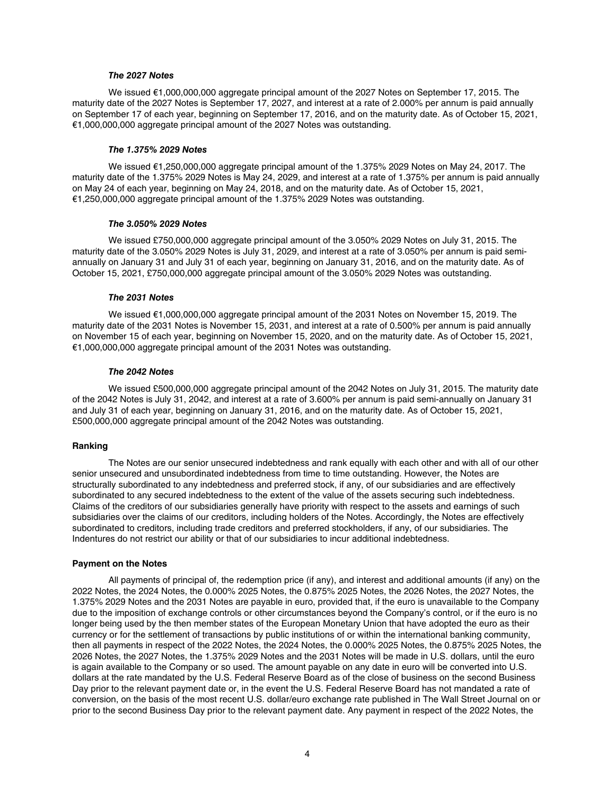#### **The 2027 Notes**

We issued €1,000,000,000 aggregate principal amount of the 2027 Notes on September 17, 2015. The maturity date of the 2027 Notes is September 17, 2027, and interest at a rate of 2.000% per annum is paid annually on September 17 of each year, beginning on September 17, 2016, and on the maturity date. As of October 15, 2021, €1,000,000,000 aggregate principal amount of the 2027 Notes was outstanding.

## **The 1.375% 2029 Notes**

We issued €1,250,000,000 aggregate principal amount of the 1.375% 2029 Notes on May 24, 2017. The maturity date of the 1.375% 2029 Notes is May 24, 2029, and interest at a rate of 1.375% per annum is paid annually on May 24 of each year, beginning on May 24, 2018, and on the maturity date. As of October 15, 2021, €1,250,000,000 aggregate principal amount of the 1.375% 2029 Notes was outstanding.

## **The 3.050% 2029 Notes**

We issued £750,000,000 aggregate principal amount of the 3.050% 2029 Notes on July 31, 2015. The maturity date of the 3.050% 2029 Notes is July 31, 2029, and interest at a rate of 3.050% per annum is paid semiannually on January 31 and July 31 of each year, beginning on January 31, 2016, and on the maturity date. As of October 15, 2021, £750,000,000 aggregate principal amount of the 3.050% 2029 Notes was outstanding.

## **The 2031 Notes**

We issued €1,000,000,000 aggregate principal amount of the 2031 Notes on November 15, 2019. The maturity date of the 2031 Notes is November 15, 2031, and interest at a rate of 0.500% per annum is paid annually on November 15 of each year, beginning on November 15, 2020, and on the maturity date. As of October 15, 2021, €1,000,000,000 aggregate principal amount of the 2031 Notes was outstanding.

#### **The 2042 Notes**

We issued £500,000,000 aggregate principal amount of the 2042 Notes on July 31, 2015. The maturity date of the 2042 Notes is July 31, 2042, and interest at a rate of 3.600% per annum is paid semi-annually on January 31 and July 31 of each year, beginning on January 31, 2016, and on the maturity date. As of October 15, 2021, £500,000,000 aggregate principal amount of the 2042 Notes was outstanding.

# **Ranking**

The Notes are our senior unsecured indebtedness and rank equally with each other and with all of our other senior unsecured and unsubordinated indebtedness from time to time outstanding. However, the Notes are structurally subordinated to any indebtedness and preferred stock, if any, of our subsidiaries and are effectively subordinated to any secured indebtedness to the extent of the value of the assets securing such indebtedness. Claims of the creditors of our subsidiaries generally have priority with respect to the assets and earnings of such subsidiaries over the claims of our creditors, including holders of the Notes. Accordingly, the Notes are effectively subordinated to creditors, including trade creditors and preferred stockholders, if any, of our subsidiaries. The Indentures do not restrict our ability or that of our subsidiaries to incur additional indebtedness.

#### **Payment on the Notes**

All payments of principal of, the redemption price (if any), and interest and additional amounts (if any) on the 2022 Notes, the 2024 Notes, the 0.000% 2025 Notes, the 0.875% 2025 Notes, the 2026 Notes, the 2027 Notes, the 1.375% 2029 Notes and the 2031 Notes are payable in euro, provided that, if the euro is unavailable to the Company due to the imposition of exchange controls or other circumstances beyond the Company's control, or if the euro is no longer being used by the then member states of the European Monetary Union that have adopted the euro as their currency or for the settlement of transactions by public institutions of or within the international banking community, then all payments in respect of the 2022 Notes, the 2024 Notes, the 0.000% 2025 Notes, the 0.875% 2025 Notes, the 2026 Notes, the 2027 Notes, the 1.375% 2029 Notes and the 2031 Notes will be made in U.S. dollars, until the euro is again available to the Company or so used. The amount payable on any date in euro will be converted into U.S. dollars at the rate mandated by the U.S. Federal Reserve Board as of the close of business on the second Business Day prior to the relevant payment date or, in the event the U.S. Federal Reserve Board has not mandated a rate of conversion, on the basis of the most recent U.S. dollar/euro exchange rate published in The Wall Street Journal on or prior to the second Business Day prior to the relevant payment date. Any payment in respect of the 2022 Notes, the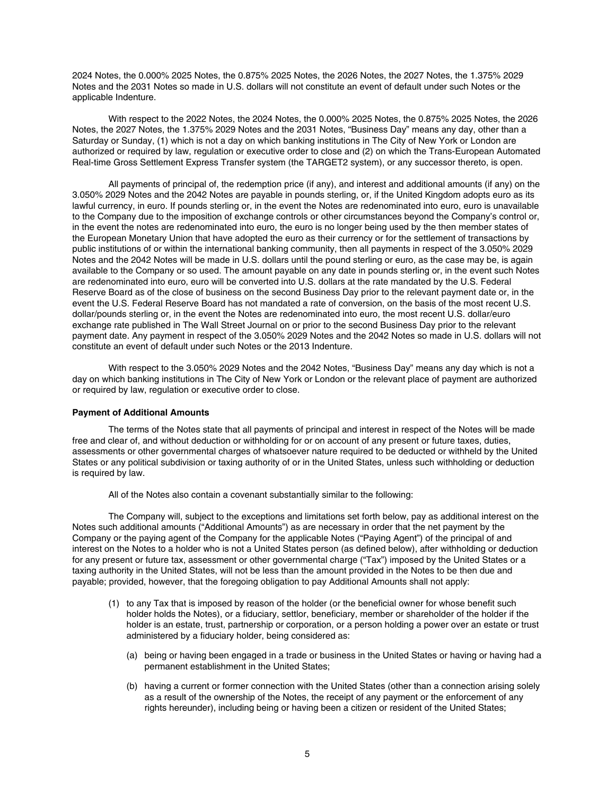2024 Notes, the 0.000% 2025 Notes, the 0.875% 2025 Notes, the 2026 Notes, the 2027 Notes, the 1.375% 2029 Notes and the 2031 Notes so made in U.S. dollars will not constitute an event of default under such Notes or the applicable Indenture.

With respect to the 2022 Notes, the 2024 Notes, the 0.000% 2025 Notes, the 0.875% 2025 Notes, the 2026 Notes, the 2027 Notes, the 1.375% 2029 Notes and the 2031 Notes, "Business Day" means any day, other than a Saturday or Sunday, (1) which is not a day on which banking institutions in The City of New York or London are authorized or required by law, regulation or executive order to close and (2) on which the Trans-European Automated Real-time Gross Settlement Express Transfer system (the TARGET2 system), or any successor thereto, is open.

All payments of principal of, the redemption price (if any), and interest and additional amounts (if any) on the 3.050% 2029 Notes and the 2042 Notes are payable in pounds sterling, or, if the United Kingdom adopts euro as its lawful currency, in euro. If pounds sterling or, in the event the Notes are redenominated into euro, euro is unavailable to the Company due to the imposition of exchange controls or other circumstances beyond the Company's control or, in the event the notes are redenominated into euro, the euro is no longer being used by the then member states of the European Monetary Union that have adopted the euro as their currency or for the settlement of transactions by public institutions of or within the international banking community, then all payments in respect of the 3.050% 2029 Notes and the 2042 Notes will be made in U.S. dollars until the pound sterling or euro, as the case may be, is again available to the Company or so used. The amount payable on any date in pounds sterling or, in the event such Notes are redenominated into euro, euro will be converted into U.S. dollars at the rate mandated by the U.S. Federal Reserve Board as of the close of business on the second Business Day prior to the relevant payment date or, in the event the U.S. Federal Reserve Board has not mandated a rate of conversion, on the basis of the most recent U.S. dollar/pounds sterling or, in the event the Notes are redenominated into euro, the most recent U.S. dollar/euro exchange rate published in The Wall Street Journal on or prior to the second Business Day prior to the relevant payment date. Any payment in respect of the 3.050% 2029 Notes and the 2042 Notes so made in U.S. dollars will not constitute an event of default under such Notes or the 2013 Indenture.

With respect to the 3.050% 2029 Notes and the 2042 Notes, "Business Day" means any day which is not a day on which banking institutions in The City of New York or London or the relevant place of payment are authorized or required by law, regulation or executive order to close.

## **Payment of Additional Amounts**

The terms of the Notes state that all payments of principal and interest in respect of the Notes will be made free and clear of, and without deduction or withholding for or on account of any present or future taxes, duties, assessments or other governmental charges of whatsoever nature required to be deducted or withheld by the United States or any political subdivision or taxing authority of or in the United States, unless such withholding or deduction is required by law.

All of the Notes also contain a covenant substantially similar to the following:

The Company will, subject to the exceptions and limitations set forth below, pay as additional interest on the Notes such additional amounts ("Additional Amounts") as are necessary in order that the net payment by the Company or the paying agent of the Company for the applicable Notes ("Paying Agent") of the principal of and interest on the Notes to a holder who is not a United States person (as defined below), after withholding or deduction for any present or future tax, assessment or other governmental charge ("Tax") imposed by the United States or a taxing authority in the United States, will not be less than the amount provided in the Notes to be then due and payable; provided, however, that the foregoing obligation to pay Additional Amounts shall not apply:

- (1) to any Tax that is imposed by reason of the holder (or the beneficial owner for whose benefit such holder holds the Notes), or a fiduciary, settlor, beneficiary, member or shareholder of the holder if the holder is an estate, trust, partnership or corporation, or a person holding a power over an estate or trust administered by a fiduciary holder, being considered as:
	- (a) being or having been engaged in a trade or business in the United States or having or having had a permanent establishment in the United States;
	- (b) having a current or former connection with the United States (other than a connection arising solely as a result of the ownership of the Notes, the receipt of any payment or the enforcement of any rights hereunder), including being or having been a citizen or resident of the United States;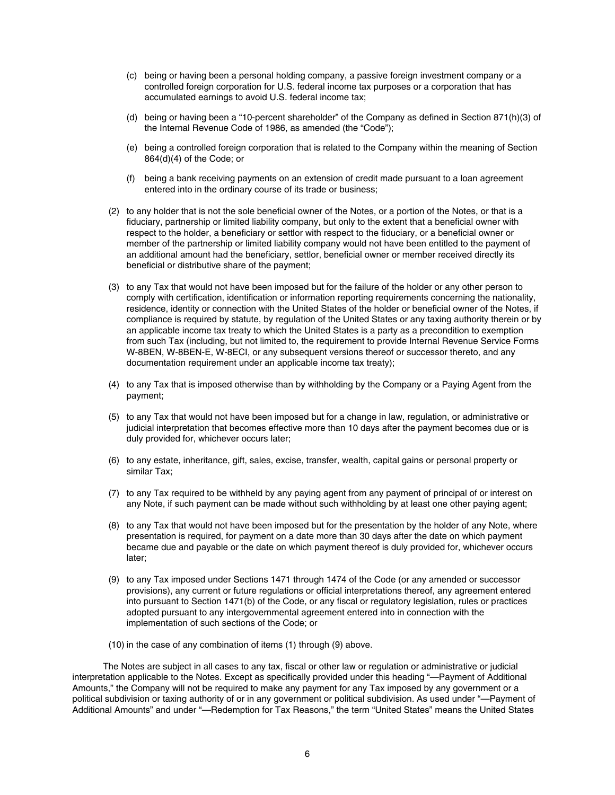- (c) being or having been a personal holding company, a passive foreign investment company or a controlled foreign corporation for U.S. federal income tax purposes or a corporation that has accumulated earnings to avoid U.S. federal income tax;
- (d) being or having been a "10-percent shareholder" of the Company as defined in Section 871(h)(3) of the Internal Revenue Code of 1986, as amended (the "Code");
- (e) being a controlled foreign corporation that is related to the Company within the meaning of Section 864(d)(4) of the Code; or
- (f) being a bank receiving payments on an extension of credit made pursuant to a loan agreement entered into in the ordinary course of its trade or business;
- (2) to any holder that is not the sole beneficial owner of the Notes, or a portion of the Notes, or that is a fiduciary, partnership or limited liability company, but only to the extent that a beneficial owner with respect to the holder, a beneficiary or settlor with respect to the fiduciary, or a beneficial owner or member of the partnership or limited liability company would not have been entitled to the payment of an additional amount had the beneficiary, settlor, beneficial owner or member received directly its beneficial or distributive share of the payment;
- (3) to any Tax that would not have been imposed but for the failure of the holder or any other person to comply with certification, identification or information reporting requirements concerning the nationality, residence, identity or connection with the United States of the holder or beneficial owner of the Notes, if compliance is required by statute, by regulation of the United States or any taxing authority therein or by an applicable income tax treaty to which the United States is a party as a precondition to exemption from such Tax (including, but not limited to, the requirement to provide Internal Revenue Service Forms W-8BEN, W-8BEN-E, W-8ECI, or any subsequent versions thereof or successor thereto, and any documentation requirement under an applicable income tax treaty);
- (4) to any Tax that is imposed otherwise than by withholding by the Company or a Paying Agent from the payment;
- (5) to any Tax that would not have been imposed but for a change in law, regulation, or administrative or judicial interpretation that becomes effective more than 10 days after the payment becomes due or is duly provided for, whichever occurs later;
- (6) to any estate, inheritance, gift, sales, excise, transfer, wealth, capital gains or personal property or similar Tax;
- (7) to any Tax required to be withheld by any paying agent from any payment of principal of or interest on any Note, if such payment can be made without such withholding by at least one other paying agent;
- (8) to any Tax that would not have been imposed but for the presentation by the holder of any Note, where presentation is required, for payment on a date more than 30 days after the date on which payment became due and payable or the date on which payment thereof is duly provided for, whichever occurs later;
- (9) to any Tax imposed under Sections 1471 through 1474 of the Code (or any amended or successor provisions), any current or future regulations or official interpretations thereof, any agreement entered into pursuant to Section 1471(b) of the Code, or any fiscal or regulatory legislation, rules or practices adopted pursuant to any intergovernmental agreement entered into in connection with the implementation of such sections of the Code; or
- (10) in the case of any combination of items (1) through (9) above.

The Notes are subject in all cases to any tax, fiscal or other law or regulation or administrative or judicial interpretation applicable to the Notes. Except as specifically provided under this heading "—Payment of Additional Amounts," the Company will not be required to make any payment for any Tax imposed by any government or a political subdivision or taxing authority of or in any government or political subdivision. As used under "—Payment of Additional Amounts" and under "—Redemption for Tax Reasons," the term "United States" means the United States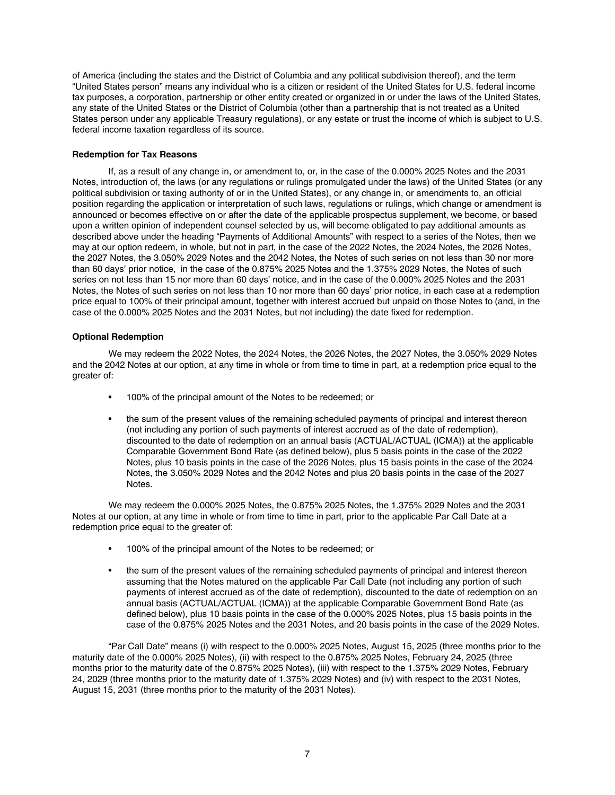of America (including the states and the District of Columbia and any political subdivision thereof), and the term "United States person" means any individual who is a citizen or resident of the United States for U.S. federal income tax purposes, a corporation, partnership or other entity created or organized in or under the laws of the United States, any state of the United States or the District of Columbia (other than a partnership that is not treated as a United States person under any applicable Treasury regulations), or any estate or trust the income of which is subject to U.S. federal income taxation regardless of its source.

# **Redemption for Tax Reasons**

If, as a result of any change in, or amendment to, or, in the case of the 0.000% 2025 Notes and the 2031 Notes, introduction of, the laws (or any regulations or rulings promulgated under the laws) of the United States (or any political subdivision or taxing authority of or in the United States), or any change in, or amendments to, an official position regarding the application or interpretation of such laws, regulations or rulings, which change or amendment is announced or becomes effective on or after the date of the applicable prospectus supplement, we become, or based upon a written opinion of independent counsel selected by us, will become obligated to pay additional amounts as described above under the heading "Payments of Additional Amounts" with respect to a series of the Notes, then we may at our option redeem, in whole, but not in part, in the case of the 2022 Notes, the 2024 Notes, the 2026 Notes, the 2027 Notes, the 3.050% 2029 Notes and the 2042 Notes, the Notes of such series on not less than 30 nor more than 60 days' prior notice, in the case of the 0.875% 2025 Notes and the 1.375% 2029 Notes, the Notes of such series on not less than 15 nor more than 60 days' notice, and in the case of the 0.000% 2025 Notes and the 2031 Notes, the Notes of such series on not less than 10 nor more than 60 days' prior notice, in each case at a redemption price equal to 100% of their principal amount, together with interest accrued but unpaid on those Notes to (and, in the case of the 0.000% 2025 Notes and the 2031 Notes, but not including) the date fixed for redemption.

## **Optional Redemption**

We may redeem the 2022 Notes, the 2024 Notes, the 2026 Notes, the 2027 Notes, the 3.050% 2029 Notes and the 2042 Notes at our option, at any time in whole or from time to time in part, at a redemption price equal to the greater of:

- 100% of the principal amount of the Notes to be redeemed; or
- the sum of the present values of the remaining scheduled payments of principal and interest thereon (not including any portion of such payments of interest accrued as of the date of redemption), discounted to the date of redemption on an annual basis (ACTUAL/ACTUAL (ICMA)) at the applicable Comparable Government Bond Rate (as defined below), plus 5 basis points in the case of the 2022 Notes, plus 10 basis points in the case of the 2026 Notes, plus 15 basis points in the case of the 2024 Notes, the 3.050% 2029 Notes and the 2042 Notes and plus 20 basis points in the case of the 2027 Notes.

We may redeem the 0.000% 2025 Notes, the 0.875% 2025 Notes, the 1.375% 2029 Notes and the 2031 Notes at our option, at any time in whole or from time to time in part, prior to the applicable Par Call Date at a redemption price equal to the greater of:

- 100% of the principal amount of the Notes to be redeemed; or
- the sum of the present values of the remaining scheduled payments of principal and interest thereon assuming that the Notes matured on the applicable Par Call Date (not including any portion of such payments of interest accrued as of the date of redemption), discounted to the date of redemption on an annual basis (ACTUAL/ACTUAL (ICMA)) at the applicable Comparable Government Bond Rate (as defined below), plus 10 basis points in the case of the 0.000% 2025 Notes, plus 15 basis points in the case of the 0.875% 2025 Notes and the 2031 Notes, and 20 basis points in the case of the 2029 Notes.

"Par Call Date" means (i) with respect to the 0.000% 2025 Notes, August 15, 2025 (three months prior to the maturity date of the 0.000% 2025 Notes), (ii) with respect to the 0.875% 2025 Notes, February 24, 2025 (three months prior to the maturity date of the 0.875% 2025 Notes), (iii) with respect to the 1.375% 2029 Notes, February 24, 2029 (three months prior to the maturity date of 1.375% 2029 Notes) and (iv) with respect to the 2031 Notes, August 15, 2031 (three months prior to the maturity of the 2031 Notes).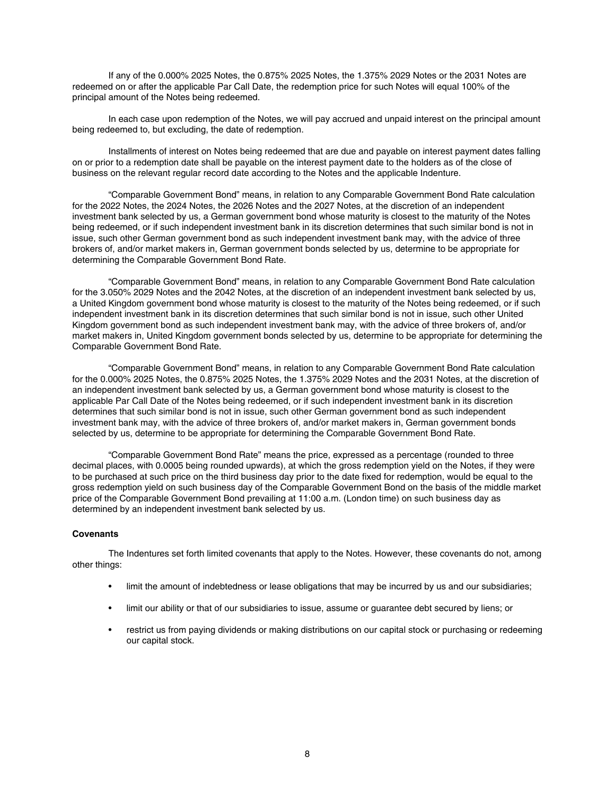If any of the 0.000% 2025 Notes, the 0.875% 2025 Notes, the 1.375% 2029 Notes or the 2031 Notes are redeemed on or after the applicable Par Call Date, the redemption price for such Notes will equal 100% of the principal amount of the Notes being redeemed.

In each case upon redemption of the Notes, we will pay accrued and unpaid interest on the principal amount being redeemed to, but excluding, the date of redemption.

Installments of interest on Notes being redeemed that are due and payable on interest payment dates falling on or prior to a redemption date shall be payable on the interest payment date to the holders as of the close of business on the relevant regular record date according to the Notes and the applicable Indenture.

"Comparable Government Bond" means, in relation to any Comparable Government Bond Rate calculation for the 2022 Notes, the 2024 Notes, the 2026 Notes and the 2027 Notes, at the discretion of an independent investment bank selected by us, a German government bond whose maturity is closest to the maturity of the Notes being redeemed, or if such independent investment bank in its discretion determines that such similar bond is not in issue, such other German government bond as such independent investment bank may, with the advice of three brokers of, and/or market makers in, German government bonds selected by us, determine to be appropriate for determining the Comparable Government Bond Rate.

"Comparable Government Bond" means, in relation to any Comparable Government Bond Rate calculation for the 3.050% 2029 Notes and the 2042 Notes, at the discretion of an independent investment bank selected by us, a United Kingdom government bond whose maturity is closest to the maturity of the Notes being redeemed, or if such independent investment bank in its discretion determines that such similar bond is not in issue, such other United Kingdom government bond as such independent investment bank may, with the advice of three brokers of, and/or market makers in, United Kingdom government bonds selected by us, determine to be appropriate for determining the Comparable Government Bond Rate.

"Comparable Government Bond" means, in relation to any Comparable Government Bond Rate calculation for the 0.000% 2025 Notes, the 0.875% 2025 Notes, the 1.375% 2029 Notes and the 2031 Notes, at the discretion of an independent investment bank selected by us, a German government bond whose maturity is closest to the applicable Par Call Date of the Notes being redeemed, or if such independent investment bank in its discretion determines that such similar bond is not in issue, such other German government bond as such independent investment bank may, with the advice of three brokers of, and/or market makers in, German government bonds selected by us, determine to be appropriate for determining the Comparable Government Bond Rate.

"Comparable Government Bond Rate" means the price, expressed as a percentage (rounded to three decimal places, with 0.0005 being rounded upwards), at which the gross redemption yield on the Notes, if they were to be purchased at such price on the third business day prior to the date fixed for redemption, would be equal to the gross redemption yield on such business day of the Comparable Government Bond on the basis of the middle market price of the Comparable Government Bond prevailing at 11:00 a.m. (London time) on such business day as determined by an independent investment bank selected by us.

#### **Covenants**

The Indentures set forth limited covenants that apply to the Notes. However, these covenants do not, among other things:

- limit the amount of indebtedness or lease obligations that may be incurred by us and our subsidiaries;
- limit our ability or that of our subsidiaries to issue, assume or guarantee debt secured by liens; or
- restrict us from paying dividends or making distributions on our capital stock or purchasing or redeeming our capital stock.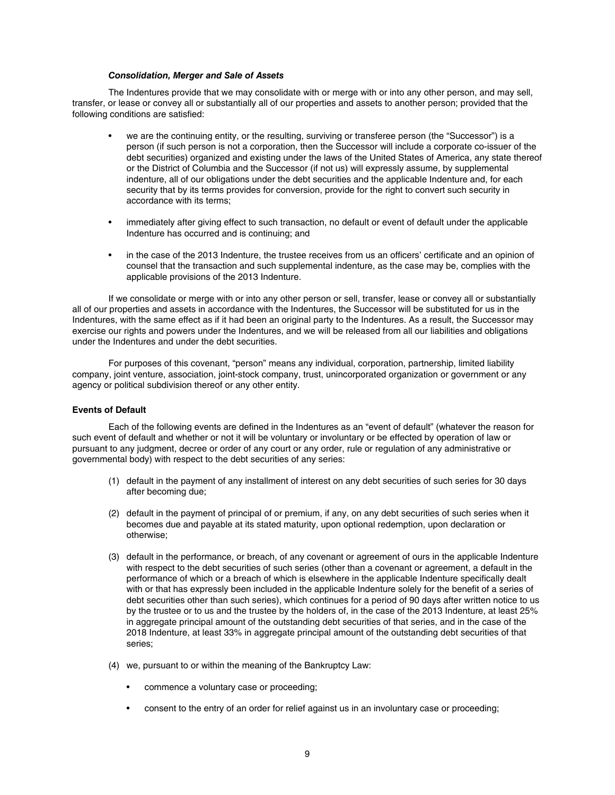#### **Consolidation, Merger and Sale of Assets**

The Indentures provide that we may consolidate with or merge with or into any other person, and may sell, transfer, or lease or convey all or substantially all of our properties and assets to another person; provided that the following conditions are satisfied:

- we are the continuing entity, or the resulting, surviving or transferee person (the "Successor") is a person (if such person is not a corporation, then the Successor will include a corporate co-issuer of the debt securities) organized and existing under the laws of the United States of America, any state thereof or the District of Columbia and the Successor (if not us) will expressly assume, by supplemental indenture, all of our obligations under the debt securities and the applicable Indenture and, for each security that by its terms provides for conversion, provide for the right to convert such security in accordance with its terms;
- immediately after giving effect to such transaction, no default or event of default under the applicable Indenture has occurred and is continuing; and
- in the case of the 2013 Indenture, the trustee receives from us an officers' certificate and an opinion of counsel that the transaction and such supplemental indenture, as the case may be, complies with the applicable provisions of the 2013 Indenture.

If we consolidate or merge with or into any other person or sell, transfer, lease or convey all or substantially all of our properties and assets in accordance with the Indentures, the Successor will be substituted for us in the Indentures, with the same effect as if it had been an original party to the Indentures. As a result, the Successor may exercise our rights and powers under the Indentures, and we will be released from all our liabilities and obligations under the Indentures and under the debt securities.

For purposes of this covenant, "person" means any individual, corporation, partnership, limited liability company, joint venture, association, joint-stock company, trust, unincorporated organization or government or any agency or political subdivision thereof or any other entity.

# **Events of Default**

Each of the following events are defined in the Indentures as an "event of default" (whatever the reason for such event of default and whether or not it will be voluntary or involuntary or be effected by operation of law or pursuant to any judgment, decree or order of any court or any order, rule or regulation of any administrative or governmental body) with respect to the debt securities of any series:

- (1) default in the payment of any installment of interest on any debt securities of such series for 30 days after becoming due;
- (2) default in the payment of principal of or premium, if any, on any debt securities of such series when it becomes due and payable at its stated maturity, upon optional redemption, upon declaration or otherwise;
- (3) default in the performance, or breach, of any covenant or agreement of ours in the applicable Indenture with respect to the debt securities of such series (other than a covenant or agreement, a default in the performance of which or a breach of which is elsewhere in the applicable Indenture specifically dealt with or that has expressly been included in the applicable Indenture solely for the benefit of a series of debt securities other than such series), which continues for a period of 90 days after written notice to us by the trustee or to us and the trustee by the holders of, in the case of the 2013 Indenture, at least 25% in aggregate principal amount of the outstanding debt securities of that series, and in the case of the 2018 Indenture, at least 33% in aggregate principal amount of the outstanding debt securities of that series;
- (4) we, pursuant to or within the meaning of the Bankruptcy Law:
	- commence a voluntary case or proceeding;
	- consent to the entry of an order for relief against us in an involuntary case or proceeding;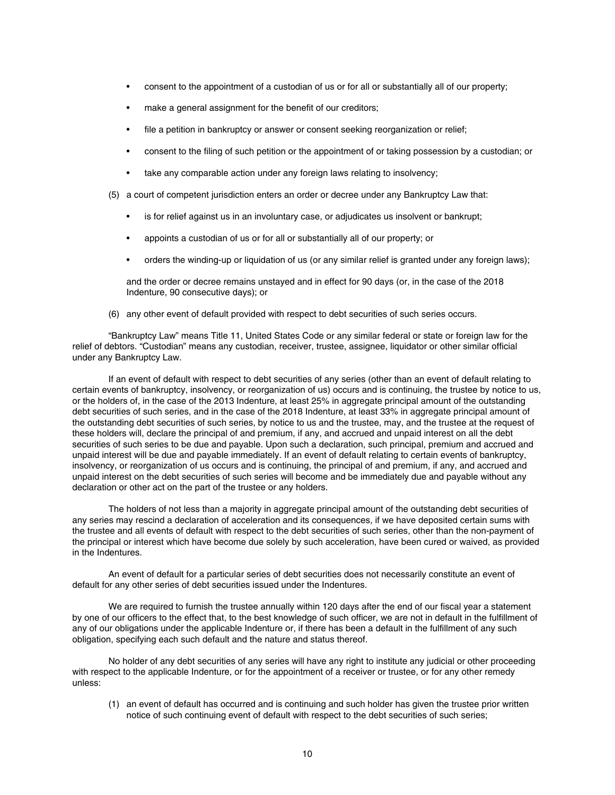- consent to the appointment of a custodian of us or for all or substantially all of our property;
- make a general assignment for the benefit of our creditors;
- file a petition in bankruptcy or answer or consent seeking reorganization or relief;
- consent to the filing of such petition or the appointment of or taking possession by a custodian; or
- take any comparable action under any foreign laws relating to insolvency;
- (5) a court of competent jurisdiction enters an order or decree under any Bankruptcy Law that:
	- is for relief against us in an involuntary case, or adjudicates us insolvent or bankrupt;
	- appoints a custodian of us or for all or substantially all of our property; or
	- orders the winding-up or liquidation of us (or any similar relief is granted under any foreign laws);

and the order or decree remains unstayed and in effect for 90 days (or, in the case of the 2018 Indenture, 90 consecutive days); or

(6) any other event of default provided with respect to debt securities of such series occurs.

"Bankruptcy Law" means Title 11, United States Code or any similar federal or state or foreign law for the relief of debtors. "Custodian" means any custodian, receiver, trustee, assignee, liquidator or other similar official under any Bankruptcy Law.

If an event of default with respect to debt securities of any series (other than an event of default relating to certain events of bankruptcy, insolvency, or reorganization of us) occurs and is continuing, the trustee by notice to us, or the holders of, in the case of the 2013 Indenture, at least 25% in aggregate principal amount of the outstanding debt securities of such series, and in the case of the 2018 Indenture, at least 33% in aggregate principal amount of the outstanding debt securities of such series, by notice to us and the trustee, may, and the trustee at the request of these holders will, declare the principal of and premium, if any, and accrued and unpaid interest on all the debt securities of such series to be due and payable. Upon such a declaration, such principal, premium and accrued and unpaid interest will be due and payable immediately. If an event of default relating to certain events of bankruptcy, insolvency, or reorganization of us occurs and is continuing, the principal of and premium, if any, and accrued and unpaid interest on the debt securities of such series will become and be immediately due and payable without any declaration or other act on the part of the trustee or any holders.

The holders of not less than a majority in aggregate principal amount of the outstanding debt securities of any series may rescind a declaration of acceleration and its consequences, if we have deposited certain sums with the trustee and all events of default with respect to the debt securities of such series, other than the non-payment of the principal or interest which have become due solely by such acceleration, have been cured or waived, as provided in the Indentures.

An event of default for a particular series of debt securities does not necessarily constitute an event of default for any other series of debt securities issued under the Indentures.

We are required to furnish the trustee annually within 120 days after the end of our fiscal year a statement by one of our officers to the effect that, to the best knowledge of such officer, we are not in default in the fulfillment of any of our obligations under the applicable Indenture or, if there has been a default in the fulfillment of any such obligation, specifying each such default and the nature and status thereof.

No holder of any debt securities of any series will have any right to institute any judicial or other proceeding with respect to the applicable Indenture, or for the appointment of a receiver or trustee, or for any other remedy unless:

(1) an event of default has occurred and is continuing and such holder has given the trustee prior written notice of such continuing event of default with respect to the debt securities of such series;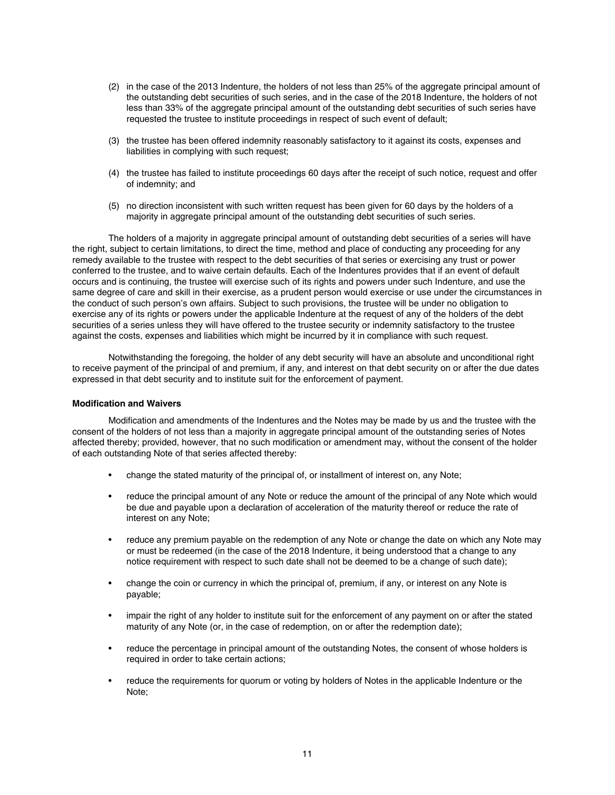- (2) in the case of the 2013 Indenture, the holders of not less than 25% of the aggregate principal amount of the outstanding debt securities of such series, and in the case of the 2018 Indenture, the holders of not less than 33% of the aggregate principal amount of the outstanding debt securities of such series have requested the trustee to institute proceedings in respect of such event of default;
- (3) the trustee has been offered indemnity reasonably satisfactory to it against its costs, expenses and liabilities in complying with such request;
- (4) the trustee has failed to institute proceedings 60 days after the receipt of such notice, request and offer of indemnity; and
- (5) no direction inconsistent with such written request has been given for 60 days by the holders of a majority in aggregate principal amount of the outstanding debt securities of such series.

The holders of a majority in aggregate principal amount of outstanding debt securities of a series will have the right, subject to certain limitations, to direct the time, method and place of conducting any proceeding for any remedy available to the trustee with respect to the debt securities of that series or exercising any trust or power conferred to the trustee, and to waive certain defaults. Each of the Indentures provides that if an event of default occurs and is continuing, the trustee will exercise such of its rights and powers under such Indenture, and use the same degree of care and skill in their exercise, as a prudent person would exercise or use under the circumstances in the conduct of such person's own affairs. Subject to such provisions, the trustee will be under no obligation to exercise any of its rights or powers under the applicable Indenture at the request of any of the holders of the debt securities of a series unless they will have offered to the trustee security or indemnity satisfactory to the trustee against the costs, expenses and liabilities which might be incurred by it in compliance with such request.

Notwithstanding the foregoing, the holder of any debt security will have an absolute and unconditional right to receive payment of the principal of and premium, if any, and interest on that debt security on or after the due dates expressed in that debt security and to institute suit for the enforcement of payment.

## **Modification and Waivers**

Modification and amendments of the Indentures and the Notes may be made by us and the trustee with the consent of the holders of not less than a majority in aggregate principal amount of the outstanding series of Notes affected thereby; provided, however, that no such modification or amendment may, without the consent of the holder of each outstanding Note of that series affected thereby:

- change the stated maturity of the principal of, or installment of interest on, any Note;
- reduce the principal amount of any Note or reduce the amount of the principal of any Note which would be due and payable upon a declaration of acceleration of the maturity thereof or reduce the rate of interest on any Note;
- reduce any premium payable on the redemption of any Note or change the date on which any Note may or must be redeemed (in the case of the 2018 Indenture, it being understood that a change to any notice requirement with respect to such date shall not be deemed to be a change of such date);
- change the coin or currency in which the principal of, premium, if any, or interest on any Note is payable;
- impair the right of any holder to institute suit for the enforcement of any payment on or after the stated maturity of any Note (or, in the case of redemption, on or after the redemption date);
- reduce the percentage in principal amount of the outstanding Notes, the consent of whose holders is required in order to take certain actions;
- reduce the requirements for quorum or voting by holders of Notes in the applicable Indenture or the Note;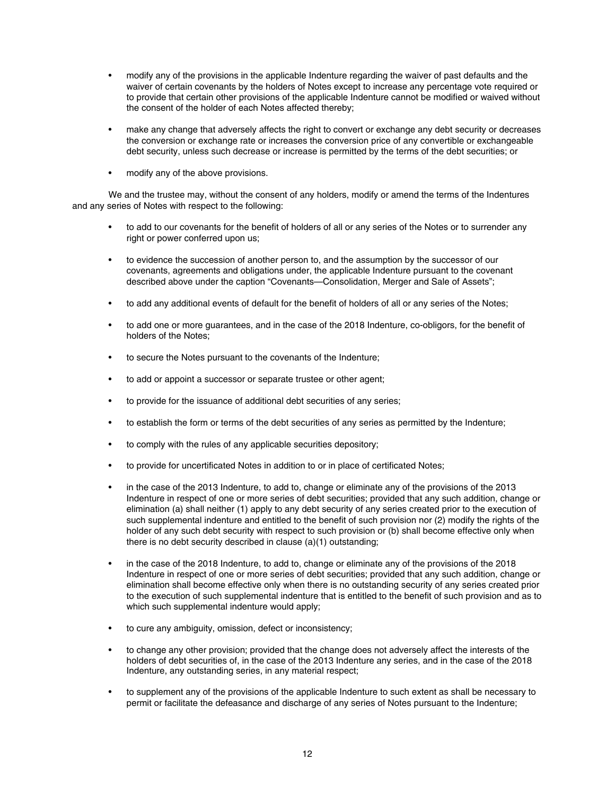- modify any of the provisions in the applicable Indenture regarding the waiver of past defaults and the waiver of certain covenants by the holders of Notes except to increase any percentage vote required or to provide that certain other provisions of the applicable Indenture cannot be modified or waived without the consent of the holder of each Notes affected thereby;
- make any change that adversely affects the right to convert or exchange any debt security or decreases the conversion or exchange rate or increases the conversion price of any convertible or exchangeable debt security, unless such decrease or increase is permitted by the terms of the debt securities; or
- modify any of the above provisions.

We and the trustee may, without the consent of any holders, modify or amend the terms of the Indentures and any series of Notes with respect to the following:

- to add to our covenants for the benefit of holders of all or any series of the Notes or to surrender any right or power conferred upon us;
- to evidence the succession of another person to, and the assumption by the successor of our covenants, agreements and obligations under, the applicable Indenture pursuant to the covenant described above under the caption "Covenants—Consolidation, Merger and Sale of Assets";
- to add any additional events of default for the benefit of holders of all or any series of the Notes;
- to add one or more guarantees, and in the case of the 2018 Indenture, co-obligors, for the benefit of holders of the Notes;
- to secure the Notes pursuant to the covenants of the Indenture;
- to add or appoint a successor or separate trustee or other agent;
- to provide for the issuance of additional debt securities of any series;
- to establish the form or terms of the debt securities of any series as permitted by the Indenture;
- to comply with the rules of any applicable securities depository;
- to provide for uncertificated Notes in addition to or in place of certificated Notes;
- in the case of the 2013 Indenture, to add to, change or eliminate any of the provisions of the 2013 Indenture in respect of one or more series of debt securities; provided that any such addition, change or elimination (a) shall neither (1) apply to any debt security of any series created prior to the execution of such supplemental indenture and entitled to the benefit of such provision nor (2) modify the rights of the holder of any such debt security with respect to such provision or (b) shall become effective only when there is no debt security described in clause (a)(1) outstanding;
- in the case of the 2018 Indenture, to add to, change or eliminate any of the provisions of the 2018 Indenture in respect of one or more series of debt securities; provided that any such addition, change or elimination shall become effective only when there is no outstanding security of any series created prior to the execution of such supplemental indenture that is entitled to the benefit of such provision and as to which such supplemental indenture would apply;
- to cure any ambiguity, omission, defect or inconsistency;
- to change any other provision; provided that the change does not adversely affect the interests of the holders of debt securities of, in the case of the 2013 Indenture any series, and in the case of the 2018 Indenture, any outstanding series, in any material respect;
- to supplement any of the provisions of the applicable Indenture to such extent as shall be necessary to permit or facilitate the defeasance and discharge of any series of Notes pursuant to the Indenture;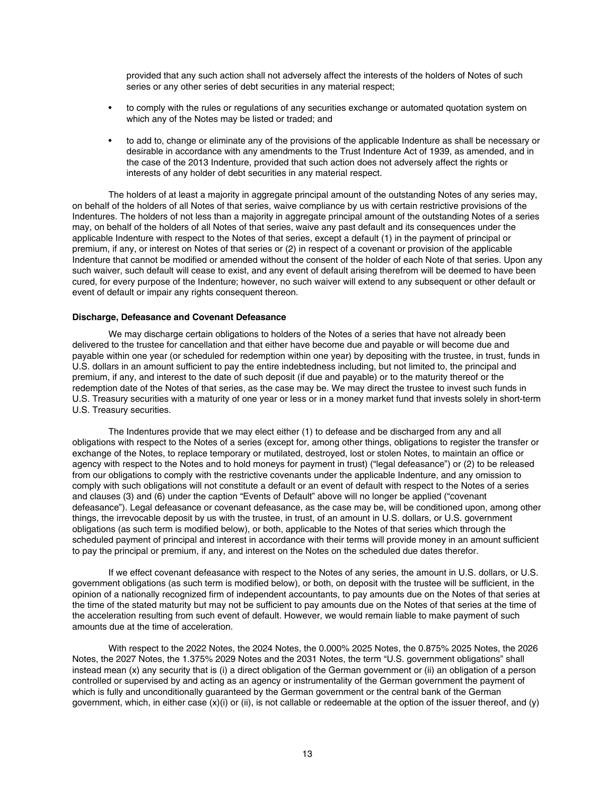provided that any such action shall not adversely affect the interests of the holders of Notes of such series or any other series of debt securities in any material respect;

- to comply with the rules or regulations of any securities exchange or automated quotation system on which any of the Notes may be listed or traded; and
- to add to, change or eliminate any of the provisions of the applicable Indenture as shall be necessary or desirable in accordance with any amendments to the Trust Indenture Act of 1939, as amended, and in the case of the 2013 Indenture, provided that such action does not adversely affect the rights or interests of any holder of debt securities in any material respect.

The holders of at least a majority in aggregate principal amount of the outstanding Notes of any series may, on behalf of the holders of all Notes of that series, waive compliance by us with certain restrictive provisions of the Indentures. The holders of not less than a majority in aggregate principal amount of the outstanding Notes of a series may, on behalf of the holders of all Notes of that series, waive any past default and its consequences under the applicable Indenture with respect to the Notes of that series, except a default (1) in the payment of principal or premium, if any, or interest on Notes of that series or (2) in respect of a covenant or provision of the applicable Indenture that cannot be modified or amended without the consent of the holder of each Note of that series. Upon any such waiver, such default will cease to exist, and any event of default arising therefrom will be deemed to have been cured, for every purpose of the Indenture; however, no such waiver will extend to any subsequent or other default or event of default or impair any rights consequent thereon.

# **Discharge, Defeasance and Covenant Defeasance**

We may discharge certain obligations to holders of the Notes of a series that have not already been delivered to the trustee for cancellation and that either have become due and payable or will become due and payable within one year (or scheduled for redemption within one year) by depositing with the trustee, in trust, funds in U.S. dollars in an amount sufficient to pay the entire indebtedness including, but not limited to, the principal and premium, if any, and interest to the date of such deposit (if due and payable) or to the maturity thereof or the redemption date of the Notes of that series, as the case may be. We may direct the trustee to invest such funds in U.S. Treasury securities with a maturity of one year or less or in a money market fund that invests solely in short-term U.S. Treasury securities.

The Indentures provide that we may elect either (1) to defease and be discharged from any and all obligations with respect to the Notes of a series (except for, among other things, obligations to register the transfer or exchange of the Notes, to replace temporary or mutilated, destroyed, lost or stolen Notes, to maintain an office or agency with respect to the Notes and to hold moneys for payment in trust) ("legal defeasance") or (2) to be released from our obligations to comply with the restrictive covenants under the applicable Indenture, and any omission to comply with such obligations will not constitute a default or an event of default with respect to the Notes of a series and clauses (3) and (6) under the caption "Events of Default" above will no longer be applied ("covenant defeasance"). Legal defeasance or covenant defeasance, as the case may be, will be conditioned upon, among other things, the irrevocable deposit by us with the trustee, in trust, of an amount in U.S. dollars, or U.S. government obligations (as such term is modified below), or both, applicable to the Notes of that series which through the scheduled payment of principal and interest in accordance with their terms will provide money in an amount sufficient to pay the principal or premium, if any, and interest on the Notes on the scheduled due dates therefor.

If we effect covenant defeasance with respect to the Notes of any series, the amount in U.S. dollars, or U.S. government obligations (as such term is modified below), or both, on deposit with the trustee will be sufficient, in the opinion of a nationally recognized firm of independent accountants, to pay amounts due on the Notes of that series at the time of the stated maturity but may not be sufficient to pay amounts due on the Notes of that series at the time of the acceleration resulting from such event of default. However, we would remain liable to make payment of such amounts due at the time of acceleration.

With respect to the 2022 Notes, the 2024 Notes, the 0.000% 2025 Notes, the 0.875% 2025 Notes, the 2026 Notes, the 2027 Notes, the 1.375% 2029 Notes and the 2031 Notes, the term "U.S. government obligations" shall instead mean (x) any security that is (i) a direct obligation of the German government or (ii) an obligation of a person controlled or supervised by and acting as an agency or instrumentality of the German government the payment of which is fully and unconditionally guaranteed by the German government or the central bank of the German government, which, in either case  $(x)(i)$  or (ii), is not callable or redeemable at the option of the issuer thereof, and  $(y)$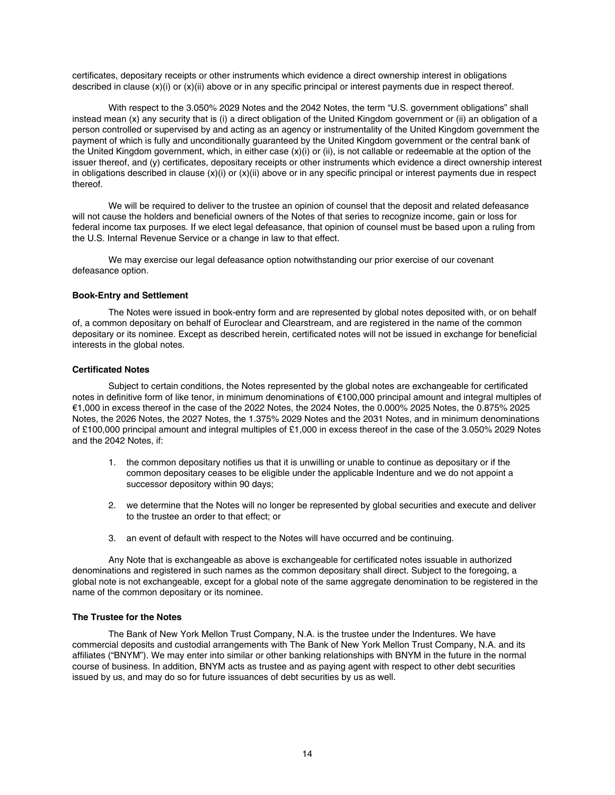certificates, depositary receipts or other instruments which evidence a direct ownership interest in obligations described in clause (x)(i) or (x)(ii) above or in any specific principal or interest payments due in respect thereof.

With respect to the 3.050% 2029 Notes and the 2042 Notes, the term "U.S. government obligations" shall instead mean (x) any security that is (i) a direct obligation of the United Kingdom government or (ii) an obligation of a person controlled or supervised by and acting as an agency or instrumentality of the United Kingdom government the payment of which is fully and unconditionally guaranteed by the United Kingdom government or the central bank of the United Kingdom government, which, in either case (x)(i) or (ii), is not callable or redeemable at the option of the issuer thereof, and (y) certificates, depositary receipts or other instruments which evidence a direct ownership interest in obligations described in clause (x)(i) or (x)(ii) above or in any specific principal or interest payments due in respect thereof.

We will be required to deliver to the trustee an opinion of counsel that the deposit and related defeasance will not cause the holders and beneficial owners of the Notes of that series to recognize income, gain or loss for federal income tax purposes. If we elect legal defeasance, that opinion of counsel must be based upon a ruling from the U.S. Internal Revenue Service or a change in law to that effect.

We may exercise our legal defeasance option notwithstanding our prior exercise of our covenant defeasance option.

## **Book-Entry and Settlement**

The Notes were issued in book-entry form and are represented by global notes deposited with, or on behalf of, a common depositary on behalf of Euroclear and Clearstream, and are registered in the name of the common depositary or its nominee. Except as described herein, certificated notes will not be issued in exchange for beneficial interests in the global notes.

## **Certificated Notes**

Subject to certain conditions, the Notes represented by the global notes are exchangeable for certificated notes in definitive form of like tenor, in minimum denominations of €100,000 principal amount and integral multiples of €1,000 in excess thereof in the case of the 2022 Notes, the 2024 Notes, the 0.000% 2025 Notes, the 0.875% 2025 Notes, the 2026 Notes, the 2027 Notes, the 1.375% 2029 Notes and the 2031 Notes, and in minimum denominations of £100,000 principal amount and integral multiples of £1,000 in excess thereof in the case of the 3.050% 2029 Notes and the 2042 Notes, if:

- 1. the common depositary notifies us that it is unwilling or unable to continue as depositary or if the common depositary ceases to be eligible under the applicable Indenture and we do not appoint a successor depository within 90 days;
- 2. we determine that the Notes will no longer be represented by global securities and execute and deliver to the trustee an order to that effect; or
- 3. an event of default with respect to the Notes will have occurred and be continuing.

Any Note that is exchangeable as above is exchangeable for certificated notes issuable in authorized denominations and registered in such names as the common depositary shall direct. Subject to the foregoing, a global note is not exchangeable, except for a global note of the same aggregate denomination to be registered in the name of the common depositary or its nominee.

#### **The Trustee for the Notes**

The Bank of New York Mellon Trust Company, N.A. is the trustee under the Indentures. We have commercial deposits and custodial arrangements with The Bank of New York Mellon Trust Company, N.A. and its affiliates ("BNYM"). We may enter into similar or other banking relationships with BNYM in the future in the normal course of business. In addition, BNYM acts as trustee and as paying agent with respect to other debt securities issued by us, and may do so for future issuances of debt securities by us as well.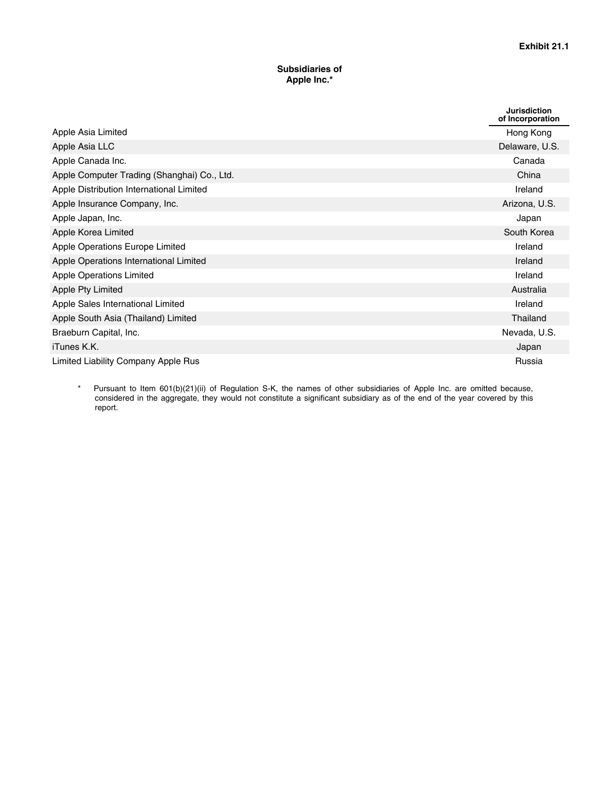# **Subsidiaries of Apple Inc.\***

|                                             | <b>Jurisdiction</b><br>of Incorporation |
|---------------------------------------------|-----------------------------------------|
| Apple Asia Limited                          | Hong Kong                               |
| Apple Asia LLC                              | Delaware, U.S.                          |
| Apple Canada Inc.                           | Canada                                  |
| Apple Computer Trading (Shanghai) Co., Ltd. | China                                   |
| Apple Distribution International Limited    | Ireland                                 |
| Apple Insurance Company, Inc.               | Arizona, U.S.                           |
| Apple Japan, Inc.                           | Japan                                   |
| Apple Korea Limited                         | South Korea                             |
| Apple Operations Europe Limited             | Ireland                                 |
| Apple Operations International Limited      | Ireland                                 |
| Apple Operations Limited                    | Ireland                                 |
| Apple Pty Limited                           | Australia                               |
| Apple Sales International Limited           | Ireland                                 |
| Apple South Asia (Thailand) Limited         | Thailand                                |
| Braeburn Capital, Inc.                      | Nevada, U.S.                            |
| iTunes K.K.                                 | Japan                                   |
| Limited Liability Company Apple Rus         | Russia                                  |

 \* Pursuant to Item 601(b)(21)(ii) of Regulation S-K, the names of other subsidiaries of Apple Inc. are omitted because, considered in the aggregate, they would not constitute a significant subsidiary as of the end of the year covered by this report.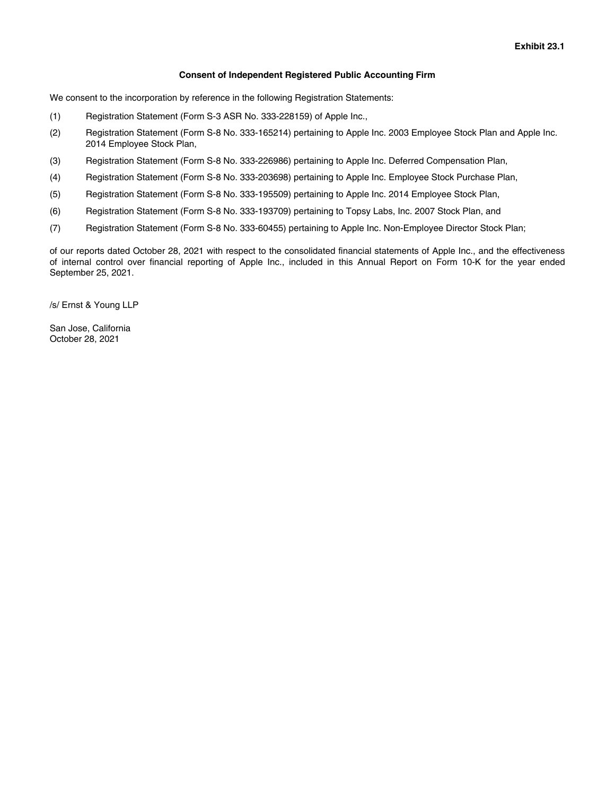## **Consent of Independent Registered Public Accounting Firm**

We consent to the incorporation by reference in the following Registration Statements:

- (1) Registration Statement (Form S-3 ASR No. 333-228159) of Apple Inc.,
- (2) Registration Statement (Form S-8 No. 333-165214) pertaining to Apple Inc. 2003 Employee Stock Plan and Apple Inc. 2014 Employee Stock Plan,
- (3) Registration Statement (Form S-8 No. 333-226986) pertaining to Apple Inc. Deferred Compensation Plan,
- (4) Registration Statement (Form S-8 No. 333-203698) pertaining to Apple Inc. Employee Stock Purchase Plan,
- (5) Registration Statement (Form S-8 No. 333-195509) pertaining to Apple Inc. 2014 Employee Stock Plan,
- (6) Registration Statement (Form S-8 No. 333-193709) pertaining to Topsy Labs, Inc. 2007 Stock Plan, and
- (7) Registration Statement (Form S-8 No. 333-60455) pertaining to Apple Inc. Non-Employee Director Stock Plan;

of our reports dated October 28, 2021 with respect to the consolidated financial statements of Apple Inc., and the effectiveness of internal control over financial reporting of Apple Inc., included in this Annual Report on Form 10-K for the year ended September 25, 2021.

/s/ Ernst & Young LLP

San Jose, California October 28, 2021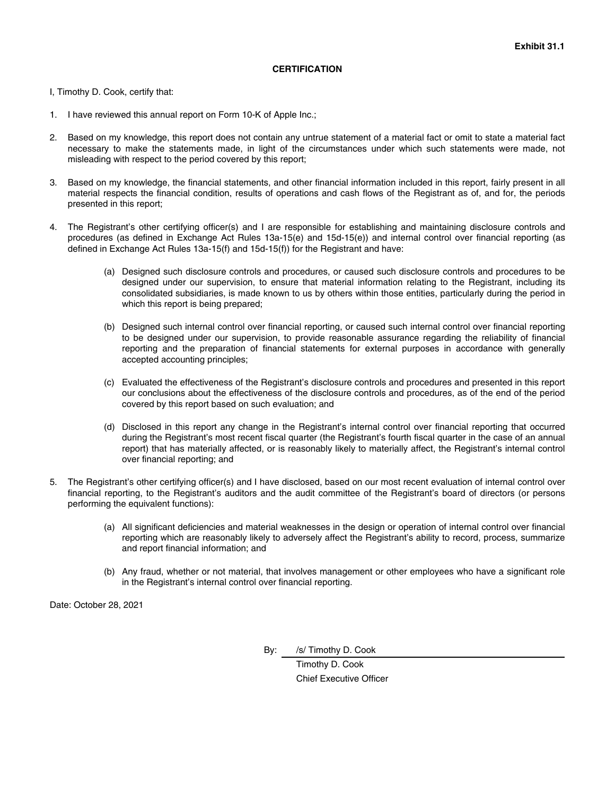# **CERTIFICATION**

I, Timothy D. Cook, certify that:

- 1. I have reviewed this annual report on Form 10-K of Apple Inc.;
- 2. Based on my knowledge, this report does not contain any untrue statement of a material fact or omit to state a material fact necessary to make the statements made, in light of the circumstances under which such statements were made, not misleading with respect to the period covered by this report;
- 3. Based on my knowledge, the financial statements, and other financial information included in this report, fairly present in all material respects the financial condition, results of operations and cash flows of the Registrant as of, and for, the periods presented in this report;
- 4. The Registrant's other certifying officer(s) and I are responsible for establishing and maintaining disclosure controls and procedures (as defined in Exchange Act Rules 13a-15(e) and 15d-15(e)) and internal control over financial reporting (as defined in Exchange Act Rules 13a-15(f) and 15d-15(f)) for the Registrant and have:
	- (a) Designed such disclosure controls and procedures, or caused such disclosure controls and procedures to be designed under our supervision, to ensure that material information relating to the Registrant, including its consolidated subsidiaries, is made known to us by others within those entities, particularly during the period in which this report is being prepared;
	- (b) Designed such internal control over financial reporting, or caused such internal control over financial reporting to be designed under our supervision, to provide reasonable assurance regarding the reliability of financial reporting and the preparation of financial statements for external purposes in accordance with generally accepted accounting principles;
	- (c) Evaluated the effectiveness of the Registrant's disclosure controls and procedures and presented in this report our conclusions about the effectiveness of the disclosure controls and procedures, as of the end of the period covered by this report based on such evaluation; and
	- (d) Disclosed in this report any change in the Registrant's internal control over financial reporting that occurred during the Registrant's most recent fiscal quarter (the Registrant's fourth fiscal quarter in the case of an annual report) that has materially affected, or is reasonably likely to materially affect, the Registrant's internal control over financial reporting; and
- 5. The Registrant's other certifying officer(s) and I have disclosed, based on our most recent evaluation of internal control over financial reporting, to the Registrant's auditors and the audit committee of the Registrant's board of directors (or persons performing the equivalent functions):
	- (a) All significant deficiencies and material weaknesses in the design or operation of internal control over financial reporting which are reasonably likely to adversely affect the Registrant's ability to record, process, summarize and report financial information; and
	- (b) Any fraud, whether or not material, that involves management or other employees who have a significant role in the Registrant's internal control over financial reporting.

Date: October 28, 2021

By: /s/ Timothy D. Cook

Timothy D. Cook Chief Executive Officer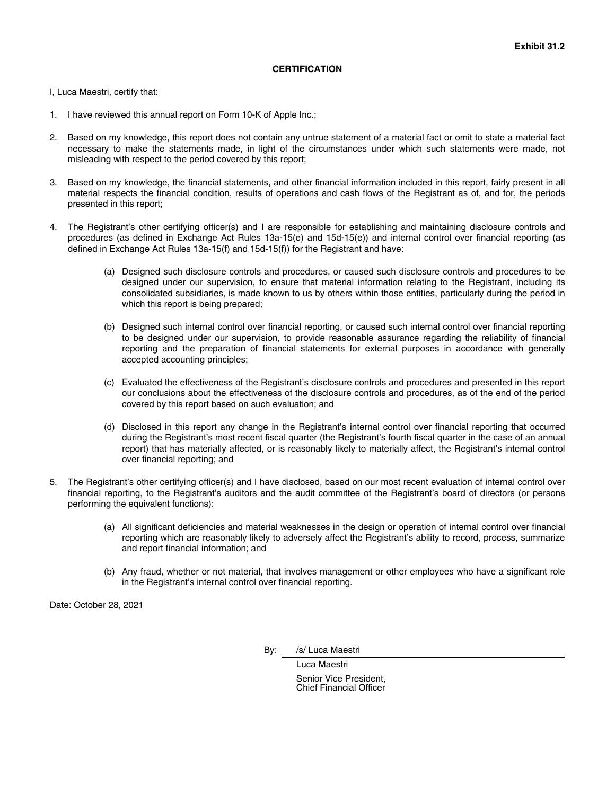# **CERTIFICATION**

I, Luca Maestri, certify that:

- 1. I have reviewed this annual report on Form 10-K of Apple Inc.;
- 2. Based on my knowledge, this report does not contain any untrue statement of a material fact or omit to state a material fact necessary to make the statements made, in light of the circumstances under which such statements were made, not misleading with respect to the period covered by this report;
- 3. Based on my knowledge, the financial statements, and other financial information included in this report, fairly present in all material respects the financial condition, results of operations and cash flows of the Registrant as of, and for, the periods presented in this report;
- 4. The Registrant's other certifying officer(s) and I are responsible for establishing and maintaining disclosure controls and procedures (as defined in Exchange Act Rules 13a-15(e) and 15d-15(e)) and internal control over financial reporting (as defined in Exchange Act Rules 13a-15(f) and 15d-15(f)) for the Registrant and have:
	- (a) Designed such disclosure controls and procedures, or caused such disclosure controls and procedures to be designed under our supervision, to ensure that material information relating to the Registrant, including its consolidated subsidiaries, is made known to us by others within those entities, particularly during the period in which this report is being prepared;
	- (b) Designed such internal control over financial reporting, or caused such internal control over financial reporting to be designed under our supervision, to provide reasonable assurance regarding the reliability of financial reporting and the preparation of financial statements for external purposes in accordance with generally accepted accounting principles;
	- (c) Evaluated the effectiveness of the Registrant's disclosure controls and procedures and presented in this report our conclusions about the effectiveness of the disclosure controls and procedures, as of the end of the period covered by this report based on such evaluation; and
	- (d) Disclosed in this report any change in the Registrant's internal control over financial reporting that occurred during the Registrant's most recent fiscal quarter (the Registrant's fourth fiscal quarter in the case of an annual report) that has materially affected, or is reasonably likely to materially affect, the Registrant's internal control over financial reporting; and
- 5. The Registrant's other certifying officer(s) and I have disclosed, based on our most recent evaluation of internal control over financial reporting, to the Registrant's auditors and the audit committee of the Registrant's board of directors (or persons performing the equivalent functions):
	- (a) All significant deficiencies and material weaknesses in the design or operation of internal control over financial reporting which are reasonably likely to adversely affect the Registrant's ability to record, process, summarize and report financial information; and
	- (b) Any fraud, whether or not material, that involves management or other employees who have a significant role in the Registrant's internal control over financial reporting.

Date: October 28, 2021

By: /s/ Luca Maestri

Luca Maestri

Senior Vice President, Chief Financial Officer